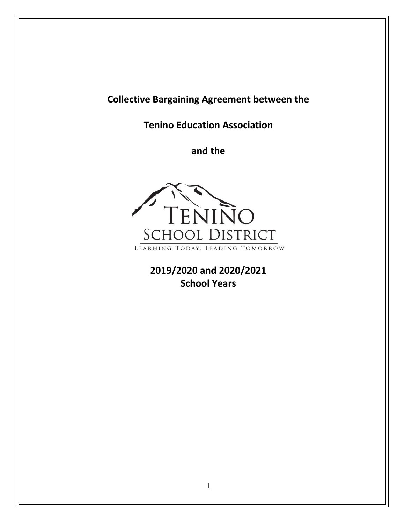# **Collective Bargaining Agreement between the**

**Tenino Education Association**

**and the**



**2019/2020 and 2020/2021 School Years**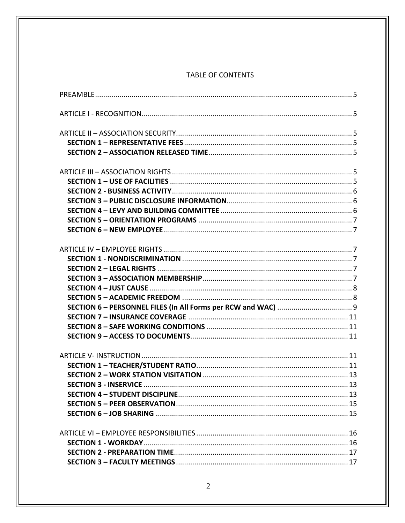#### TABLE OF CONTENTS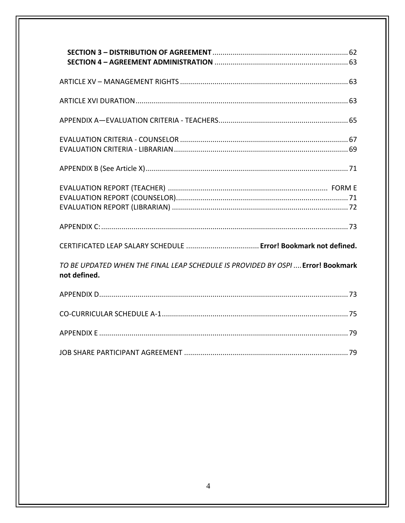| TO BE UPDATED WHEN THE FINAL LEAP SCHEDULE IS PROVIDED BY OSPI Error! Bookmark<br>not defined. |
|------------------------------------------------------------------------------------------------|
|                                                                                                |
|                                                                                                |
|                                                                                                |
|                                                                                                |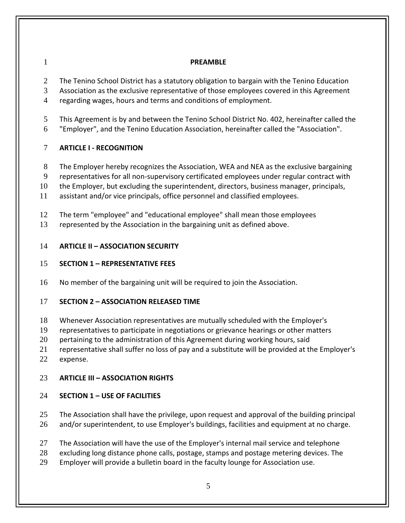#### <span id="page-4-0"></span>**PREAMBLE**

2 The Tenino School District has a statutory obligation to bargain with the Tenino Education

Association as the exclusive representative of those employees covered in this Agreement

regarding wages, hours and terms and conditions of employment.

- This Agreement is by and between the Tenino School District No. 402, hereinafter called the
- "Employer", and the Tenino Education Association, hereinafter called the "Association".

### <span id="page-4-1"></span>**ARTICLE I - RECOGNITION**

- The Employer hereby recognizes the Association, WEA and NEA as the exclusive bargaining
- representatives for all non-supervisory certificated employees under regular contract with

the Employer, but excluding the superintendent, directors, business manager, principals,

- assistant and/or vice principals, office personnel and classified employees.
- The term "employee" and "educational employee" shall mean those employees

<span id="page-4-2"></span>represented by the Association in the bargaining unit as defined above.

### **ARTICLE II – ASSOCIATION SECURITY**

### <span id="page-4-3"></span>**SECTION 1 – REPRESENTATIVE FEES**

No member of the bargaining unit will be required to join the Association.

### <span id="page-4-4"></span>**SECTION 2 – ASSOCIATION RELEASED TIME**

- Whenever Association representatives are mutually scheduled with the Employer's
- representatives to participate in negotiations or grievance hearings or other matters
- 20 pertaining to the administration of this Agreement during working hours, said
- representative shall suffer no loss of pay and a substitute will be provided at the Employer's
- expense.

## <span id="page-4-5"></span>**ARTICLE III – ASSOCIATION RIGHTS**

## <span id="page-4-6"></span>**SECTION 1 – USE OF FACILITIES**

- The Association shall have the privilege, upon request and approval of the building principal
- and/or superintendent, to use Employer's buildings, facilities and equipment at no charge.
- 27 The Association will have the use of the Employer's internal mail service and telephone
- excluding long distance phone calls, postage, stamps and postage metering devices. The
- Employer will provide a bulletin board in the faculty lounge for Association use.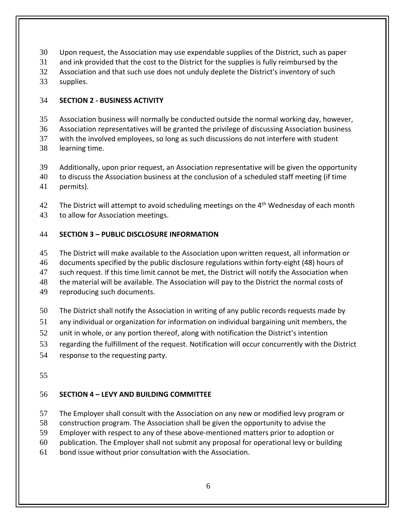- Upon request, the Association may use expendable supplies of the District, such as paper
- and ink provided that the cost to the District for the supplies is fully reimbursed by the
- Association and that such use does not unduly deplete the District's inventory of such
- supplies.

### <span id="page-5-0"></span>**SECTION 2 - BUSINESS ACTIVITY**

Association business will normally be conducted outside the normal working day, however,

Association representatives will be granted the privilege of discussing Association business

- with the involved employees, so long as such discussions do not interfere with student learning time.
- Additionally, upon prior request, an Association representative will be given the opportunity
- to discuss the Association business at the conclusion of a scheduled staff meeting (if time
- permits).

42 The District will attempt to avoid scheduling meetings on the  $4<sup>th</sup>$  Wednesday of each month to allow for Association meetings.

### <span id="page-5-1"></span>**SECTION 3 – PUBLIC DISCLOSURE INFORMATION**

The District will make available to the Association upon written request, all information or

documents specified by the public disclosure regulations within forty-eight (48) hours of

such request. If this time limit cannot be met, the District will notify the Association when

48 the material will be available. The Association will pay to the District the normal costs of

reproducing such documents.

- The District shall notify the Association in writing of any public records requests made by
- any individual or organization for information on individual bargaining unit members, the
- unit in whole, or any portion thereof, along with notification the District's intention
- regarding the fulfillment of the request. Notification will occur concurrently with the District
- response to the requesting party.
- 

### <span id="page-5-2"></span>**SECTION 4 – LEVY AND BUILDING COMMITTEE**

- The Employer shall consult with the Association on any new or modified levy program or
- construction program. The Association shall be given the opportunity to advise the
- Employer with respect to any of these above-mentioned matters prior to adoption or
- publication. The Employer shall not submit any proposal for operational levy or building
- bond issue without prior consultation with the Association.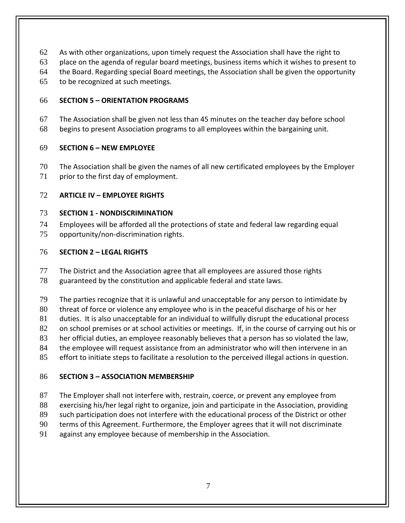- As with other organizations, upon timely request the Association shall have the right to
- place on the agenda of regular board meetings, business items which it wishes to present to
- the Board. Regarding special Board meetings, the Association shall be given the opportunity
- to be recognized at such meetings.

### <span id="page-6-0"></span>**SECTION 5 – ORIENTATION PROGRAMS**

- The Association shall be given not less than 45 minutes on the teacher day before school
- begins to present Association programs to all employees within the bargaining unit.

### <span id="page-6-1"></span>**SECTION 6 – NEW EMPLOYEE**

 The Association shall be given the names of all new certificated employees by the Employer 71 prior to the first day of employment.

### <span id="page-6-2"></span>**ARTICLE IV – EMPLOYEE RIGHTS**

### <span id="page-6-3"></span>**SECTION 1 - NONDISCRIMINATION**

- Employees will be afforded all the protections of state and federal law regarding equal
- opportunity/non-discrimination rights.

## <span id="page-6-4"></span>**SECTION 2 – LEGAL RIGHTS**

- The District and the Association agree that all employees are assured those rights
- guaranteed by the constitution and applicable federal and state laws.
- The parties recognize that it is unlawful and unacceptable for any person to intimidate by
- 80 threat of force or violence any employee who is in the peaceful discharge of his or her
- duties. It is also unacceptable for an individual to willfully disrupt the educational process
- 82 on school premises or at school activities or meetings. If, in the course of carrying out his or
- her official duties, an employee reasonably believes that a person has so violated the law,
- the employee will request assistance from an administrator who will then intervene in an
- effort to initiate steps to facilitate a resolution to the perceived illegal actions in question.

# <span id="page-6-5"></span>**SECTION 3 – ASSOCIATION MEMBERSHIP**

- The Employer shall not interfere with, restrain, coerce, or prevent any employee from
- 88 exercising his/her legal right to organize, join and participate in the Association, providing
- such participation does not interfere with the educational process of the District or other
- terms of this Agreement. Furthermore, the Employer agrees that it will not discriminate
- against any employee because of membership in the Association.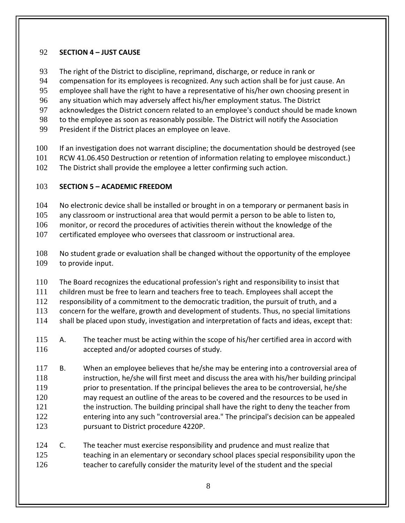### <span id="page-7-0"></span>**SECTION 4 – JUST CAUSE**

- The right of the District to discipline, reprimand, discharge, or reduce in rank or
- compensation for its employees is recognized. Any such action shall be for just cause. An
- employee shall have the right to have a representative of his/her own choosing present in
- any situation which may adversely affect his/her employment status. The District
- acknowledges the District concern related to an employee's conduct should be made known
- 98 to the employee as soon as reasonably possible. The District will notify the Association
- President if the District places an employee on leave.
- 100 If an investigation does not warrant discipline; the documentation should be destroyed (see
- RCW 41.06.450 Destruction or retention of information relating to employee misconduct.)
- The District shall provide the employee a letter confirming such action.

### <span id="page-7-1"></span>**SECTION 5 – ACADEMIC FREEDOM**

- 104 No electronic device shall be installed or brought in on a temporary or permanent basis in
- any classroom or instructional area that would permit a person to be able to listen to,
- 106 monitor, or record the procedures of activities therein without the knowledge of the
- certificated employee who oversees that classroom or instructional area.
- No student grade or evaluation shall be changed without the opportunity of the employee to provide input.
- The Board recognizes the educational profession's right and responsibility to insist that
- children must be free to learn and teachers free to teach. Employees shall accept the
- responsibility of a commitment to the democratic tradition, the pursuit of truth, and a
- concern for the welfare, growth and development of students. Thus, no special limitations
- shall be placed upon study, investigation and interpretation of facts and ideas, except that:
- A. The teacher must be acting within the scope of his/her certified area in accord with accepted and/or adopted courses of study.
- B. When an employee believes that he/she may be entering into a controversial area of instruction, he/she will first meet and discuss the area with his/her building principal **prior to presentation.** If the principal believes the area to be controversial, he/she may request an outline of the areas to be covered and the resources to be used in the instruction. The building principal shall have the right to deny the teacher from entering into any such "controversial area." The principal's decision can be appealed pursuant to District procedure 4220P.
- C. The teacher must exercise responsibility and prudence and must realize that 125 teaching in an elementary or secondary school places special responsibility upon the 126 teacher to carefully consider the maturity level of the student and the special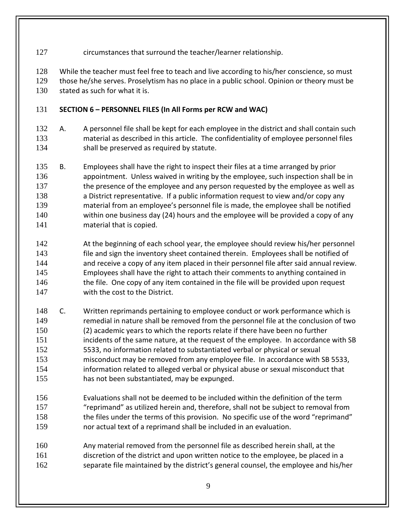127 circumstances that surround the teacher/learner relationship.

While the teacher must feel free to teach and live according to his/her conscience, so must

 those he/she serves. Proselytism has no place in a public school. Opinion or theory must be stated as such for what it is.

### <span id="page-8-0"></span>**SECTION 6 – PERSONNEL FILES (In All Forms per RCW and WAC)**

- A. A personnel file shall be kept for each employee in the district and shall contain such material as described in this article. The confidentiality of employee personnel files 134 shall be preserved as required by statute.
- B. Employees shall have the right to inspect their files at a time arranged by prior appointment. Unless waived in writing by the employee, such inspection shall be in 137 the presence of the employee and any person requested by the employee as well as 138 a District representative. If a public information request to view and/or copy any material from an employee's personnel file is made, the employee shall be notified within one business day (24) hours and the employee will be provided a copy of any material that is copied.
- At the beginning of each school year, the employee should review his/her personnel **file and sign the inventory sheet contained therein.** Employees shall be notified of and receive a copy of any item placed in their personnel file after said annual review. Employees shall have the right to attach their comments to anything contained in 146 the file. One copy of any item contained in the file will be provided upon request with the cost to the District.
- C. Written reprimands pertaining to employee conduct or work performance which is remedial in nature shall be removed from the personnel file at the conclusion of two (2) academic years to which the reports relate if there have been no further 151 incidents of the same nature, at the request of the employee. In accordance with SB 5533, no information related to substantiated verbal or physical or sexual misconduct may be removed from any employee file. In accordance with SB 5533, information related to alleged verbal or physical abuse or sexual misconduct that has not been substantiated, may be expunged.
- Evaluations shall not be deemed to be included within the definition of the term "reprimand" as utilized herein and, therefore, shall not be subject to removal from 158 the files under the terms of this provision. No specific use of the word "reprimand" nor actual text of a reprimand shall be included in an evaluation.
- Any material removed from the personnel file as described herein shall, at the discretion of the district and upon written notice to the employee, be placed in a separate file maintained by the district's general counsel, the employee and his/her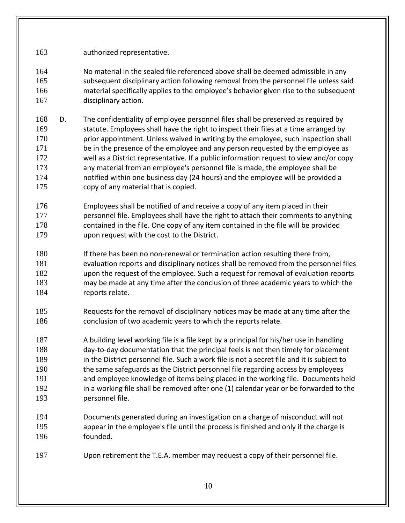- authorized representative.
- No material in the sealed file referenced above shall be deemed admissible in any subsequent disciplinary action following removal from the personnel file unless said material specifically applies to the employee's behavior given rise to the subsequent disciplinary action.
- D. The confidentiality of employee personnel files shall be preserved as required by statute. Employees shall have the right to inspect their files at a time arranged by prior appointment. Unless waived in writing by the employee, such inspection shall be in the presence of the employee and any person requested by the employee as well as a District representative. If a public information request to view and/or copy any material from an employee's personnel file is made, the employee shall be notified within one business day (24 hours) and the employee will be provided a copy of any material that is copied.
- Employees shall be notified of and receive a copy of any item placed in their personnel file. Employees shall have the right to attach their comments to anything contained in the file. One copy of any item contained in the file will be provided upon request with the cost to the District.
- If there has been no non-renewal or termination action resulting there from, evaluation reports and disciplinary notices shall be removed from the personnel files upon the request of the employee. Such a request for removal of evaluation reports may be made at any time after the conclusion of three academic years to which the 184 reports relate.
- Requests for the removal of disciplinary notices may be made at any time after the conclusion of two academic years to which the reports relate.
- A building level working file is a file kept by a principal for his/her use in handling day-to-day documentation that the principal feels is not then timely for placement 189 in the District personnel file. Such a work file is not a secret file and it is subject to the same safeguards as the District personnel file regarding access by employees and employee knowledge of items being placed in the working file. Documents held 192 in a working file shall be removed after one (1) calendar year or be forwarded to the personnel file.
- Documents generated during an investigation on a charge of misconduct will not appear in the employee's file until the process is finished and only if the charge is founded.
- Upon retirement the T.E.A. member may request a copy of their personnel file.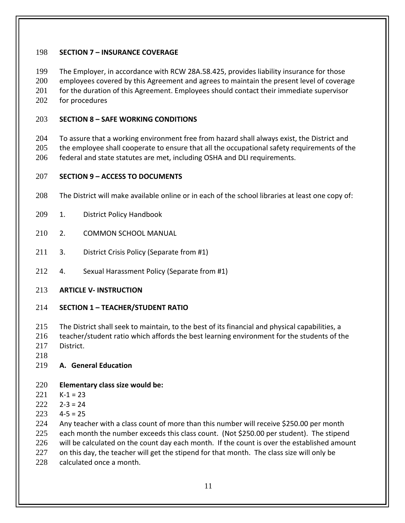### <span id="page-10-0"></span>**SECTION 7 – INSURANCE COVERAGE**

 The Employer, in accordance with RCW 28A.58.425, provides liability insurance for those employees covered by this Agreement and agrees to maintain the present level of coverage 201 for the duration of this Agreement. Employees should contact their immediate supervisor for procedures

### <span id="page-10-1"></span>**SECTION 8 – SAFE WORKING CONDITIONS**

204 To assure that a working environment free from hazard shall always exist, the District and 205 the employee shall cooperate to ensure that all the occupational safety requirements of the federal and state statutes are met, including OSHA and DLI requirements.

### <span id="page-10-2"></span>**SECTION 9 – ACCESS TO DOCUMENTS**

- The District will make available online or in each of the school libraries at least one copy of:
- 1. District Policy Handbook
- 2. COMMON SCHOOL MANUAL
- 211 3. District Crisis Policy (Separate from #1)
- 4. Sexual Harassment Policy (Separate from #1)
- <span id="page-10-3"></span>**ARTICLE V- INSTRUCTION**

#### <span id="page-10-4"></span>**SECTION 1 – TEACHER/STUDENT RATIO**

- The District shall seek to maintain, to the best of its financial and physical capabilities, a
- teacher/student ratio which affords the best learning environment for the students of the District.
- 

### **A. General Education**

### **Elementary class size would be:**

- K-1 = 23
- $2-3=24$
- 4-5 = 25

Any teacher with a class count of more than this number will receive \$250.00 per month

- each month the number exceeds this class count. (Not \$250.00 per student). The stipend
- 226 will be calculated on the count day each month. If the count is over the established amount
- 227 on this day, the teacher will get the stipend for that month. The class size will only be
- calculated once a month.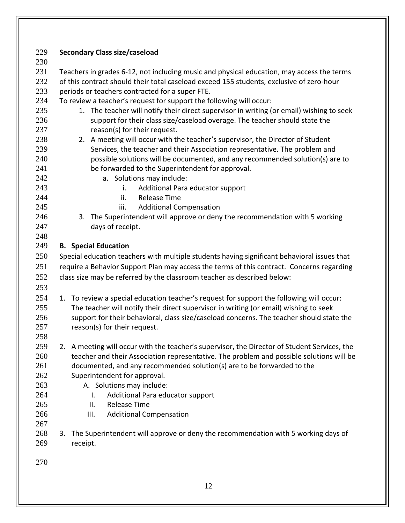| 229 | <b>Secondary Class size/caseload</b>                                                         |  |  |  |  |
|-----|----------------------------------------------------------------------------------------------|--|--|--|--|
| 230 |                                                                                              |  |  |  |  |
| 231 | Teachers in grades 6-12, not including music and physical education, may access the terms    |  |  |  |  |
| 232 | of this contract should their total caseload exceed 155 students, exclusive of zero-hour     |  |  |  |  |
| 233 | periods or teachers contracted for a super FTE.                                              |  |  |  |  |
| 234 | To review a teacher's request for support the following will occur:                          |  |  |  |  |
| 235 | 1. The teacher will notify their direct supervisor in writing (or email) wishing to seek     |  |  |  |  |
| 236 | support for their class size/caseload overage. The teacher should state the                  |  |  |  |  |
| 237 | reason(s) for their request.                                                                 |  |  |  |  |
| 238 | 2. A meeting will occur with the teacher's supervisor, the Director of Student               |  |  |  |  |
| 239 | Services, the teacher and their Association representative. The problem and                  |  |  |  |  |
| 240 | possible solutions will be documented, and any recommended solution(s) are to                |  |  |  |  |
| 241 | be forwarded to the Superintendent for approval.                                             |  |  |  |  |
| 242 | a. Solutions may include:                                                                    |  |  |  |  |
| 243 | Additional Para educator support<br>i.                                                       |  |  |  |  |
| 244 | <b>Release Time</b><br>ii.                                                                   |  |  |  |  |
| 245 | iii.<br><b>Additional Compensation</b>                                                       |  |  |  |  |
| 246 | 3. The Superintendent will approve or deny the recommendation with 5 working                 |  |  |  |  |
| 247 | days of receipt.                                                                             |  |  |  |  |
| 248 |                                                                                              |  |  |  |  |
| 249 | <b>B.</b> Special Education                                                                  |  |  |  |  |
| 250 | Special education teachers with multiple students having significant behavioral issues that  |  |  |  |  |
| 251 | require a Behavior Support Plan may access the terms of this contract. Concerns regarding    |  |  |  |  |
| 252 | class size may be referred by the classroom teacher as described below:                      |  |  |  |  |
| 253 |                                                                                              |  |  |  |  |
| 254 | 1. To review a special education teacher's request for support the following will occur:     |  |  |  |  |
| 255 | The teacher will notify their direct supervisor in writing (or email) wishing to seek        |  |  |  |  |
| 256 | support for their behavioral, class size/caseload concerns. The teacher should state the     |  |  |  |  |
| 257 | reason(s) for their request.                                                                 |  |  |  |  |
| 258 |                                                                                              |  |  |  |  |
| 259 | 2. A meeting will occur with the teacher's supervisor, the Director of Student Services, the |  |  |  |  |
| 260 | teacher and their Association representative. The problem and possible solutions will be     |  |  |  |  |
| 261 | documented, and any recommended solution(s) are to be forwarded to the                       |  |  |  |  |
| 262 | Superintendent for approval.                                                                 |  |  |  |  |
| 263 | A. Solutions may include:                                                                    |  |  |  |  |
| 264 | Additional Para educator support<br>I.                                                       |  |  |  |  |
| 265 | <b>Release Time</b><br>II.                                                                   |  |  |  |  |
| 266 | III.<br><b>Additional Compensation</b>                                                       |  |  |  |  |
| 267 |                                                                                              |  |  |  |  |
| 268 | 3. The Superintendent will approve or deny the recommendation with 5 working days of         |  |  |  |  |
| 269 | receipt.                                                                                     |  |  |  |  |
| 270 |                                                                                              |  |  |  |  |
|     |                                                                                              |  |  |  |  |
|     | 12                                                                                           |  |  |  |  |
|     |                                                                                              |  |  |  |  |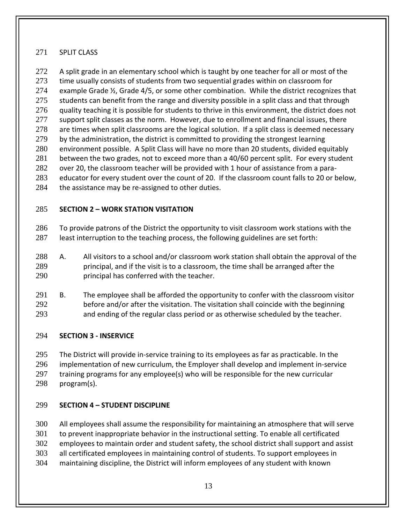### SPLIT CLASS

272 A split grade in an elementary school which is taught by one teacher for all or most of the time usually consists of students from two sequential grades within on classroom for example Grade ½, Grade 4/5, or some other combination. While the district recognizes that 275 students can benefit from the range and diversity possible in a split class and that through quality teaching it is possible for students to thrive in this environment, the district does not 277 support split classes as the norm. However, due to enrollment and financial issues, there 278 are times when split classrooms are the logical solution. If a split class is deemed necessary 279 by the administration, the district is committed to providing the strongest learning environment possible. A Split Class will have no more than 20 students, divided equitably 281 between the two grades, not to exceed more than a 40/60 percent split. For every student over 20, the classroom teacher will be provided with 1 hour of assistance from a para- educator for every student over the count of 20. If the classroom count falls to 20 or below, 284 the assistance may be re-assigned to other duties.

### <span id="page-12-0"></span>**SECTION 2 – WORK STATION VISITATION**

 To provide patrons of the District the opportunity to visit classroom work stations with the least interruption to the teaching process, the following guidelines are set forth:

- A. All visitors to a school and/or classroom work station shall obtain the approval of the principal, and if the visit is to a classroom, the time shall be arranged after the principal has conferred with the teacher.
- B. The employee shall be afforded the opportunity to confer with the classroom visitor before and/or after the visitation. The visitation shall coincide with the beginning and ending of the regular class period or as otherwise scheduled by the teacher.

### <span id="page-12-1"></span>**SECTION 3 - INSERVICE**

 The District will provide in-service training to its employees as far as practicable. In the implementation of new curriculum, the Employer shall develop and implement in-service training programs for any employee(s) who will be responsible for the new curricular program(s).

### <span id="page-12-2"></span>**SECTION 4 – STUDENT DISCIPLINE**

 All employees shall assume the responsibility for maintaining an atmosphere that will serve to prevent inappropriate behavior in the instructional setting. To enable all certificated

employees to maintain order and student safety, the school district shall support and assist

all certificated employees in maintaining control of students. To support employees in

maintaining discipline, the District will inform employees of any student with known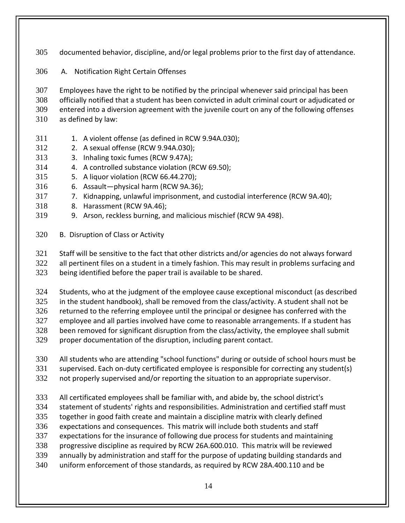documented behavior, discipline, and/or legal problems prior to the first day of attendance.

A. Notification Right Certain Offenses

 Employees have the right to be notified by the principal whenever said principal has been officially notified that a student has been convicted in adult criminal court or adjudicated or entered into a diversion agreement with the juvenile court on any of the following offenses as defined by law:

- 311 1. A violent offense (as defined in RCW 9.94A.030);
- 2. A sexual offense (RCW 9.94A.030);
- 3. Inhaling toxic fumes (RCW 9.47A);
- 4. A controlled substance violation (RCW 69.50);
- 5. A liquor violation (RCW 66.44.270);
- 6. Assault—physical harm (RCW 9A.36);
- 7. Kidnapping, unlawful imprisonment, and custodial interference (RCW 9A.40);
- 8. Harassment (RCW 9A.46);
- 9. Arson, reckless burning, and malicious mischief (RCW 9A 498).
- B. Disruption of Class or Activity

 Staff will be sensitive to the fact that other districts and/or agencies do not always forward all pertinent files on a student in a timely fashion. This may result in problems surfacing and being identified before the paper trail is available to be shared.

Students, who at the judgment of the employee cause exceptional misconduct (as described

in the student handbook), shall be removed from the class/activity. A student shall not be

returned to the referring employee until the principal or designee has conferred with the

- employee and all parties involved have come to reasonable arrangements. If a student has been removed for significant disruption from the class/activity, the employee shall submit
- proper documentation of the disruption, including parent contact.
- All students who are attending "school functions" during or outside of school hours must be
- supervised. Each on-duty certificated employee is responsible for correcting any student(s)
- not properly supervised and/or reporting the situation to an appropriate supervisor.
- All certificated employees shall be familiar with, and abide by, the school district's
- statement of students' rights and responsibilities. Administration and certified staff must
- together in good faith create and maintain a discipline matrix with clearly defined
- expectations and consequences. This matrix will include both students and staff
- expectations for the insurance of following due process for students and maintaining
- progressive discipline as required by RCW 26A.600.010. This matrix will be reviewed
- annually by administration and staff for the purpose of updating building standards and
- uniform enforcement of those standards, as required by RCW 28A.400.110 and be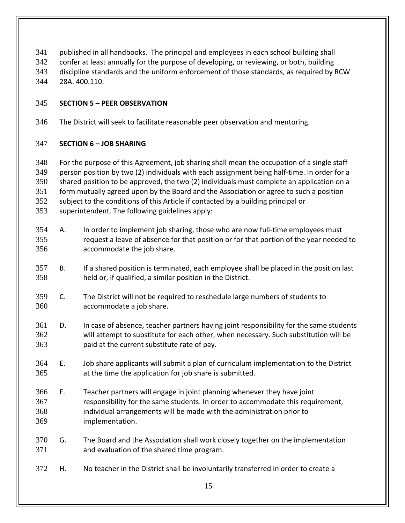- published in all handbooks. The principal and employees in each school building shall
- confer at least annually for the purpose of developing, or reviewing, or both, building
- discipline standards and the uniform enforcement of those standards, as required by RCW 28A. 400.110.
- 

### <span id="page-14-0"></span>**SECTION 5 – PEER OBSERVATION**

The District will seek to facilitate reasonable peer observation and mentoring.

### <span id="page-14-1"></span>**SECTION 6 – JOB SHARING**

- For the purpose of this Agreement, job sharing shall mean the occupation of a single staff person position by two (2) individuals with each assignment being half-time. In order for a shared position to be approved, the two (2) individuals must complete an application on a form mutually agreed upon by the Board and the Association or agree to such a position subject to the conditions of this Article if contacted by a building principal or
- superintendent. The following guidelines apply:
- A. In order to implement job sharing, those who are now full-time employees must request a leave of absence for that position or for that portion of the year needed to accommodate the job share.
- B. If a shared position is terminated, each employee shall be placed in the position last held or, if qualified, a similar position in the District.
- C. The District will not be required to reschedule large numbers of students to accommodate a job share.
- D. In case of absence, teacher partners having joint responsibility for the same students will attempt to substitute for each other, when necessary. Such substitution will be paid at the current substitute rate of pay.
- E. Job share applicants will submit a plan of curriculum implementation to the District at the time the application for job share is submitted.
- F. Teacher partners will engage in joint planning whenever they have joint responsibility for the same students. In order to accommodate this requirement, individual arrangements will be made with the administration prior to implementation.
- G. The Board and the Association shall work closely together on the implementation and evaluation of the shared time program.
- H. No teacher in the District shall be involuntarily transferred in order to create a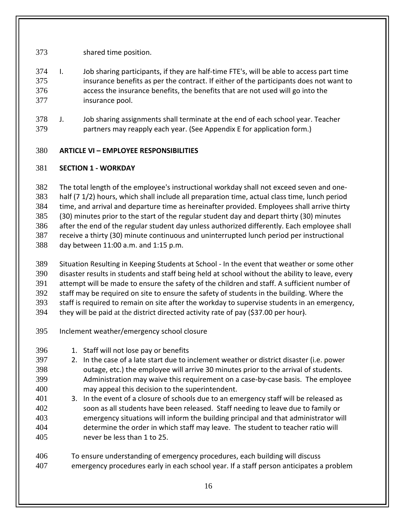shared time position.

- I. Job sharing participants, if they are half-time FTE's, will be able to access part time insurance benefits as per the contract. If either of the participants does not want to access the insurance benefits, the benefits that are not used will go into the insurance pool.
- J. Job sharing assignments shall terminate at the end of each school year. Teacher partners may reapply each year. (See Appendix E for application form.)

### <span id="page-15-0"></span>**ARTICLE VI – EMPLOYEE RESPONSIBILITIES**

### <span id="page-15-1"></span>**SECTION 1 - WORKDAY**

 The total length of the employee's instructional workday shall not exceed seven and one- half (7 1/2) hours, which shall include all preparation time, actual class time, lunch period time, and arrival and departure time as hereinafter provided. Employees shall arrive thirty (30) minutes prior to the start of the regular student day and depart thirty (30) minutes after the end of the regular student day unless authorized differently. Each employee shall receive a thirty (30) minute continuous and uninterrupted lunch period per instructional day between 11:00 a.m. and 1:15 p.m.

- Situation Resulting in Keeping Students at School In the event that weather or some other disaster results in students and staff being held at school without the ability to leave, every attempt will be made to ensure the safety of the children and staff. A sufficient number of staff may be required on site to ensure the safety of students in the building. Where the staff is required to remain on site after the workday to supervise students in an emergency, they will be paid at the district directed activity rate of pay (\$37.00 per hour).
- Inclement weather/emergency school closure
- 1. Staff will not lose pay or benefits
- 2. In the case of a late start due to inclement weather or district disaster (i.e. power outage, etc.) the employee will arrive 30 minutes prior to the arrival of students. Administration may waive this requirement on a case-by-case basis. The employee may appeal this decision to the superintendent.
- 3. In the event of a closure of schools due to an emergency staff will be released as soon as all students have been released. Staff needing to leave due to family or emergency situations will inform the building principal and that administrator will determine the order in which staff may leave. The student to teacher ratio will never be less than 1 to 25.
- To ensure understanding of emergency procedures, each building will discuss emergency procedures early in each school year. If a staff person anticipates a problem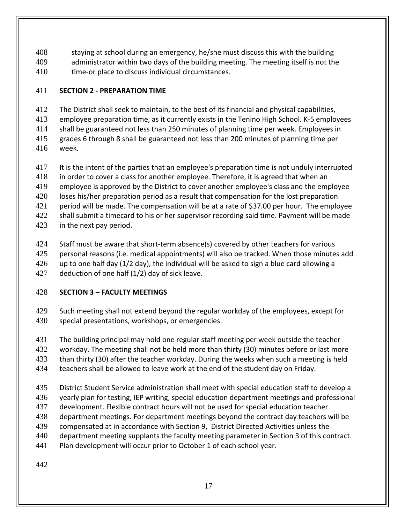staying at school during an emergency, he/she must discuss this with the building administrator within two days of the building meeting. The meeting itself is not the time-or place to discuss individual circumstances.

### <span id="page-16-0"></span>**SECTION 2 - PREPARATION TIME**

The District shall seek to maintain, to the best of its financial and physical capabilities,

employee preparation time, as it currently exists in the Tenino High School. K-5 employees

shall be guaranteed not less than 250 minutes of planning time per week. Employees in

 grades 6 through 8 shall be guaranteed not less than 200 minutes of planning time per week.

 It is the intent of the parties that an employee's preparation time is not unduly interrupted in order to cover a class for another employee. Therefore, it is agreed that when an employee is approved by the District to cover another employee's class and the employee loses his/her preparation period as a result that compensation for the lost preparation period will be made. The compensation will be at a rate of \$37.00 per hour. The employee

422 shall submit a timecard to his or her supervisor recording said time. Payment will be made

in the next pay period.

Staff must be aware that short-term absence(s) covered by other teachers for various

personal reasons (i.e. medical appointments) will also be tracked. When those minutes add

up to one half day (1/2 day), the individual will be asked to sign a blue card allowing a

deduction of one half (1/2) day of sick leave.

### <span id="page-16-1"></span>**SECTION 3 – FACULTY MEETINGS**

- 429 Such meeting shall not extend beyond the regular workday of the employees, except for special presentations, workshops, or emergencies.
- The building principal may hold one regular staff meeting per week outside the teacher

workday. The meeting shall not be held more than thirty (30) minutes before or last more

than thirty (30) after the teacher workday. During the weeks when such a meeting is held

- teachers shall be allowed to leave work at the end of the student day on Friday.
- District Student Service administration shall meet with special education staff to develop a
- yearly plan for testing, IEP writing, special education department meetings and professional
- development. Flexible contract hours will not be used for special education teacher
- department meetings. For department meetings beyond the contract day teachers will be
- compensated at in accordance with Section 9, District Directed Activities unless the
- department meeting supplants the faculty meeting parameter in Section 3 of this contract.
- Plan development will occur prior to October 1 of each school year.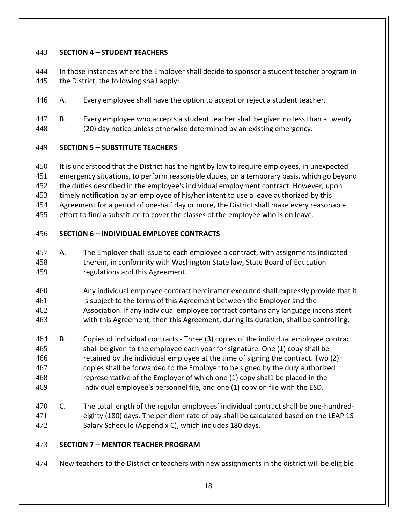### <span id="page-17-0"></span>**SECTION 4 – STUDENT TEACHERS**

- 444 In those instances where the Employer shall decide to sponsor a student teacher program in 445 the District, the following shall apply:
- A. Every employee shall have the option to accept or reject a student teacher.
- B. Every employee who accepts a student teacher shall be given no less than a twenty (20) day notice unless otherwise determined by an existing emergency.

### <span id="page-17-1"></span>**SECTION 5 – SUBSTITUTE TEACHERS**

- It is understood that the District has the right by law to require employees, in unexpected emergency situations, to perform reasonable duties, on a temporary basis, which go beyond the duties described in the employee's individual employment contract. However, upon
- timely notification by an employee of his/her intent to use a leave authorized by this
- Agreement for a period of one-half day or more, the District shall make every reasonable
- effort to find a substitute to cover the classes of the employee who is on leave.

### <span id="page-17-2"></span>**SECTION 6 – INDIVIDUAL EMPLOYEE CONTRACTS**

- A. The Employer shall issue to each employee a contract, with assignments indicated therein, in conformity with Washington State law, State Board of Education regulations and this Agreement.
- Any individual employee contract hereinafter executed shall expressly provide that it is subject to the terms of this Agreement between the Employer and the Association. If any individual employee contract contains any language inconsistent with this Agreement, then this Agreement, during its duration, shall be controlling.
- B. Copies of individual contracts Three (3) copies of the individual employee contract shall be given to the employee each year for signature. One (1) copy shall be retained by the individual employee at the time of signing the contract. Two (2) copies shall be forwarded to the Employer to be signed by the duly authorized representative of the Employer of which one (1) copy shal1 be placed in the individual employee's personnel file*,* and one (1) copy on file with the ESD.
- C. The total length of the regular employees' individual contract shall be one-hundred- eighty (180) days. The per diem rate of pay shall be calculated based on the LEAP 1S Salary Schedule (Appendix C), which includes 180 days.

### <span id="page-17-3"></span>**SECTION 7 – MENTOR TEACHER PROGRAM**

474 New teachers to the District or teachers with new assignments in the district will be eligible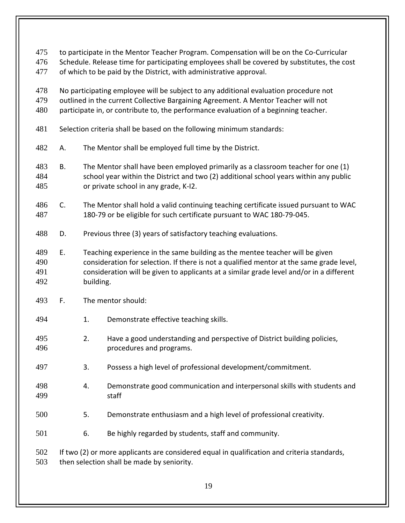| 475<br>476<br>477        | to participate in the Mentor Teacher Program. Compensation will be on the Co-Curricular<br>Schedule. Release time for participating employees shall be covered by substitutes, the cost<br>of which to be paid by the District, with administrative approval.      |                                                                                                                                                                                                                                                                                   |                                                                                                                                                                |  |
|--------------------------|--------------------------------------------------------------------------------------------------------------------------------------------------------------------------------------------------------------------------------------------------------------------|-----------------------------------------------------------------------------------------------------------------------------------------------------------------------------------------------------------------------------------------------------------------------------------|----------------------------------------------------------------------------------------------------------------------------------------------------------------|--|
| 478<br>479<br>480        | No participating employee will be subject to any additional evaluation procedure not<br>outlined in the current Collective Bargaining Agreement. A Mentor Teacher will not<br>participate in, or contribute to, the performance evaluation of a beginning teacher. |                                                                                                                                                                                                                                                                                   |                                                                                                                                                                |  |
| 481                      | Selection criteria shall be based on the following minimum standards:                                                                                                                                                                                              |                                                                                                                                                                                                                                                                                   |                                                                                                                                                                |  |
| 482                      | А.                                                                                                                                                                                                                                                                 |                                                                                                                                                                                                                                                                                   | The Mentor shall be employed full time by the District.                                                                                                        |  |
| 483<br>484<br>485        | Β.                                                                                                                                                                                                                                                                 | The Mentor shall have been employed primarily as a classroom teacher for one (1)<br>school year within the District and two (2) additional school years within any public<br>or private school in any grade, K-I2.                                                                |                                                                                                                                                                |  |
| 486<br>487               | C.                                                                                                                                                                                                                                                                 |                                                                                                                                                                                                                                                                                   | The Mentor shall hold a valid continuing teaching certificate issued pursuant to WAC<br>180-79 or be eligible for such certificate pursuant to WAC 180-79-045. |  |
| 488                      | D.                                                                                                                                                                                                                                                                 |                                                                                                                                                                                                                                                                                   | Previous three (3) years of satisfactory teaching evaluations.                                                                                                 |  |
| 489<br>490<br>491<br>492 | Ε.                                                                                                                                                                                                                                                                 | Teaching experience in the same building as the mentee teacher will be given<br>consideration for selection. If there is not a qualified mentor at the same grade level,<br>consideration will be given to applicants at a similar grade level and/or in a different<br>building. |                                                                                                                                                                |  |
| 493                      | F.                                                                                                                                                                                                                                                                 | The mentor should:                                                                                                                                                                                                                                                                |                                                                                                                                                                |  |
| 494                      |                                                                                                                                                                                                                                                                    | 1.                                                                                                                                                                                                                                                                                | Demonstrate effective teaching skills.                                                                                                                         |  |
| 495<br>496               |                                                                                                                                                                                                                                                                    | 2.                                                                                                                                                                                                                                                                                | Have a good understanding and perspective of District building policies,<br>procedures and programs.                                                           |  |
| 497                      |                                                                                                                                                                                                                                                                    | 3.                                                                                                                                                                                                                                                                                | Possess a high level of professional development/commitment.                                                                                                   |  |
| 498<br>499               |                                                                                                                                                                                                                                                                    | 4.                                                                                                                                                                                                                                                                                | Demonstrate good communication and interpersonal skills with students and<br>staff                                                                             |  |
| 500                      |                                                                                                                                                                                                                                                                    | 5.                                                                                                                                                                                                                                                                                | Demonstrate enthusiasm and a high level of professional creativity.                                                                                            |  |
| 501                      |                                                                                                                                                                                                                                                                    | 6.                                                                                                                                                                                                                                                                                | Be highly regarded by students, staff and community.                                                                                                           |  |
| 502<br>503               | If two (2) or more applicants are considered equal in qualification and criteria standards,<br>then selection shall be made by seniority.                                                                                                                          |                                                                                                                                                                                                                                                                                   |                                                                                                                                                                |  |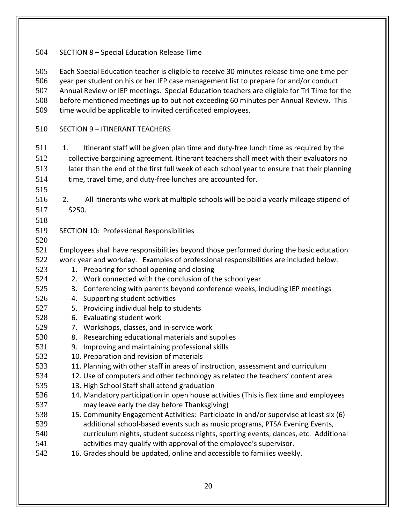SECTION 8 – Special Education Release Time

 Each Special Education teacher is eligible to receive 30 minutes release time one time per year per student on his or her IEP case management list to prepare for and/or conduct Annual Review or IEP meetings. Special Education teachers are eligible for Tri Time for the before mentioned meetings up to but not exceeding 60 minutes per Annual Review. This time would be applicable to invited certificated employees.

SECTION 9 – ITINERANT TEACHERS

511 1. Itinerant staff will be given plan time and duty-free lunch time as required by the collective bargaining agreement. Itinerant teachers shall meet with their evaluators no later than the end of the first full week of each school year to ensure that their planning time, travel time, and duty-free lunches are accounted for.

- 2. All itinerants who work at multiple schools will be paid a yearly mileage stipend of \$250.
- 

- SECTION 10: Professional Responsibilities
- Employees shall have responsibilities beyond those performed during the basic education work year and workday. Examples of professional responsibilities are included below.
- 1. Preparing for school opening and closing
- 2. Work connected with the conclusion of the school year
- 3. Conferencing with parents beyond conference weeks, including IEP meetings
- 4. Supporting student activities
- 5. Providing individual help to students
- 6. Evaluating student work
- 7. Workshops, classes, and in-service work
- 8. Researching educational materials and supplies
- 9. Improving and maintaining professional skills
- 10. Preparation and revision of materials
- 11. Planning with other staff in areas of instruction, assessment and curriculum
- 12. Use of computers and other technology as related the teachers' content area
- 13. High School Staff shall attend graduation
- 14. Mandatory participation in open house activities (This is flex time and employees may leave early the day before Thanksgiving)
- 15. Community Engagement Activities: Participate in and/or supervise at least six (6) additional school-based events such as music programs, PTSA Evening Events,
- curriculum nights, student success nights, sporting events, dances, etc. Additional activities may qualify with approval of the employee's supervisor.
- 16. Grades should be updated, online and accessible to families weekly.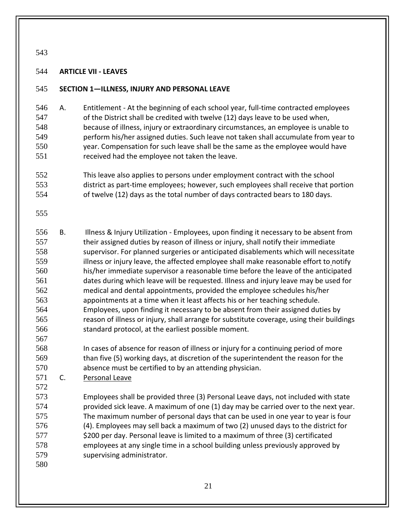#### <span id="page-20-0"></span>**ARTICLE VII - LEAVES**

#### <span id="page-20-1"></span>**SECTION 1—ILLNESS, INJURY AND PERSONAL LEAVE**

- A. Entitlement At the beginning of each school year, full-time contracted employees of the District shall be credited with twelve (12) days leave to be used when, because of illness, injury or extraordinary circumstances, an employee is unable to perform his/her assigned duties. Such leave not taken shall accumulate from year to year. Compensation for such leave shall be the same as the employee would have received had the employee not taken the leave.
- This leave also applies to persons under employment contract with the school district as part-time employees; however, such employees shall receive that portion of twelve (12) days as the total number of days contracted bears to 180 days.
- 
- B. Illness & Injury Utilization Employees, upon finding it necessary to be absent from 557 their assigned duties by reason of illness or injury, shall notify their immediate supervisor. For planned surgeries or anticipated disablements which will necessitate 559 illness or injury leave, the affected employee shall make reasonable effort to notify his/her immediate supervisor a reasonable time before the leave of the anticipated dates during which leave will be requested. Illness and injury leave may be used for medical and dental appointments, provided the employee schedules his/her appointments at a time when it least affects his or her teaching schedule. Employees, upon finding it necessary to be absent from their assigned duties by reason of illness or injury, shall arrange for substitute coverage, using their buildings standard protocol, at the earliest possible moment.
- In cases of absence for reason of illness or injury for a continuing period of more than five (5) working days, at discretion of the superintendent the reason for the absence must be certified to by an attending physician.
- C. Personal Leave
- Employees shall be provided three (3) Personal Leave days, not included with state provided sick leave. A maximum of one (1) day may be carried over to the next year. The maximum number of personal days that can be used in one year to year is four (4). Employees may sell back a maximum of two (2) unused days to the district for 577 \$200 per day. Personal leave is limited to a maximum of three (3) certificated employees at any single time in a school building unless previously approved by supervising administrator.
-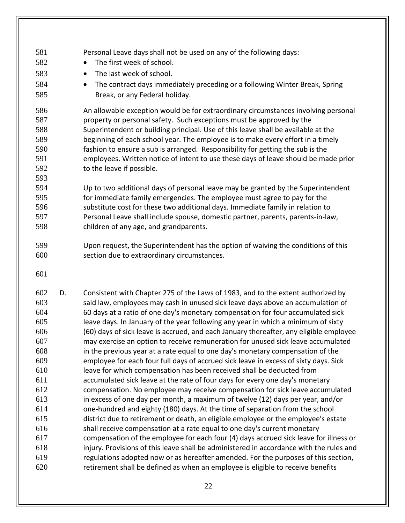- Personal Leave days shall not be used on any of the following days: 582 • The first week of school. 583 • The last week of school. • The contract days immediately preceding or a following Winter Break, Spring Break, or any Federal holiday. An allowable exception would be for extraordinary circumstances involving personal property or personal safety. Such exceptions must be approved by the Superintendent or building principal. Use of this leave shall be available at the beginning of each school year. The employee is to make every effort in a timely fashion to ensure a sub is arranged. Responsibility for getting the sub is the employees. Written notice of intent to use these days of leave should be made prior 592 to the leave if possible. Up to two additional days of personal leave may be granted by the Superintendent for immediate family emergencies. The employee must agree to pay for the substitute cost for these two additional days. Immediate family in relation to Personal Leave shall include spouse, domestic partner, parents, parents-in-law,
	- children of any age, and grandparents.
	- Upon request, the Superintendent has the option of waiving the conditions of this section due to extraordinary circumstances.

 D. Consistent with Chapter 275 of the Laws of 1983, and to the extent authorized by said law, employees may cash in unused sick leave days above an accumulation of 60 days at a ratio of one day's monetary compensation for four accumulated sick leave days. In January of the year following any year in which a minimum of sixty (60) days of sick leave is accrued, and each January thereafter, any eligible employee may exercise an option to receive remuneration for unused sick leave accumulated in the previous year at a rate equal to one day's monetary compensation of the employee for each four full days of accrued sick leave in excess of sixty days. Sick leave for which compensation has been received shall be deducted from accumulated sick leave at the rate of four days for every one day's monetary compensation. No employee may receive compensation for sick leave accumulated in excess of one day per month, a maximum of twelve (12) days per year, and/or one-hundred and eighty (180) days. At the time of separation from the school district due to retirement or death, an eligible employee or the employee's estate shall receive compensation at a rate equal to one day's current monetary compensation of the employee for each four (4) days accrued sick leave for illness or injury. Provisions of this leave shall be administered in accordance with the rules and regulations adopted now or as hereafter amended. For the purposes of this section, retirement shall be defined as when an employee is eligible to receive benefits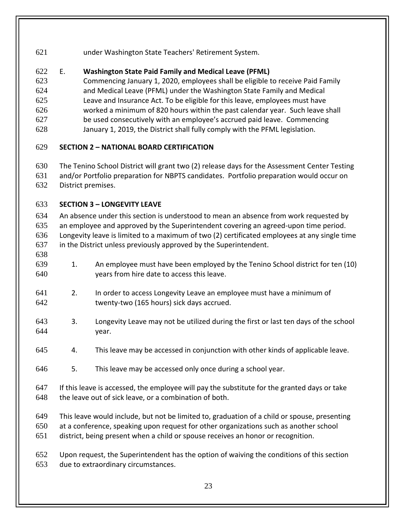under Washington State Teachers' Retirement System.

## E. **Washington State Paid Family and Medical Leave (PFML)**

Commencing January 1, 2020, employees shall be eligible to receive Paid Family

and Medical Leave (PFML) under the Washington State Family and Medical

 Leave and Insurance Act. To be eligible for this leave, employees must have worked a minimum of 820 hours within the past calendar year. Such leave shall

be used consecutively with an employee's accrued paid leave. Commencing

January 1, 2019, the District shall fully comply with the PFML legislation.

## <span id="page-22-0"></span>**SECTION 2 – NATIONAL BOARD CERTIFICATION**

The Tenino School District will grant two (2) release days for the Assessment Center Testing

and/or Portfolio preparation for NBPTS candidates. Portfolio preparation would occur on

District premises.

## <span id="page-22-1"></span>**SECTION 3 – LONGEVITY LEAVE**

 An absence under this section is understood to mean an absence from work requested by an employee and approved by the Superintendent covering an agreed-upon time period. Longevity leave is limited to a maximum of two (2) certificated employees at any single time in the District unless previously approved by the Superintendent.

- 
- 1. An employee must have been employed by the Tenino School district for ten (10) years from hire date to access this leave.
- 2. In order to access Longevity Leave an employee must have a minimum of twenty-two (165 hours) sick days accrued.
- 3. Longevity Leave may not be utilized during the first or last ten days of the school year.
- 4. This leave may be accessed in conjunction with other kinds of applicable leave.
- 5. This leave may be accessed only once during a school year.
- If this leave is accessed, the employee will pay the substitute for the granted days or take the leave out of sick leave, or a combination of both.
- This leave would include, but not be limited to, graduation of a child or spouse, presenting
- at a conference, speaking upon request for other organizations such as another school
- district, being present when a child or spouse receives an honor or recognition.

 Upon request, the Superintendent has the option of waiving the conditions of this section due to extraordinary circumstances.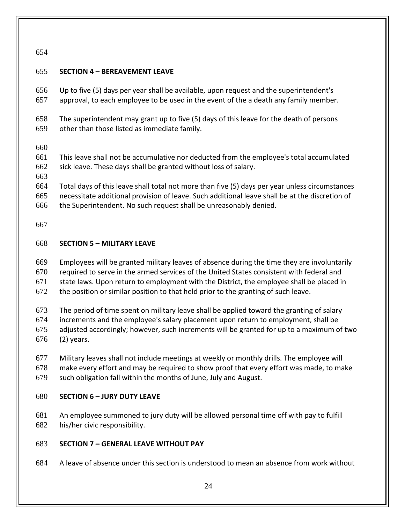### <span id="page-23-0"></span>**SECTION 4 – BEREAVEMENT LEAVE**

 Up to five (5) days per year shall be available, upon request and the superintendent's approval, to each employee to be used in the event of the a death any family member.

 The superintendent may grant up to five (5) days of this leave for the death of persons other than those listed as immediate family.

 This leave shall not be accumulative nor deducted from the employee's total accumulated sick leave. These days shall be granted without loss of salary.

 Total days of this leave shall total not more than five (5) days per year unless circumstances necessitate additional provision of leave. Such additional leave shall be at the discretion of

the Superintendent. No such request shall be unreasonably denied.

### <span id="page-23-1"></span>**SECTION 5 – MILITARY LEAVE**

Employees will be granted military leaves of absence during the time they are involuntarily

required to serve in the armed services of the United States consistent with federal and

state laws. Upon return to employment with the District, the employee shall be placed in

the position or similar position to that held prior to the granting of such leave.

The period of time spent on military leave shall be applied toward the granting of salary

increments and the employee's salary placement upon return to employment, shall be

adjusted accordingly; however, such increments will be granted for up to a maximum of two

(2) years.

Military leaves shall not include meetings at weekly or monthly drills. The employee will

make every effort and may be required to show proof that every effort was made, to make

such obligation fall within the months of June, July and August.

### <span id="page-23-2"></span>**SECTION 6 – JURY DUTY LEAVE**

 An employee summoned to jury duty will be allowed personal time off with pay to fulfill his/her civic responsibility.

### <span id="page-23-3"></span>**SECTION 7 – GENERAL LEAVE WITHOUT PAY**

A leave of absence under this section is understood to mean an absence from work without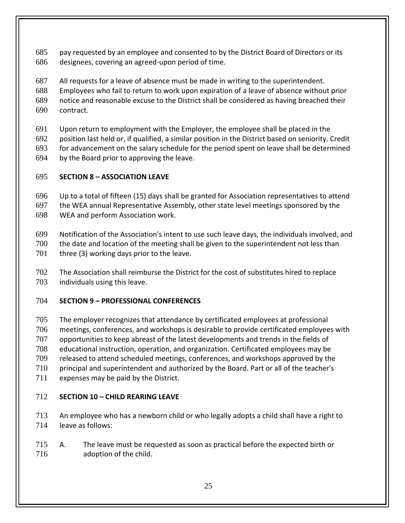pay requested by an employee and consented to by the District Board of Directors or its designees, covering an agreed-upon period of time.

All requests for a leave of absence must be made in writing to the superintendent.

 Employees who fail to return to work upon expiration of a leave of absence without prior notice and reasonable excuse to the District shall be considered as having breached their

contract.

Upon return to employment with the Employer, the employee shall be placed in the

position last held or, if qualified, a similar position in the District based on seniority. Credit

for advancement on the salary schedule for the period spent on leave shall be determined

by the Board prior to approving the leave.

## <span id="page-24-0"></span>**SECTION 8 – ASSOCIATION LEAVE**

Up to a total of fifteen (15) days shall be granted for Association representatives to attend

the WEA annual Representative Assembly, other state level meetings sponsored by the

WEA and perform Association work.

 Notification of the Association's intent to use such leave days, the individuals involved, and the date and location of the meeting shall be given to the superintendent not less than 701 three (3) working days prior to the leave.

 The Association shall reimburse the District for the cost of substitutes hired to replace individuals using this leave.

## <span id="page-24-1"></span>**SECTION 9 – PROFESSIONAL CONFERENCES**

 The employer recognizes that attendance by certificated employees at professional meetings, conferences, and workshops is desirable to provide certificated employees with opportunities to keep abreast of the latest developments and trends in the fields of educational instruction, operation, and organization. Certificated employees may be released to attend scheduled meetings, conferences, and workshops approved by the principal and superintendent and authorized by the Board. Part or all of the teacher's 711 expenses may be paid by the District.

# <span id="page-24-2"></span>**SECTION 10 – CHILD REARING LEAVE**

 An employee who has a newborn child or who legally adopts a child shall have a right to leave as follows:

 A. The leave must be requested as soon as practical before the expected birth or adoption of the child.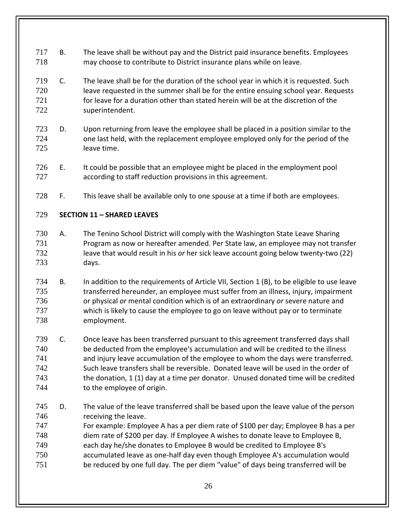- B. The leave shall be without pay and the District paid insurance benefits. Employees may choose to contribute to District insurance plans while on leave.
- C. The leave shall be for the duration of the school year in which it is requested. Such leave requested in the summer shall be for the entire ensuing school year. Requests for leave for a duration other than stated herein will be at the discretion of the superintendent.
- D. Upon returning from leave the employee shall be placed in a position similar to the one last held, with the replacement employee employed only for the period of the leave time.
- E. It could be possible that an employee might be placed in the employment pool according to staff reduction provisions in this agreement.
- F. This leave shall be available only to one spouse at a time if both are employees.

### <span id="page-25-0"></span>**SECTION 11 – SHARED LEAVES**

- A. The Tenino School District will comply with the Washington State Leave Sharing Program as now or hereafter amended. Per State law, an employee may not transfer leave that would result in his *or* her sick leave account going below twenty-two (22) days.
- B. In addition to the requirements of Article VII, Section 1 (B), to be eligible to use leave transferred hereunder, an employee must suffer from an illness, injury, impairment or physical *or* mental condition which is of an extraordinary *or* severe nature and which is likely to cause the employee to go on leave without pay or to terminate employment.
- C. Once leave has been transferred pursuant to this agreement transferred days shall be deducted from the employee's accumulation and will be credited to the illness and injury leave accumulation of the employee to whom the days were transferred. Such leave transfers shall be reversible. Donated leave will be used in the order of the donation, 1 (1) day at a time per donator. Unused donated time will be credited 744 to the employee of origin.
- D. The value of the leave transferred shall be based upon the leave value of the person 746 receiving the leave.
- For example: Employee A has a per diem rate of \$100 per day; Employee B has a per diem rate of \$200 per day. If Employee A wishes to donate leave to Employee B,
- each day he/she donates to Employee B would be credited to Employee B's
- accumulated leave as one-half day even though Employee A's accumulation would
- be reduced by one full day. The per diem "value" of days being transferred will be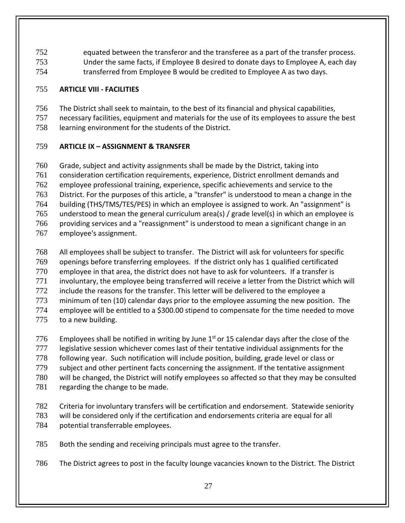equated between the transferor and the transferee as a part of the transfer process. Under the same facts, if Employee B desired to donate days to Employee A, each day transferred from Employee B would be credited to Employee A as two days.

### <span id="page-26-0"></span>**ARTICLE VIII - FACILITIES**

- The District shall seek to maintain, to the best of its financial and physical capabilities,
- necessary facilities, equipment and materials for the use of its employees to assure the best

learning environment for the students of the District.

### <span id="page-26-1"></span>**ARTICLE IX – ASSIGNMENT & TRANSFER**

 Grade, subject and activity assignments shall be made by the District, taking into consideration certification requirements, experience, District enrollment demands and employee professional training, experience, specific achievements and service to the District. For the purposes of this article, a "transfer" is understood to mean a change in the building (THS/TMS/TES/PES) in which an employee is assigned to work. An "assignment" is understood to mean the general curriculum area(s) / grade level(s) in which an employee is providing services and a "reassignment" is understood to mean a significant change in an employee's assignment.

- All employees shall be subject to transfer. The District will ask for volunteers for specific openings before transferring employees. If the district only has 1 qualified certificated employee in that area, the district does not have to ask for volunteers. If a transfer is involuntary, the employee being transferred will receive a letter from the District which will 772 include the reasons for the transfer. This letter will be delivered to the employee a minimum of ten (10) calendar days prior to the employee assuming the new position. The employee will be entitled to a \$300.00 stipend to compensate for the time needed to move 775 to a new building.
- 776 Employees shall be notified in writing by June  $1<sup>st</sup>$  or 15 calendar days after the close of the 777 legislative session whichever comes last of their tentative individual assignments for the following year. Such notification will include position, building, grade level or class or subject and other pertinent facts concerning the assignment. If the tentative assignment will be changed, the District will notify employees so affected so that they may be consulted 781 regarding the change to be made.
- Criteria for involuntary transfers will be certification and endorsement. Statewide seniority will be considered only if the certification and endorsements criteria are equal for all potential transferrable employees.
- Both the sending and receiving principals must agree to the transfer.
- The District agrees to post in the faculty lounge vacancies known to the District. The District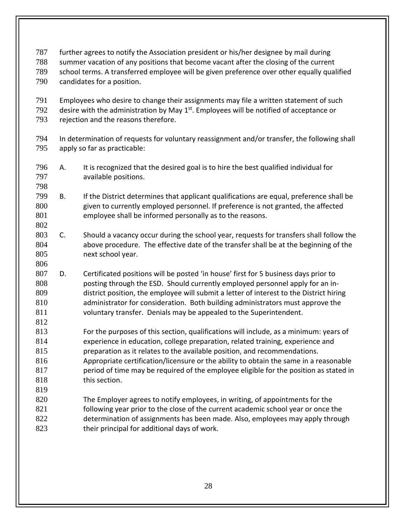- further agrees to notify the Association president or his/her designee by mail during summer vacation of any positions that become vacant after the closing of the current
- school terms. A transferred employee will be given preference over other equally qualified candidates for a position.
- Employees who desire to change their assignments may file a written statement of such desire with the administration by May  $1<sup>st</sup>$ . Employees will be notified of acceptance or
- rejection and the reasons therefore.
- In determination of requests for voluntary reassignment and/or transfer, the following shall apply so far as practicable:
- A. It is recognized that the desired goal is to hire the best qualified individual for available positions.
- 
- B. If the District determines that applicant qualifications are equal, preference shall be given to currently employed personnel. If preference is not granted, the affected employee shall be informed personally as to the reasons.
- C. Should a vacancy occur during the school year, requests for transfers shall follow the above procedure. The effective date of the transfer shall be at the beginning of the next school year.
- 

- D. Certificated positions will be posted 'in house' first for 5 business days prior to posting through the ESD. Should currently employed personnel apply for an in- district position, the employee will submit a letter of interest to the District hiring administrator for consideration. Both building administrators must approve the voluntary transfer. Denials may be appealed to the Superintendent.
- For the purposes of this section, qualifications will include, as a minimum: years of experience in education, college preparation, related training, experience and preparation as it relates to the available position, and recommendations. Appropriate certification/licensure or the ability to obtain the same in a reasonable
- period of time may be required of the employee eligible for the position as stated in 818 this section.
- 820 The Employer agrees to notify employees, in writing, of appointments for the 821 following year prior to the close of the current academic school year or once the determination of assignments has been made. Also, employees may apply through 823 their principal for additional days of work.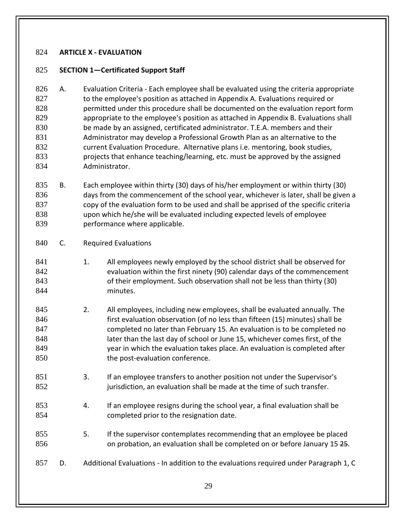#### <span id="page-28-0"></span>**ARTICLE X - EVALUATION**

#### <span id="page-28-1"></span>**SECTION 1—Certificated Support Staff**

 A. Evaluation Criteria - Each employee shall be evaluated using the criteria appropriate to the employee's position as attached in Appendix A. Evaluations required or 828 permitted under this procedure shall be documented on the evaluation report form appropriate to the employee's position as attached in Appendix B. Evaluations shall be made by an assigned, certificated administrator. T.E.A. members and their Administrator may develop a Professional Growth Plan as an alternative to the current Evaluation Procedure. Alternative plans i.e. mentoring, book studies, projects that enhance teaching/learning, etc. must be approved by the assigned Administrator.

- B. Each employee within thirty (30) days of his/her employment or within thirty (30) days from the commencement of the school year, whichever is later, shall be given a copy of the evaluation form to be used and shall be apprised of the specific criteria upon which he/she will be evaluated including expected levels of employee performance where applicable.
- C. Required Evaluations
- 841 1. All employees newly employed by the school district shall be observed for evaluation within the first ninety (90) calendar days of the commencement of their employment. Such observation shall not be less than thirty (30) minutes.
- 2. All employees, including new employees, shall be evaluated annually. The **first evaluation observation (of no less than fifteen (15) minutes) shall be**  completed no later than February 15. An evaluation is to be completed no 848 later than the last day of school or June 15, whichever comes first, of the year in which the evaluation takes place. An evaluation is completed after 850 the post-evaluation conference.
- 3. If an employee transfers to another position not under the Supervisor's jurisdiction, an evaluation shall be made at the time of such transfer.
- 4. If an employee resigns during the school year, a final evaluation shall be 854 completed prior to the resignation date.
- 5. If the supervisor contemplates recommending that an employee be placed **on probation, an evaluation shall be completed on or before January 15 25.**
- D. Additional Evaluations In addition to the evaluations required under Paragraph 1, C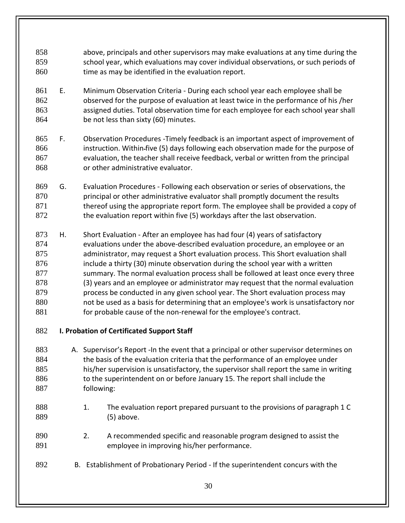- above, principals and other supervisors may make evaluations at any time during the school year, which evaluations may cover individual observations, or such periods of 860 time as may be identified in the evaluation report.
- E. Minimum Observation Criteria During each school year each employee shall be observed for the purpose of evaluation at least twice in the performance of his /her assigned duties. Total observation time for each employee for each school year shall 864 be not less than sixty (60) minutes.
- F. Observation Procedures -Timely feedback is an important aspect of improvement of instruction. Within five (5) days following each observation made for the purpose of evaluation, the teacher shall receive feedback, verbal or written from the principal or other administrative evaluator.
- G. Evaluation Procedures Following each observation or series of observations, the principal or other administrative evaluator shall promptly document the results thereof using the appropriate report form. The employee shall be provided a copy of 872 the evaluation report within five (5) workdays after the last observation.
- H. Short Evaluation After an employee has had four (4) years of satisfactory evaluations under the above-described evaluation procedure, an employee or an administrator, may request a Short evaluation process. This Short evaluation shall include a thirty (30) minute observation during the school year with a written 877 summary. The normal evaluation process shall be followed at least once every three (3) years and an employee or administrator may request that the normal evaluation 879 process be conducted in any given school year. The Short evaluation process may not be used as a basis for determining that an employee's work is unsatisfactory nor 881 for probable cause of the non-renewal for the employee's contract.
- **I. Probation of Certificated Support Staff**
- A. Supervisor's Report -In the event that a principal or other supervisor determines on 884 the basis of the evaluation criteria that the performance of an employee under his/her supervision is unsatisfactory, the supervisor shall report the same in writing 886 to the superintendent on or before January 15. The report shall include the following:
- 888 1. The evaluation report prepared pursuant to the provisions of paragraph 1 C (5) above.
- 2. A recommended specific and reasonable program designed to assist the employee in improving his/her performance.
- B. Establishment of Probationary Period If the superintendent concurs with the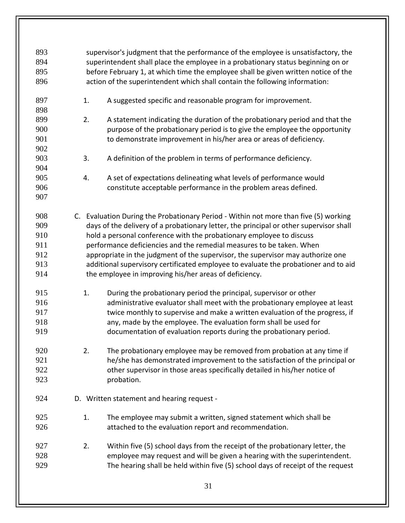| 893 |                                                                                    | supervisor's judgment that the performance of the employee is unsatisfactory, the      |  |  |
|-----|------------------------------------------------------------------------------------|----------------------------------------------------------------------------------------|--|--|
| 894 | superintendent shall place the employee in a probationary status beginning on or   |                                                                                        |  |  |
| 895 | before February 1, at which time the employee shall be given written notice of the |                                                                                        |  |  |
| 896 |                                                                                    | action of the superintendent which shall contain the following information:            |  |  |
|     |                                                                                    |                                                                                        |  |  |
| 897 | 1.                                                                                 | A suggested specific and reasonable program for improvement.                           |  |  |
| 898 |                                                                                    |                                                                                        |  |  |
| 899 | 2.                                                                                 | A statement indicating the duration of the probationary period and that the            |  |  |
| 900 |                                                                                    | purpose of the probationary period is to give the employee the opportunity             |  |  |
| 901 |                                                                                    | to demonstrate improvement in his/her area or areas of deficiency.                     |  |  |
| 902 |                                                                                    |                                                                                        |  |  |
| 903 | 3.                                                                                 | A definition of the problem in terms of performance deficiency.                        |  |  |
| 904 |                                                                                    |                                                                                        |  |  |
| 905 | 4.                                                                                 | A set of expectations delineating what levels of performance would                     |  |  |
| 906 |                                                                                    | constitute acceptable performance in the problem areas defined.                        |  |  |
| 907 |                                                                                    |                                                                                        |  |  |
|     |                                                                                    |                                                                                        |  |  |
| 908 |                                                                                    | C. Evaluation During the Probationary Period - Within not more than five (5) working   |  |  |
| 909 |                                                                                    | days of the delivery of a probationary letter, the principal or other supervisor shall |  |  |
| 910 |                                                                                    | hold a personal conference with the probationary employee to discuss                   |  |  |
| 911 |                                                                                    | performance deficiencies and the remedial measures to be taken. When                   |  |  |
| 912 |                                                                                    | appropriate in the judgment of the supervisor, the supervisor may authorize one        |  |  |
| 913 |                                                                                    | additional supervisory certificated employee to evaluate the probationer and to aid    |  |  |
| 914 |                                                                                    | the employee in improving his/her areas of deficiency.                                 |  |  |
|     |                                                                                    |                                                                                        |  |  |
| 915 | 1.                                                                                 | During the probationary period the principal, supervisor or other                      |  |  |
| 916 |                                                                                    | administrative evaluator shall meet with the probationary employee at least            |  |  |
| 917 |                                                                                    | twice monthly to supervise and make a written evaluation of the progress, if           |  |  |
| 918 |                                                                                    | any, made by the employee. The evaluation form shall be used for                       |  |  |
| 919 |                                                                                    | documentation of evaluation reports during the probationary period.                    |  |  |
|     |                                                                                    |                                                                                        |  |  |
| 920 | 2.                                                                                 | The probationary employee may be removed from probation at any time if                 |  |  |
| 921 |                                                                                    | he/she has demonstrated improvement to the satisfaction of the principal or            |  |  |
| 922 |                                                                                    | other supervisor in those areas specifically detailed in his/her notice of             |  |  |
| 923 |                                                                                    | probation.                                                                             |  |  |
|     |                                                                                    |                                                                                        |  |  |
| 924 |                                                                                    | D. Written statement and hearing request -                                             |  |  |
|     |                                                                                    |                                                                                        |  |  |
| 925 | 1.                                                                                 | The employee may submit a written, signed statement which shall be                     |  |  |
| 926 |                                                                                    | attached to the evaluation report and recommendation.                                  |  |  |
|     |                                                                                    |                                                                                        |  |  |
| 927 | 2.                                                                                 | Within five (5) school days from the receipt of the probationary letter, the           |  |  |
| 928 |                                                                                    | employee may request and will be given a hearing with the superintendent.              |  |  |
| 929 |                                                                                    | The hearing shall be held within five (5) school days of receipt of the request        |  |  |
|     |                                                                                    |                                                                                        |  |  |
|     |                                                                                    | 31                                                                                     |  |  |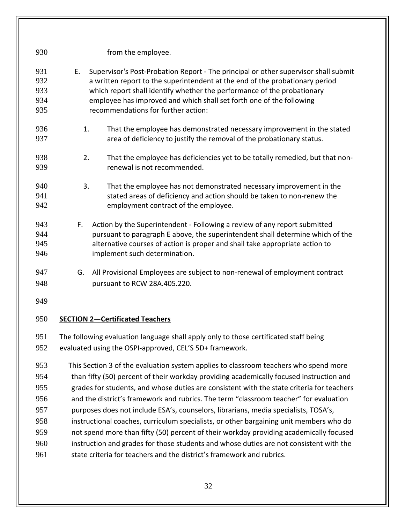| 930 | from the employee.                                                                        |  |  |  |
|-----|-------------------------------------------------------------------------------------------|--|--|--|
| 931 | Supervisor's Post-Probation Report - The principal or other supervisor shall submit<br>E. |  |  |  |
| 932 | a written report to the superintendent at the end of the probationary period              |  |  |  |
| 933 | which report shall identify whether the performance of the probationary                   |  |  |  |
| 934 | employee has improved and which shall set forth one of the following                      |  |  |  |
| 935 | recommendations for further action:                                                       |  |  |  |
| 936 | 1.<br>That the employee has demonstrated necessary improvement in the stated              |  |  |  |
| 937 | area of deficiency to justify the removal of the probationary status.                     |  |  |  |
| 938 | 2.<br>That the employee has deficiencies yet to be totally remedied, but that non-        |  |  |  |
| 939 | renewal is not recommended.                                                               |  |  |  |
| 940 | 3.<br>That the employee has not demonstrated necessary improvement in the                 |  |  |  |
| 941 | stated areas of deficiency and action should be taken to non-renew the                    |  |  |  |
| 942 | employment contract of the employee.                                                      |  |  |  |
| 943 | F.<br>Action by the Superintendent - Following a review of any report submitted           |  |  |  |
| 944 | pursuant to paragraph E above, the superintendent shall determine which of the            |  |  |  |
| 945 | alternative courses of action is proper and shall take appropriate action to              |  |  |  |
| 946 | implement such determination.                                                             |  |  |  |
| 947 | G.<br>All Provisional Employees are subject to non-renewal of employment contract         |  |  |  |
| 948 | pursuant to RCW 28A.405.220.                                                              |  |  |  |
| 949 |                                                                                           |  |  |  |
| 950 | <b>SECTION 2-Certificated Teachers</b>                                                    |  |  |  |
| 951 | The following evaluation language shall apply only to those certificated staff being      |  |  |  |
| 952 | evaluated using the OSPI-approved, CEL'S 5D+ framework.                                   |  |  |  |
| 953 | This Section 3 of the evaluation system applies to classroom teachers who spend more      |  |  |  |
| 954 | than fifty (50) percent of their workday providing academically focused instruction and   |  |  |  |
| 955 | grades for students, and whose duties are consistent with the state criteria for teachers |  |  |  |
| 956 | and the district's framework and rubrics. The term "classroom teacher" for evaluation     |  |  |  |
| 957 | purposes does not include ESA's, counselors, librarians, media specialists, TOSA's,       |  |  |  |
| 958 | instructional coaches, curriculum specialists, or other bargaining unit members who do    |  |  |  |
| 959 | not spend more than fifty (50) percent of their workday providing academically focused    |  |  |  |
| 960 | instruction and grades for those students and whose duties are not consistent with the    |  |  |  |
| 961 | state criteria for teachers and the district's framework and rubrics.                     |  |  |  |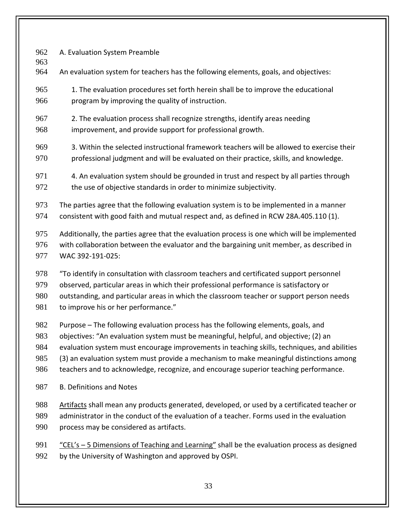A. Evaluation System Preamble

- An evaluation system for teachers has the following elements, goals, and objectives:
- 1. The evaluation procedures set forth herein shall be to improve the educational program by improving the quality of instruction.
- 2. The evaluation process shall recognize strengths, identify areas needing
- improvement, and provide support for professional growth.
- 3. Within the selected instructional framework teachers will be allowed to exercise their professional judgment and will be evaluated on their practice, skills, and knowledge.
- 4. An evaluation system should be grounded in trust and respect by all parties through 972 the use of objective standards in order to minimize subjectivity.
- The parties agree that the following evaluation system is to be implemented in a manner consistent with good faith and mutual respect and, as defined in RCW 28A.405.110 (1).
- Additionally, the parties agree that the evaluation process is one which will be implemented with collaboration between the evaluator and the bargaining unit member, as described in WAC 392-191-025:
- "To identify in consultation with classroom teachers and certificated support personnel observed, particular areas in which their professional performance is satisfactory or
- outstanding, and particular areas in which the classroom teacher or support person needs
- 981 to improve his or her performance."
- Purpose The following evaluation process has the following elements, goals, and
- objectives: "An evaluation system must be meaningful, helpful, and objective; (2) an
- evaluation system must encourage improvements in teaching skills, techniques, and abilities
- (3) an evaluation system must provide a mechanism to make meaningful distinctions among
- teachers and to acknowledge, recognize, and encourage superior teaching performance.
- B. Definitions and Notes
- Artifacts shall mean any products generated, developed, or used by a certificated teacher or administrator in the conduct of the evaluation of a teacher. Forms used in the evaluation process may be considered as artifacts.
- "CEL's 5 Dimensions of Teaching and Learning" shall be the evaluation process as designed by the University of Washington and approved by OSPI.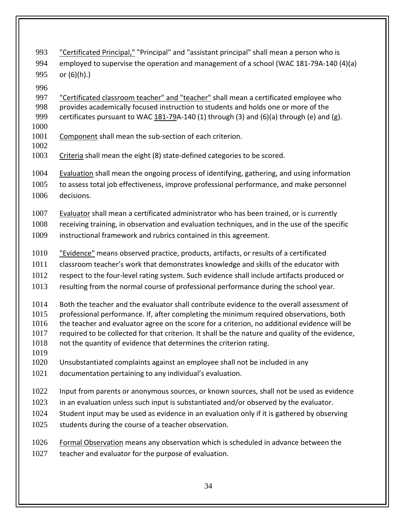- "Certificated Principal," "Principal" and "assistant principal" shall mean a person who is employed to supervise the operation and management of a school (WAC 181-79A-140 (4)(a) or (6)(h).)
- 

997 "Certificated classroom teacher" and "teacher" shall mean a certificated employee who provides academically focused instruction to students and holds one or more of the certificates pursuant to WAC [181-79A](http://apps.leg.wa.gov/wac/default.aspx?cite=181-79)-140 (1) through (3) and (6)(a) through (e) and (g).

Component shall mean the sub-section of each criterion.

Criteria shall mean the eight (8) state-defined categories to be scored.

Evaluation shall mean the ongoing process of identifying, gathering, and using information

 to assess total job effectiveness, improve professional performance, and make personnel decisions.

1007 Evaluator shall mean a certificated administrator who has been trained, or is currently

receiving training, in observation and evaluation techniques, and in the use of the specific

instructional framework and rubrics contained in this agreement.

1010 "Evidence" means observed practice, products, artifacts, or results of a certificated

classroom teacher's work that demonstrates knowledge and skills of the educator with

respect to the four-level rating system. Such evidence shall include artifacts produced or

resulting from the normal course of professional performance during the school year.

Both the teacher and the evaluator shall contribute evidence to the overall assessment of

- professional performance. If, after completing the minimum required observations, both
- the teacher and evaluator agree on the score for a criterion, no additional evidence will be
- required to be collected for that criterion. It shall be the nature and quality of the evidence,
- not the quantity of evidence that determines the criterion rating.
- 

Unsubstantiated complaints against an employee shall not be included in any

- documentation pertaining to any individual's evaluation.
- Input from parents or anonymous sources, or known sources, shall not be used as evidence
- in an evaluation unless such input is substantiated and/or observed by the evaluator.
- 1024 Student input may be used as evidence in an evaluation only if it is gathered by observing
- 1025 students during the course of a teacher observation.
- Formal Observation means any observation which is scheduled in advance between the
- teacher and evaluator for the purpose of evaluation.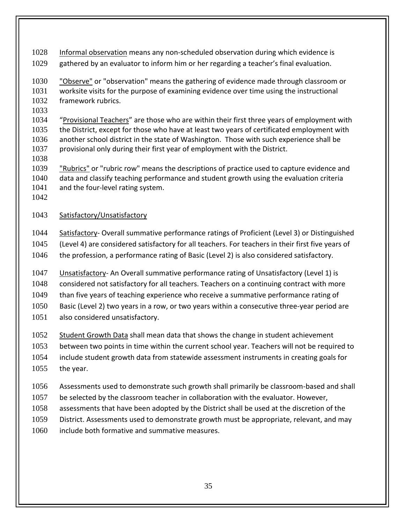Informal observation means any non-scheduled observation during which evidence is

gathered by an evaluator to inform him or her regarding a teacher's final evaluation.

 "Observe" or "observation" means the gathering of evidence made through classroom or worksite visits for the purpose of examining evidence over time using the instructional framework rubrics.

 "Provisional Teachers" are those who are within their first three years of employment with the District, except for those who have at least two years of certificated employment with another school district in the state of Washington. Those with such experience shall be provisional only during their first year of employment with the District.

 "Rubrics" or "rubric row" means the descriptions of practice used to capture evidence and data and classify teaching performance and student growth using the evaluation criteria 1041 and the four-level rating system.

### Satisfactory/Unsatisfactory

 Satisfactory- Overall summative performance ratings of Proficient (Level 3) or Distinguished (Level 4) are considered satisfactory for all teachers. For teachers in their first five years of the profession, a performance rating of Basic (Level 2) is also considered satisfactory.

 Unsatisfactory- An Overall summative performance rating of Unsatisfactory (Level 1) is considered not satisfactory for all teachers. Teachers on a continuing contract with more than five years of teaching experience who receive a summative performance rating of Basic (Level 2) two years in a row, or two years within a consecutive three-year period are also considered unsatisfactory.

Student Growth Data shall mean data that shows the change in student achievement

 between two points in time within the current school year. Teachers will not be required to include student growth data from statewide assessment instruments in creating goals for

the year.

Assessments used to demonstrate such growth shall primarily be classroom-based and shall

- be selected by the classroom teacher in collaboration with the evaluator. However,
- assessments that have been adopted by the District shall be used at the discretion of the
- District. Assessments used to demonstrate growth must be appropriate, relevant, and may
- include both formative and summative measures.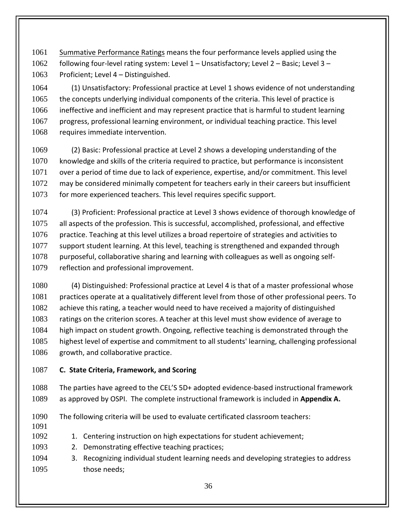Summative Performance Ratings means the four performance levels applied using the following four-level rating system: Level 1 – Unsatisfactory; Level 2 – Basic; Level 3 – 1063 Proficient; Level 4 – Distinguished.

 (1) Unsatisfactory: Professional practice at Level 1 shows evidence of not understanding the concepts underlying individual components of the criteria. This level of practice is ineffective and inefficient and may represent practice that is harmful to student learning progress, professional learning environment, or individual teaching practice. This level requires immediate intervention.

 (2) Basic: Professional practice at Level 2 shows a developing understanding of the knowledge and skills of the criteria required to practice, but performance is inconsistent over a period of time due to lack of experience, expertise, and/or commitment. This level may be considered minimally competent for teachers early in their careers but insufficient 1073 for more experienced teachers. This level requires specific support.

 (3) Proficient: Professional practice at Level 3 shows evidence of thorough knowledge of all aspects of the profession. This is successful, accomplished, professional, and effective practice. Teaching at this level utilizes a broad repertoire of strategies and activities to support student learning. At this level, teaching is strengthened and expanded through purposeful, collaborative sharing and learning with colleagues as well as ongoing self-reflection and professional improvement.

 (4) Distinguished: Professional practice at Level 4 is that of a master professional whose practices operate at a qualitatively different level from those of other professional peers. To achieve this rating, a teacher would need to have received a majority of distinguished 1083 ratings on the criterion scores. A teacher at this level must show evidence of average to high impact on student growth. Ongoing, reflective teaching is demonstrated through the highest level of expertise and commitment to all students' learning, challenging professional 1086 growth, and collaborative practice.

**C. State Criteria, Framework, and Scoring**

 The parties have agreed to the CEL'S 5D+ adopted evidence-based instructional framework as approved by OSPI. The complete instructional framework is included in **Appendix A.** 

The following criteria will be used to evaluate certificated classroom teachers:

- 
- 1092 1. Centering instruction on high expectations for student achievement;
- 2. Demonstrating effective teaching practices;
- 3. Recognizing individual student learning needs and developing strategies to address 1095 those needs: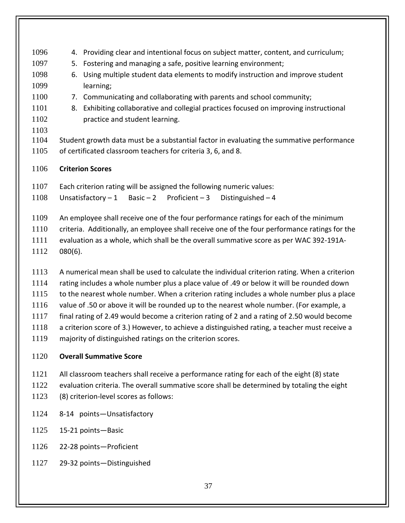- 4. Providing clear and intentional focus on subject matter, content, and curriculum; 5. Fostering and managing a safe, positive learning environment; 6. Using multiple student data elements to modify instruction and improve student learning; 7. Communicating and collaborating with parents and school community; 8. Exhibiting collaborative and collegial practices focused on improving instructional **practice and student learning.**  Student growth data must be a substantial factor in evaluating the summative performance of certificated classroom teachers for criteria 3, 6, and 8.
- **Criterion Scores**
- Each criterion rating will be assigned the following numeric values:
- Unsatisfactory 1 Basic 2 Proficient 3 Distinguished 4
- An employee shall receive one of the four performance ratings for each of the minimum
- criteria. Additionally, an employee shall receive one of the four performance ratings for the
- evaluation as a whole, which shall be the overall summative score as per WAC 392-191A-
- 080(6).
- A numerical mean shall be used to calculate the individual criterion rating. When a criterion
- rating includes a whole number plus a place value of .49 or below it will be rounded down
- to the nearest whole number. When a criterion rating includes a whole number plus a place
- value of .50 or above it will be rounded up to the nearest whole number. (For example, a
- final rating of 2.49 would become a criterion rating of 2 and a rating of 2.50 would become
- a criterion score of 3.) However, to achieve a distinguished rating, a teacher must receive a
- majority of distinguished ratings on the criterion scores.
- **Overall Summative Score**
- All classroom teachers shall receive a performance rating for each of the eight (8) state
- evaluation criteria. The overall summative score shall be determined by totaling the eight (8) criterion-level scores as follows:
- 8-14 points—Unsatisfactory
- 15-21 points—Basic
- 22-28 points—Proficient
- 29-32 points—Distinguished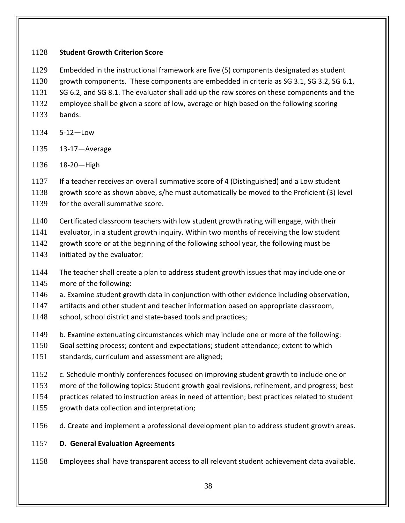#### **Student Growth Criterion Score**

- Embedded in the instructional framework are five (5) components designated as student
- growth components. These components are embedded in criteria as SG 3.1, SG 3.2, SG 6.1,

SG 6.2, and SG 8.1. The evaluator shall add up the raw scores on these components and the

- employee shall be given a score of low, average or high based on the following scoring
- bands:
- 5-12—Low
- 13-17—Average
- 18-20—High

1137 If a teacher receives an overall summative score of 4 (Distinguished) and a Low student

- growth score as shown above, s/he must automatically be moved to the Proficient (3) level
- 1139 for the overall summative score.
- Certificated classroom teachers with low student growth rating will engage, with their
- evaluator, in a student growth inquiry. Within two months of receiving the low student
- growth score or at the beginning of the following school year, the following must be
- initiated by the evaluator:
- The teacher shall create a plan to address student growth issues that may include one or
- more of the following:
- a. Examine student growth data in conjunction with other evidence including observation,

artifacts and other student and teacher information based on appropriate classroom,

- 1148 school, school district and state-based tools and practices;
- b. Examine extenuating circumstances which may include one or more of the following:
- Goal setting process; content and expectations; student attendance; extent to which
- standards, curriculum and assessment are aligned;
- c. Schedule monthly conferences focused on improving student growth to include one or
- more of the following topics: Student growth goal revisions, refinement, and progress; best
- practices related to instruction areas in need of attention; best practices related to student
- growth data collection and interpretation;
- d. Create and implement a professional development plan to address student growth areas.

## **D. General Evaluation Agreements**

Employees shall have transparent access to all relevant student achievement data available.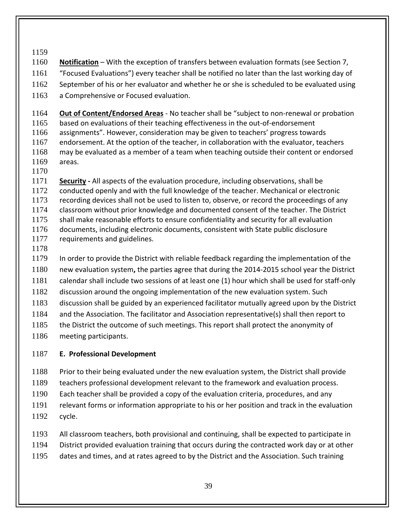- **Notification** With the exception of transfers between evaluation formats (see Section 7,
- "Focused Evaluations") every teacher shall be notified no later than the last working day of
- 1162 September of his or her evaluator and whether he or she is scheduled to be evaluated using
- 1163 a Comprehensive or Focused evaluation.
- **Out of Content/Endorsed Areas** No teacher shall be "subject to non-renewal or probation based on evaluations of their teaching effectiveness in the out-of-endorsement assignments". However, consideration may be given to teachers' progress towards endorsement. At the option of the teacher, in collaboration with the evaluator, teachers may be evaluated as a member of a team when teaching outside their content or endorsed areas.
- 

 **Security -** All aspects of the evaluation procedure, including observations, shall be conducted openly and with the full knowledge of the teacher. Mechanical or electronic recording devices shall not be used to listen to, observe, or record the proceedings of any classroom without prior knowledge and documented consent of the teacher. The District shall make reasonable efforts to ensure confidentiality and security for all evaluation documents, including electronic documents, consistent with State public disclosure 1177 requirements and guidelines.

 In order to provide the District with reliable feedback regarding the implementation of the new evaluation system**,** the parties agree that during the 2014-2015 school year the District calendar shall include two sessions of at least one (1) hour which shall be used for staff-only discussion around the ongoing implementation of the new evaluation system. Such discussion shall be guided by an experienced facilitator mutually agreed upon by the District and the Association. The facilitator and Association representative(s) shall then report to 1185 the District the outcome of such meetings. This report shall protect the anonymity of

meeting participants.

# **E. Professional Development**

Prior to their being evaluated under the new evaluation system, the District shall provide

- teachers professional development relevant to the framework and evaluation process.
- Each teacher shall be provided a copy of the evaluation criteria, procedures, and any
- relevant forms or information appropriate to his or her position and track in the evaluation cycle.
- All classroom teachers, both provisional and continuing, shall be expected to participate in
- District provided evaluation training that occurs during the contracted work day or at other
- dates and times, and at rates agreed to by the District and the Association. Such training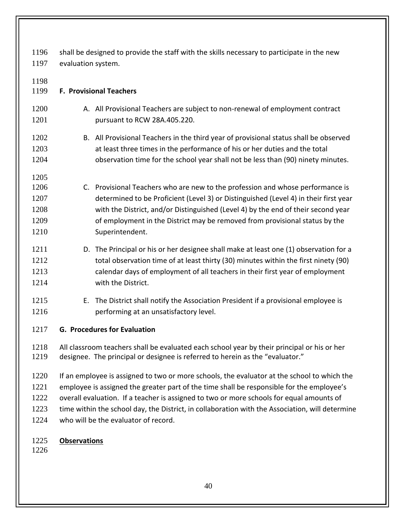shall be designed to provide the staff with the skills necessary to participate in the new evaluation system.

| 1198<br>1199                                 | <b>F. Provisional Teachers</b>                                                                                                                                                                                                                                                                                                                                |
|----------------------------------------------|---------------------------------------------------------------------------------------------------------------------------------------------------------------------------------------------------------------------------------------------------------------------------------------------------------------------------------------------------------------|
| 1200                                         | A. All Provisional Teachers are subject to non-renewal of employment contract                                                                                                                                                                                                                                                                                 |
| 1201                                         | pursuant to RCW 28A.405.220.                                                                                                                                                                                                                                                                                                                                  |
| 1202                                         | B. All Provisional Teachers in the third year of provisional status shall be observed                                                                                                                                                                                                                                                                         |
| 1203                                         | at least three times in the performance of his or her duties and the total                                                                                                                                                                                                                                                                                    |
| 1204                                         | observation time for the school year shall not be less than (90) ninety minutes.                                                                                                                                                                                                                                                                              |
| 1205<br>1206<br>1207<br>1208<br>1209<br>1210 | C. Provisional Teachers who are new to the profession and whose performance is<br>determined to be Proficient (Level 3) or Distinguished (Level 4) in their first year<br>with the District, and/or Distinguished (Level 4) by the end of their second year<br>of employment in the District may be removed from provisional status by the<br>Superintendent. |
| 1211                                         | D. The Principal or his or her designee shall make at least one (1) observation for a                                                                                                                                                                                                                                                                         |
| 1212                                         | total observation time of at least thirty (30) minutes within the first ninety (90)                                                                                                                                                                                                                                                                           |
| 1213                                         | calendar days of employment of all teachers in their first year of employment                                                                                                                                                                                                                                                                                 |
| 1214                                         | with the District.                                                                                                                                                                                                                                                                                                                                            |
| 1215<br>1216                                 | The District shall notify the Association President if a provisional employee is<br>Е.<br>performing at an unsatisfactory level.                                                                                                                                                                                                                              |
| 1217                                         | <b>G. Procedures for Evaluation</b>                                                                                                                                                                                                                                                                                                                           |
| 1218                                         | All classroom teachers shall be evaluated each school year by their principal or his or her                                                                                                                                                                                                                                                                   |
| 1219                                         | designee. The principal or designee is referred to herein as the "evaluator."                                                                                                                                                                                                                                                                                 |
| 1220                                         | If an employee is assigned to two or more schools, the evaluator at the school to which the                                                                                                                                                                                                                                                                   |
| 1221                                         | employee is assigned the greater part of the time shall be responsible for the employee's                                                                                                                                                                                                                                                                     |
| 1222                                         | overall evaluation. If a teacher is assigned to two or more schools for equal amounts of                                                                                                                                                                                                                                                                      |
| 1223                                         | time within the school day, the District, in collaboration with the Association, will determine                                                                                                                                                                                                                                                               |
| 1224                                         | who will be the evaluator of record.                                                                                                                                                                                                                                                                                                                          |
| 1225                                         | <b>Observations</b>                                                                                                                                                                                                                                                                                                                                           |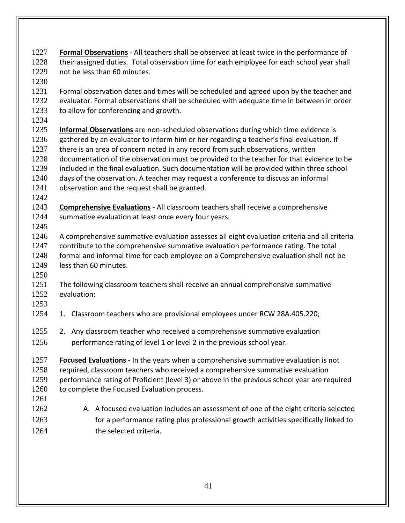- **Formal Observations** All teachers shall be observed at least twice in the performance of 1228 their assigned duties. Total observation time for each employee for each school year shall not be less than 60 minutes.
- Formal observation dates and times will be scheduled and agreed upon by the teacher and evaluator. Formal observations shall be scheduled with adequate time in between in order 1233 to allow for conferencing and growth.
- 

- **Informal Observations** are non-scheduled observations during which time evidence is gathered by an evaluator to inform him or her regarding a teacher's final evaluation. If there is an area of concern noted in any record from such observations, written documentation of the observation must be provided to the teacher for that evidence to be included in the final evaluation. Such documentation will be provided within three school days of the observation. A teacher may request a conference to discuss an informal observation and the request shall be granted.
- 

- **Comprehensive Evaluations** All classroom teachers shall receive a comprehensive 1244 summative evaluation at least once every four years.
- A comprehensive summative evaluation assesses all eight evaluation criteria and all criteria contribute to the comprehensive summative evaluation performance rating. The total formal and informal time for each employee on a Comprehensive evaluation shall not be less than 60 minutes.
- 
- The following classroom teachers shall receive an annual comprehensive summative evaluation:
- 
- 1. Classroom teachers who are provisional employees under RCW 28A.405.220;
- 2. Any classroom teacher who received a comprehensive summative evaluation
- 1256 performance rating of level 1 or level 2 in the previous school year.
- **Focused Evaluations -** In the years when a comprehensive summative evaluation is not required, classroom teachers who received a comprehensive summative evaluation performance rating of Proficient (level 3) or above in the previous school year are required 1260 to complete the Focused Evaluation process.
- A. A focused evaluation includes an assessment of one of the eight criteria selected for a performance rating plus professional growth activities specifically linked to the selected criteria.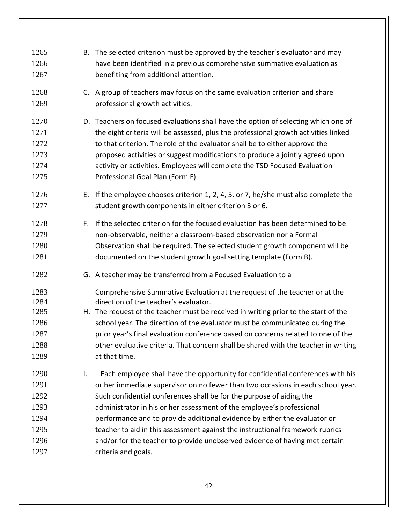| 1265<br>1266<br>1267                                         |    | B. The selected criterion must be approved by the teacher's evaluator and may<br>have been identified in a previous comprehensive summative evaluation as<br>benefiting from additional attention.                                                                                                                                                                                                                                                                                                                                                                                     |
|--------------------------------------------------------------|----|----------------------------------------------------------------------------------------------------------------------------------------------------------------------------------------------------------------------------------------------------------------------------------------------------------------------------------------------------------------------------------------------------------------------------------------------------------------------------------------------------------------------------------------------------------------------------------------|
| 1268<br>1269                                                 |    | C. A group of teachers may focus on the same evaluation criterion and share<br>professional growth activities.                                                                                                                                                                                                                                                                                                                                                                                                                                                                         |
| 1270<br>1271<br>1272<br>1273<br>1274<br>1275                 |    | D. Teachers on focused evaluations shall have the option of selecting which one of<br>the eight criteria will be assessed, plus the professional growth activities linked<br>to that criterion. The role of the evaluator shall be to either approve the<br>proposed activities or suggest modifications to produce a jointly agreed upon<br>activity or activities. Employees will complete the TSD Focused Evaluation<br>Professional Goal Plan (Form F)                                                                                                                             |
| 1276<br>1277                                                 | Е. | If the employee chooses criterion 1, 2, 4, 5, or 7, he/she must also complete the<br>student growth components in either criterion 3 or 6.                                                                                                                                                                                                                                                                                                                                                                                                                                             |
| 1278<br>1279<br>1280<br>1281                                 |    | F. If the selected criterion for the focused evaluation has been determined to be<br>non-observable, neither a classroom-based observation nor a Formal<br>Observation shall be required. The selected student growth component will be<br>documented on the student growth goal setting template (Form B).                                                                                                                                                                                                                                                                            |
| 1282                                                         |    | G. A teacher may be transferred from a Focused Evaluation to a                                                                                                                                                                                                                                                                                                                                                                                                                                                                                                                         |
| 1283<br>1284<br>1285<br>1286<br>1287<br>1288<br>1289         |    | Comprehensive Summative Evaluation at the request of the teacher or at the<br>direction of the teacher's evaluator.<br>H. The request of the teacher must be received in writing prior to the start of the<br>school year. The direction of the evaluator must be communicated during the<br>prior year's final evaluation conference based on concerns related to one of the<br>other evaluative criteria. That concern shall be shared with the teacher in writing<br>at that time.                                                                                                  |
| 1290<br>1291<br>1292<br>1293<br>1294<br>1295<br>1296<br>1297 | I. | Each employee shall have the opportunity for confidential conferences with his<br>or her immediate supervisor on no fewer than two occasions in each school year.<br>Such confidential conferences shall be for the purpose of aiding the<br>administrator in his or her assessment of the employee's professional<br>performance and to provide additional evidence by either the evaluator or<br>teacher to aid in this assessment against the instructional framework rubrics<br>and/or for the teacher to provide unobserved evidence of having met certain<br>criteria and goals. |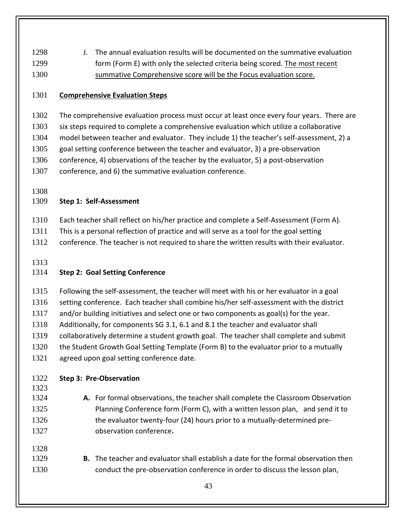J. The annual evaluation results will be documented on the summative evaluation form (Form E) with only the selected criteria being scored. The most recent summative Comprehensive score will be the Focus evaluation score.

#### **Comprehensive Evaluation Steps**

1302 The comprehensive evaluation process must occur at least once every four years. There are six steps required to complete a comprehensive evaluation which utilize a collaborative model between teacher and evaluator. They include 1) the teacher's self-assessment, 2) a goal setting conference between the teacher and evaluator, 3) a pre-observation conference, 4) observations of the teacher by the evaluator, 5) a post-observation conference, and 6) the summative evaluation conference.

#### **Step 1: Self-Assessment**

- Each teacher shall reflect on his/her practice and complete a Self-Assessment (Form A).
- This is a personal reflection of practice and will serve as a tool for the goal setting
- 1312 conference. The teacher is not required to share the written results with their evaluator.

## **Step 2: Goal Setting Conference**

Following the self-assessment, the teacher will meet with his or her evaluator in a goal

setting conference. Each teacher shall combine his/her self-assessment with the district

and/or building initiatives and select one or two components as goal(s) for the year.

- Additionally, for components SG 3.1, 6.1 and 8.1 the teacher and evaluator shall
- collaboratively determine a student growth goal. The teacher shall complete and submit
- the Student Growth Goal Setting Template (Form B) to the evaluator prior to a mutually

agreed upon goal setting conference date.

- **Step 3: Pre-Observation**
- 

- **A.** For formal observations, the teacher shall complete the Classroom Observation Planning Conference form (Form C), with a written lesson plan, and send it to the evaluator twenty-four (24) hours prior to a mutually-determined pre-observation conference**.**
- **B.** The teacher and evaluator shall establish a date for the formal observation then conduct the pre-observation conference in order to discuss the lesson plan,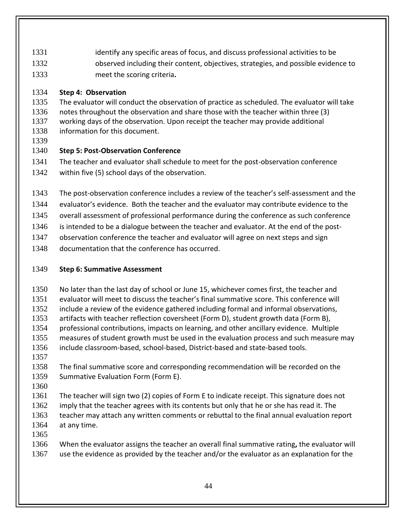- identify any specific areas of focus, and discuss professional activities to be
- observed including their content, objectives, strategies, and possible evidence to
- meet the scoring criteria**.**

## **Step 4: Observation**

 The evaluator will conduct the observation of practice as scheduled. The evaluator will take notes throughout the observation and share those with the teacher within three (3) working days of the observation. Upon receipt the teacher may provide additional information for this document.

# **Step 5: Post-Observation Conference**

 The teacher and evaluator shall schedule to meet for the post-observation conference within five (5) school days of the observation.

- The post-observation conference includes a review of the teacher's self-assessment and the
- evaluator's evidence. Both the teacher and the evaluator may contribute evidence to the
- overall assessment of professional performance during the conference as such conference
- 1346 is intended to be a dialogue between the teacher and evaluator. At the end of the post-
- observation conference the teacher and evaluator will agree on next steps and sign
- documentation that the conference has occurred.

## **Step 6: Summative Assessment**

- No later than the last day of school or June 15, whichever comes first, the teacher and
- evaluator will meet to discuss the teacher's final summative score. This conference will
- include a review of the evidence gathered including formal and informal observations,
- artifacts with teacher reflection coversheet (Form D), student growth data (Form B),
- professional contributions, impacts on learning, and other ancillary evidence. Multiple
- measures of student growth must be used in the evaluation process and such measure may include classroom-based, school-based, District-based and state-based tools.
- The final summative score and corresponding recommendation will be recorded on the Summative Evaluation Form (Form E).
- 

 The teacher will sign two (2) copies of Form E to indicate receipt. This signature does not 1362 imply that the teacher agrees with its contents but only that he or she has read it. The teacher may attach any written comments or rebuttal to the final annual evaluation report at any time.

 When the evaluator assigns the teacher an overall final summative rating**,** the evaluator will 1367 use the evidence as provided by the teacher and/or the evaluator as an explanation for the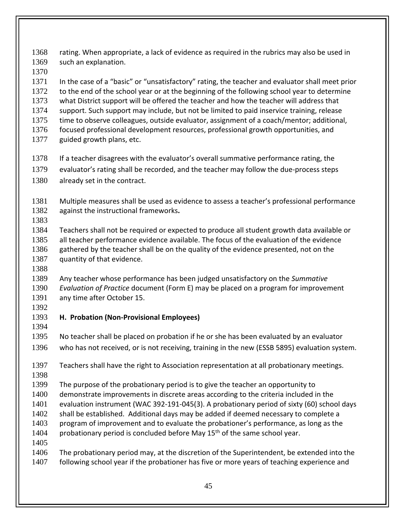rating. When appropriate, a lack of evidence as required in the rubrics may also be used in such an explanation.

 In the case of a "basic" or "unsatisfactory" rating, the teacher and evaluator shall meet prior 1372 to the end of the school year or at the beginning of the following school year to determine what District support will be offered the teacher and how the teacher will address that support. Such support may include, but not be limited to paid inservice training, release time to observe colleagues, outside evaluator, assignment of a coach/mentor; additional, focused professional development resources, professional growth opportunities, and guided growth plans, etc.

- If a teacher disagrees with the evaluator's overall summative performance rating, the
- evaluator's rating shall be recorded, and the teacher may follow the due-process steps already set in the contract.

 Multiple measures shall be used as evidence to assess a teacher's professional performance against the instructional frameworks**.**

 Teachers shall not be required or expected to produce all student growth data available or all teacher performance evidence available. The focus of the evaluation of the evidence gathered by the teacher shall be on the quality of the evidence presented, not on the 1387 quantity of that evidence.

 Any teacher whose performance has been judged unsatisfactory on the *Summative Evaluation of Practice* document (Form E) may be placed on a program for improvement any time after October 15.

## **H. Probation (Non-Provisional Employees)**

 No teacher shall be placed on probation if he or she has been evaluated by an evaluator who has not received, or is not receiving, training in the new (ESSB 5895) evaluation system.

 Teachers shall have the right to Association representation at all probationary meetings. 

The purpose of the probationary period is to give the teacher an opportunity to

demonstrate improvements in discrete areas according to the criteria included in the

evaluation instrument (WAC 392-191-045(3). A probationary period of sixty (60) school days

- shall be established. Additional days may be added if deemed necessary to complete a
- program of improvement and to evaluate the probationer's performance, as long as the
- 1404 probationary period is concluded before May  $15<sup>th</sup>$  of the same school year.
- 

 The probationary period may, at the discretion of the Superintendent, be extended into the 1407 following school year if the probationer has five or more years of teaching experience and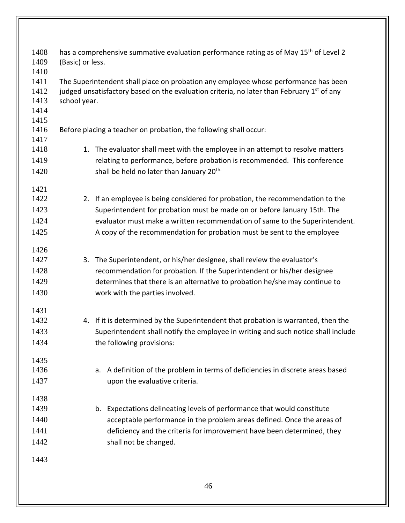| 1408 | has a comprehensive summative evaluation performance rating as of May 15 <sup>th</sup> of Level 2     |  |  |  |  |  |
|------|-------------------------------------------------------------------------------------------------------|--|--|--|--|--|
| 1409 | (Basic) or less.                                                                                      |  |  |  |  |  |
| 1410 |                                                                                                       |  |  |  |  |  |
| 1411 | The Superintendent shall place on probation any employee whose performance has been                   |  |  |  |  |  |
| 1412 | judged unsatisfactory based on the evaluation criteria, no later than February 1 <sup>st</sup> of any |  |  |  |  |  |
| 1413 | school year.                                                                                          |  |  |  |  |  |
| 1414 |                                                                                                       |  |  |  |  |  |
| 1415 |                                                                                                       |  |  |  |  |  |
| 1416 | Before placing a teacher on probation, the following shall occur:                                     |  |  |  |  |  |
| 1417 |                                                                                                       |  |  |  |  |  |
| 1418 | 1. The evaluator shall meet with the employee in an attempt to resolve matters                        |  |  |  |  |  |
| 1419 | relating to performance, before probation is recommended. This conference                             |  |  |  |  |  |
| 1420 | shall be held no later than January 20 <sup>th.</sup>                                                 |  |  |  |  |  |
| 1421 |                                                                                                       |  |  |  |  |  |
| 1422 | 2. If an employee is being considered for probation, the recommendation to the                        |  |  |  |  |  |
| 1423 | Superintendent for probation must be made on or before January 15th. The                              |  |  |  |  |  |
| 1424 | evaluator must make a written recommendation of same to the Superintendent.                           |  |  |  |  |  |
| 1425 | A copy of the recommendation for probation must be sent to the employee                               |  |  |  |  |  |
| 1426 |                                                                                                       |  |  |  |  |  |
| 1427 | The Superintendent, or his/her designee, shall review the evaluator's<br>3.                           |  |  |  |  |  |
| 1428 | recommendation for probation. If the Superintendent or his/her designee                               |  |  |  |  |  |
| 1429 | determines that there is an alternative to probation he/she may continue to                           |  |  |  |  |  |
|      |                                                                                                       |  |  |  |  |  |
| 1430 | work with the parties involved.                                                                       |  |  |  |  |  |
| 1431 |                                                                                                       |  |  |  |  |  |
| 1432 | 4. If it is determined by the Superintendent that probation is warranted, then the                    |  |  |  |  |  |
| 1433 | Superintendent shall notify the employee in writing and such notice shall include                     |  |  |  |  |  |
| 1434 | the following provisions:                                                                             |  |  |  |  |  |
| 1435 |                                                                                                       |  |  |  |  |  |
| 1436 | a. A definition of the problem in terms of deficiencies in discrete areas based                       |  |  |  |  |  |
| 1437 | upon the evaluative criteria.                                                                         |  |  |  |  |  |
| 1438 |                                                                                                       |  |  |  |  |  |
| 1439 | b. Expectations delineating levels of performance that would constitute                               |  |  |  |  |  |
| 1440 | acceptable performance in the problem areas defined. Once the areas of                                |  |  |  |  |  |
| 1441 | deficiency and the criteria for improvement have been determined, they                                |  |  |  |  |  |
| 1442 | shall not be changed.                                                                                 |  |  |  |  |  |
|      |                                                                                                       |  |  |  |  |  |
| 1443 |                                                                                                       |  |  |  |  |  |
|      | 46                                                                                                    |  |  |  |  |  |
|      |                                                                                                       |  |  |  |  |  |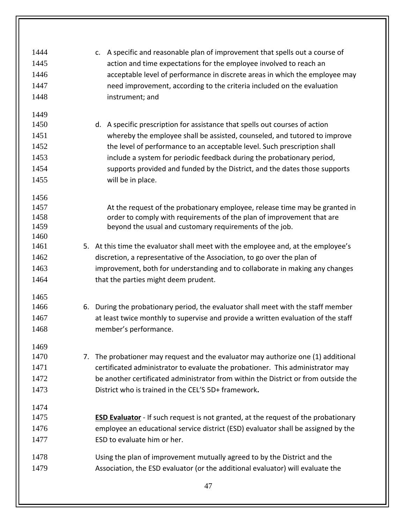| 1444 | c. A specific and reasonable plan of improvement that spells out a course of              |
|------|-------------------------------------------------------------------------------------------|
| 1445 | action and time expectations for the employee involved to reach an                        |
| 1446 | acceptable level of performance in discrete areas in which the employee may               |
| 1447 | need improvement, according to the criteria included on the evaluation                    |
| 1448 | instrument; and                                                                           |
| 1449 |                                                                                           |
| 1450 | d. A specific prescription for assistance that spells out courses of action               |
| 1451 | whereby the employee shall be assisted, counseled, and tutored to improve                 |
| 1452 | the level of performance to an acceptable level. Such prescription shall                  |
| 1453 | include a system for periodic feedback during the probationary period,                    |
| 1454 | supports provided and funded by the District, and the dates those supports                |
| 1455 | will be in place.                                                                         |
|      |                                                                                           |
| 1456 |                                                                                           |
| 1457 | At the request of the probationary employee, release time may be granted in               |
| 1458 | order to comply with requirements of the plan of improvement that are                     |
| 1459 | beyond the usual and customary requirements of the job.                                   |
| 1460 |                                                                                           |
| 1461 | 5. At this time the evaluator shall meet with the employee and, at the employee's         |
| 1462 | discretion, a representative of the Association, to go over the plan of                   |
| 1463 | improvement, both for understanding and to collaborate in making any changes              |
| 1464 | that the parties might deem prudent.                                                      |
| 1465 |                                                                                           |
| 1466 | 6. During the probationary period, the evaluator shall meet with the staff member         |
| 1467 | at least twice monthly to supervise and provide a written evaluation of the staff         |
| 1468 | member's performance.                                                                     |
|      |                                                                                           |
| 1469 |                                                                                           |
| 1470 | 7. The probationer may request and the evaluator may authorize one (1) additional         |
| 1471 | certificated administrator to evaluate the probationer. This administrator may            |
| 1472 | be another certificated administrator from within the District or from outside the        |
| 1473 | District who is trained in the CEL'S 5D+ framework.                                       |
| 1474 |                                                                                           |
| 1475 | <b>ESD Evaluator</b> - If such request is not granted, at the request of the probationary |
| 1476 | employee an educational service district (ESD) evaluator shall be assigned by the         |
| 1477 | ESD to evaluate him or her.                                                               |
|      |                                                                                           |
| 1478 | Using the plan of improvement mutually agreed to by the District and the                  |
| 1479 | Association, the ESD evaluator (or the additional evaluator) will evaluate the            |
|      |                                                                                           |
|      | 47                                                                                        |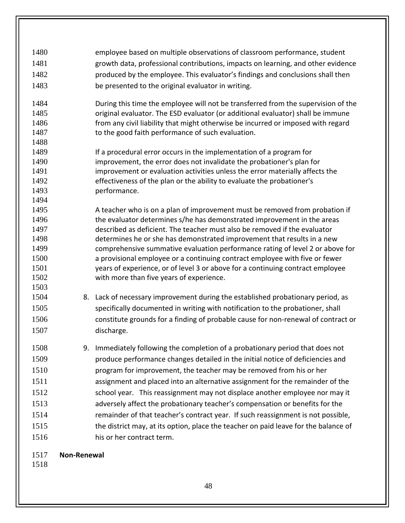| 1480         | employee based on multiple observations of classroom performance, student                                                                                |
|--------------|----------------------------------------------------------------------------------------------------------------------------------------------------------|
| 1481         | growth data, professional contributions, impacts on learning, and other evidence                                                                         |
| 1482         | produced by the employee. This evaluator's findings and conclusions shall then                                                                           |
| 1483         | be presented to the original evaluator in writing.                                                                                                       |
|              |                                                                                                                                                          |
| 1484         | During this time the employee will not be transferred from the supervision of the                                                                        |
| 1485         | original evaluator. The ESD evaluator (or additional evaluator) shall be immune                                                                          |
| 1486         | from any civil liability that might otherwise be incurred or imposed with regard                                                                         |
| 1487         | to the good faith performance of such evaluation.                                                                                                        |
| 1488         |                                                                                                                                                          |
| 1489         | If a procedural error occurs in the implementation of a program for                                                                                      |
| 1490         | improvement, the error does not invalidate the probationer's plan for                                                                                    |
| 1491         | improvement or evaluation activities unless the error materially affects the                                                                             |
| 1492         | effectiveness of the plan or the ability to evaluate the probationer's                                                                                   |
| 1493         | performance.                                                                                                                                             |
| 1494         |                                                                                                                                                          |
| 1495         | A teacher who is on a plan of improvement must be removed from probation if                                                                              |
| 1496         | the evaluator determines s/he has demonstrated improvement in the areas                                                                                  |
| 1497         | described as deficient. The teacher must also be removed if the evaluator                                                                                |
| 1498<br>1499 | determines he or she has demonstrated improvement that results in a new<br>comprehensive summative evaluation performance rating of level 2 or above for |
| 1500         | a provisional employee or a continuing contract employee with five or fewer                                                                              |
| 1501         | years of experience, or of level 3 or above for a continuing contract employee                                                                           |
| 1502         | with more than five years of experience.                                                                                                                 |
| 1503         |                                                                                                                                                          |
| 1504         | 8. Lack of necessary improvement during the established probationary period, as                                                                          |
| 1505         | specifically documented in writing with notification to the probationer, shall                                                                           |
| 1506         | constitute grounds for a finding of probable cause for non-renewal of contract or                                                                        |
| 1507         | discharge.                                                                                                                                               |
|              |                                                                                                                                                          |
| 1508         | 9. Immediately following the completion of a probationary period that does not                                                                           |
| 1509         | produce performance changes detailed in the initial notice of deficiencies and                                                                           |
| 1510         | program for improvement, the teacher may be removed from his or her                                                                                      |
| 1511         | assignment and placed into an alternative assignment for the remainder of the                                                                            |
| 1512         | school year. This reassignment may not displace another employee nor may it                                                                              |
|              |                                                                                                                                                          |
| 1513         | adversely affect the probationary teacher's compensation or benefits for the                                                                             |
| 1514         | remainder of that teacher's contract year. If such reassignment is not possible,                                                                         |
| 1515         | the district may, at its option, place the teacher on paid leave for the balance of                                                                      |
| 1516         | his or her contract term.                                                                                                                                |
|              |                                                                                                                                                          |
| 1517         | Non-Renewal                                                                                                                                              |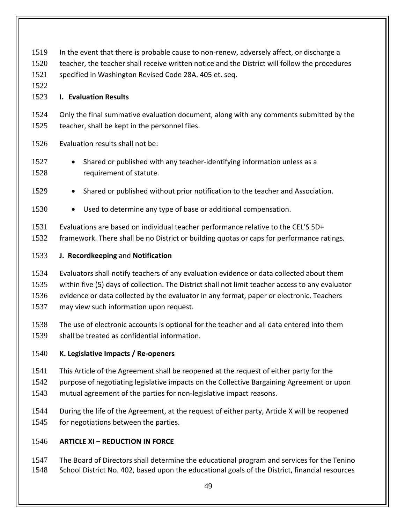| 1519<br>1520<br>1521<br>1522<br>1523 | In the event that there is probable cause to non-renew, adversely affect, or discharge a<br>teacher, the teacher shall receive written notice and the District will follow the procedures<br>specified in Washington Revised Code 28A. 405 et. seq.<br><b>I. Evaluation Results</b>                                                 |  |  |  |
|--------------------------------------|-------------------------------------------------------------------------------------------------------------------------------------------------------------------------------------------------------------------------------------------------------------------------------------------------------------------------------------|--|--|--|
| 1524<br>1525                         | Only the final summative evaluation document, along with any comments submitted by the<br>teacher, shall be kept in the personnel files.                                                                                                                                                                                            |  |  |  |
| 1526                                 | Evaluation results shall not be:                                                                                                                                                                                                                                                                                                    |  |  |  |
| 1527<br>1528                         | Shared or published with any teacher-identifying information unless as a<br>$\bullet$<br>requirement of statute.                                                                                                                                                                                                                    |  |  |  |
| 1529                                 | Shared or published without prior notification to the teacher and Association.<br>$\bullet$                                                                                                                                                                                                                                         |  |  |  |
| 1530                                 | Used to determine any type of base or additional compensation.<br>$\bullet$                                                                                                                                                                                                                                                         |  |  |  |
| 1531<br>1532                         | Evaluations are based on individual teacher performance relative to the CEL'S 5D+<br>framework. There shall be no District or building quotas or caps for performance ratings.                                                                                                                                                      |  |  |  |
| 1533                                 | J. Recordkeeping and Notification                                                                                                                                                                                                                                                                                                   |  |  |  |
| 1534<br>1535<br>1536<br>1537         | Evaluators shall notify teachers of any evaluation evidence or data collected about them<br>within five (5) days of collection. The District shall not limit teacher access to any evaluator<br>evidence or data collected by the evaluator in any format, paper or electronic. Teachers<br>may view such information upon request. |  |  |  |
| 1538<br>1539                         | The use of electronic accounts is optional for the teacher and all data entered into them<br>shall be treated as confidential information.                                                                                                                                                                                          |  |  |  |
| 1540                                 | K. Legislative Impacts / Re-openers                                                                                                                                                                                                                                                                                                 |  |  |  |
| 1541<br>1542<br>1543                 | This Article of the Agreement shall be reopened at the request of either party for the<br>purpose of negotiating legislative impacts on the Collective Bargaining Agreement or upon<br>mutual agreement of the parties for non-legislative impact reasons.                                                                          |  |  |  |
| 1544<br>1545                         | During the life of the Agreement, at the request of either party, Article X will be reopened<br>for negotiations between the parties.                                                                                                                                                                                               |  |  |  |
| 1546                                 | <b>ARTICLE XI - REDUCTION IN FORCE</b>                                                                                                                                                                                                                                                                                              |  |  |  |

1547 The Board of Directors shall determine the educational program and services for the Tenino<br>1548 School District No. 402, based upon the educational goals of the District, financial resources School District No. 402, based upon the educational goals of the District, financial resources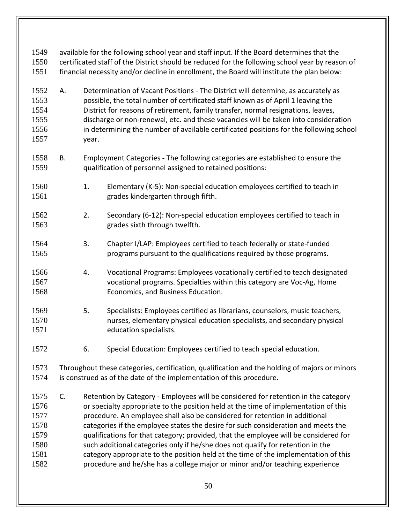| 1549<br>1550<br>1551                                         | available for the following school year and staff input. If the Board determines that the<br>certificated staff of the District should be reduced for the following school year by reason of<br>financial necessity and/or decline in enrollment, the Board will institute the plan below: |                                                                                                                                                                                                                                                                                                                                                                                                                                                      |                                                                                                                                                                                                                                                                                                                                                                                                                                                                                                                                                                                                                                                                                                 |  |
|--------------------------------------------------------------|--------------------------------------------------------------------------------------------------------------------------------------------------------------------------------------------------------------------------------------------------------------------------------------------|------------------------------------------------------------------------------------------------------------------------------------------------------------------------------------------------------------------------------------------------------------------------------------------------------------------------------------------------------------------------------------------------------------------------------------------------------|-------------------------------------------------------------------------------------------------------------------------------------------------------------------------------------------------------------------------------------------------------------------------------------------------------------------------------------------------------------------------------------------------------------------------------------------------------------------------------------------------------------------------------------------------------------------------------------------------------------------------------------------------------------------------------------------------|--|
| 1552<br>1553<br>1554<br>1555<br>1556<br>1557                 | А.                                                                                                                                                                                                                                                                                         | Determination of Vacant Positions - The District will determine, as accurately as<br>possible, the total number of certificated staff known as of April 1 leaving the<br>District for reasons of retirement, family transfer, normal resignations, leaves,<br>discharge or non-renewal, etc. and these vacancies will be taken into consideration<br>in determining the number of available certificated positions for the following school<br>year. |                                                                                                                                                                                                                                                                                                                                                                                                                                                                                                                                                                                                                                                                                                 |  |
| 1558<br>1559                                                 | В.                                                                                                                                                                                                                                                                                         |                                                                                                                                                                                                                                                                                                                                                                                                                                                      | Employment Categories - The following categories are established to ensure the<br>qualification of personnel assigned to retained positions:                                                                                                                                                                                                                                                                                                                                                                                                                                                                                                                                                    |  |
| 1560<br>1561                                                 |                                                                                                                                                                                                                                                                                            | 1.                                                                                                                                                                                                                                                                                                                                                                                                                                                   | Elementary (K-5): Non-special education employees certified to teach in<br>grades kindergarten through fifth.                                                                                                                                                                                                                                                                                                                                                                                                                                                                                                                                                                                   |  |
| 1562<br>1563                                                 |                                                                                                                                                                                                                                                                                            | 2.                                                                                                                                                                                                                                                                                                                                                                                                                                                   | Secondary (6-12): Non-special education employees certified to teach in<br>grades sixth through twelfth.                                                                                                                                                                                                                                                                                                                                                                                                                                                                                                                                                                                        |  |
| 1564<br>1565                                                 |                                                                                                                                                                                                                                                                                            | 3.                                                                                                                                                                                                                                                                                                                                                                                                                                                   | Chapter I/LAP: Employees certified to teach federally or state-funded<br>programs pursuant to the qualifications required by those programs.                                                                                                                                                                                                                                                                                                                                                                                                                                                                                                                                                    |  |
| 1566<br>1567<br>1568                                         |                                                                                                                                                                                                                                                                                            | 4.                                                                                                                                                                                                                                                                                                                                                                                                                                                   | Vocational Programs: Employees vocationally certified to teach designated<br>vocational programs. Specialties within this category are Voc-Ag, Home<br>Economics, and Business Education.                                                                                                                                                                                                                                                                                                                                                                                                                                                                                                       |  |
| 1569<br>1570<br>1571                                         |                                                                                                                                                                                                                                                                                            | 5.                                                                                                                                                                                                                                                                                                                                                                                                                                                   | Specialists: Employees certified as librarians, counselors, music teachers,<br>nurses, elementary physical education specialists, and secondary physical<br>education specialists.                                                                                                                                                                                                                                                                                                                                                                                                                                                                                                              |  |
| 1572                                                         |                                                                                                                                                                                                                                                                                            | 6.                                                                                                                                                                                                                                                                                                                                                                                                                                                   | Special Education: Employees certified to teach special education.                                                                                                                                                                                                                                                                                                                                                                                                                                                                                                                                                                                                                              |  |
| 1573<br>1574                                                 | Throughout these categories, certification, qualification and the holding of majors or minors<br>is construed as of the date of the implementation of this procedure.                                                                                                                      |                                                                                                                                                                                                                                                                                                                                                                                                                                                      |                                                                                                                                                                                                                                                                                                                                                                                                                                                                                                                                                                                                                                                                                                 |  |
| 1575<br>1576<br>1577<br>1578<br>1579<br>1580<br>1581<br>1582 | C.                                                                                                                                                                                                                                                                                         |                                                                                                                                                                                                                                                                                                                                                                                                                                                      | Retention by Category - Employees will be considered for retention in the category<br>or specialty appropriate to the position held at the time of implementation of this<br>procedure. An employee shall also be considered for retention in additional<br>categories if the employee states the desire for such consideration and meets the<br>qualifications for that category; provided, that the employee will be considered for<br>such additional categories only if he/she does not qualify for retention in the<br>category appropriate to the position held at the time of the implementation of this<br>procedure and he/she has a college major or minor and/or teaching experience |  |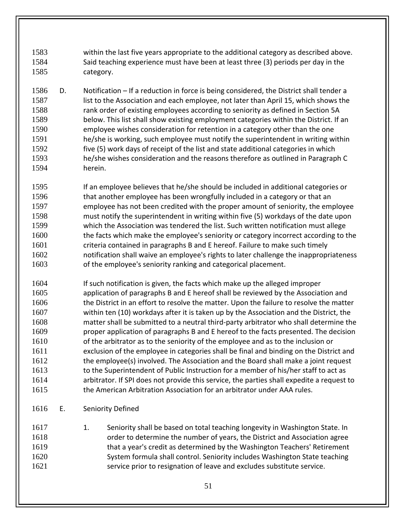within the last five years appropriate to the additional category as described above. Said teaching experience must have been at least three (3) periods per day in the category.

- D. Notification If a reduction in force is being considered, the District shall tender a list to the Association and each employee, not later than April 15, which shows the rank order of existing employees according to seniority as defined in Section 5A below. This list shall show existing employment categories within the District. If an employee wishes consideration for retention in a category other than the one he/she is working, such employee must notify the superintendent in writing within five (5) work days of receipt of the list and state additional categories in which he/she wishes consideration and the reasons therefore as outlined in Paragraph C herein.
- If an employee believes that he/she should be included in additional categories or that another employee has been wrongfully included in a category or that an employee has not been credited with the proper amount of seniority, the employee must notify the superintendent in writing within five (5) workdays of the date upon which the Association was tendered the list. Such written notification must allege 1600 the facts which make the employee's seniority or category incorrect according to the criteria contained in paragraphs B and E hereof. Failure to make such timely notification shall waive an employee's rights to later challenge the inappropriateness of the employee's seniority ranking and categorical placement.
- If such notification is given, the facts which make up the alleged improper application of paragraphs B and E hereof shall be reviewed by the Association and 1606 the District in an effort to resolve the matter. Upon the failure to resolve the matter within ten (10) workdays after it is taken up by the Association and the District, the matter shall be submitted to a neutral third-party arbitrator who shall determine the proper application of paragraphs B and E hereof to the facts presented. The decision of the arbitrator as to the seniority of the employee and as to the inclusion or exclusion of the employee in categories shall be final and binding on the District and the employee(s) involved. The Association and the Board shall make a joint request 1613 to the Superintendent of Public Instruction for a member of his/her staff to act as arbitrator. If SPI does not provide this service, the parties shall expedite a request to the American Arbitration Association for an arbitrator under AAA rules.
- E. Seniority Defined

1617 1. Seniority shall be based on total teaching longevity in Washington State. In order to determine the number of years, the District and Association agree that a year's credit as determined by the Washington Teachers' Retirement System formula shall control. Seniority includes Washington State teaching service prior to resignation of leave and excludes substitute service.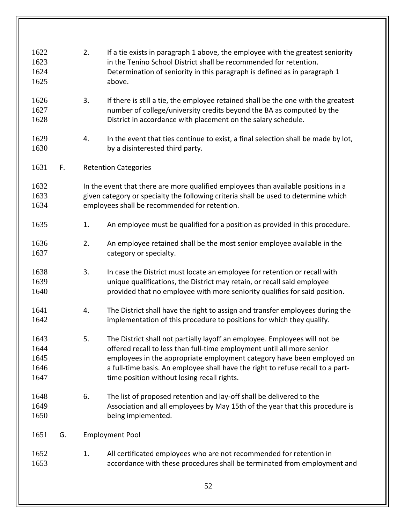| 1622<br>1623<br>1624<br>1625         |    | 2. | If a tie exists in paragraph 1 above, the employee with the greatest seniority<br>in the Tenino School District shall be recommended for retention.<br>Determination of seniority in this paragraph is defined as in paragraph 1<br>above.                                                                                                                       |
|--------------------------------------|----|----|------------------------------------------------------------------------------------------------------------------------------------------------------------------------------------------------------------------------------------------------------------------------------------------------------------------------------------------------------------------|
| 1626<br>1627<br>1628                 |    | 3. | If there is still a tie, the employee retained shall be the one with the greatest<br>number of college/university credits beyond the BA as computed by the<br>District in accordance with placement on the salary schedule.                                                                                                                                      |
| 1629<br>1630                         |    | 4. | In the event that ties continue to exist, a final selection shall be made by lot,<br>by a disinterested third party.                                                                                                                                                                                                                                             |
| 1631                                 | F. |    | <b>Retention Categories</b>                                                                                                                                                                                                                                                                                                                                      |
| 1632<br>1633<br>1634                 |    |    | In the event that there are more qualified employees than available positions in a<br>given category or specialty the following criteria shall be used to determine which<br>employees shall be recommended for retention.                                                                                                                                       |
| 1635                                 |    | 1. | An employee must be qualified for a position as provided in this procedure.                                                                                                                                                                                                                                                                                      |
| 1636<br>1637                         |    | 2. | An employee retained shall be the most senior employee available in the<br>category or specialty.                                                                                                                                                                                                                                                                |
| 1638<br>1639<br>1640                 |    | 3. | In case the District must locate an employee for retention or recall with<br>unique qualifications, the District may retain, or recall said employee<br>provided that no employee with more seniority qualifies for said position.                                                                                                                               |
| 1641<br>1642                         |    | 4. | The District shall have the right to assign and transfer employees during the<br>implementation of this procedure to positions for which they qualify.                                                                                                                                                                                                           |
| 1643<br>1644<br>1645<br>1646<br>1647 |    | 5. | The District shall not partially layoff an employee. Employees will not be<br>offered recall to less than full-time employment until all more senior<br>employees in the appropriate employment category have been employed on<br>a full-time basis. An employee shall have the right to refuse recall to a part-<br>time position without losing recall rights. |
| 1648<br>1649<br>1650                 |    | 6. | The list of proposed retention and lay-off shall be delivered to the<br>Association and all employees by May 15th of the year that this procedure is<br>being implemented.                                                                                                                                                                                       |
| 1651                                 | G. |    | <b>Employment Pool</b>                                                                                                                                                                                                                                                                                                                                           |
| 1652<br>1653                         |    | 1. | All certificated employees who are not recommended for retention in<br>accordance with these procedures shall be terminated from employment and                                                                                                                                                                                                                  |
|                                      |    |    | 52                                                                                                                                                                                                                                                                                                                                                               |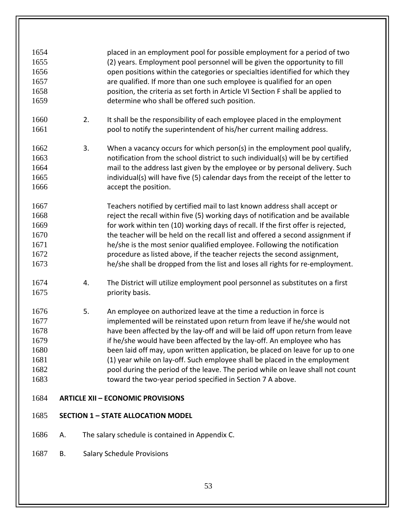| 1654 |    |    | placed in an employment pool for possible employment for a period of two         |
|------|----|----|----------------------------------------------------------------------------------|
|      |    |    |                                                                                  |
| 1655 |    |    | (2) years. Employment pool personnel will be given the opportunity to fill       |
| 1656 |    |    | open positions within the categories or specialties identified for which they    |
| 1657 |    |    | are qualified. If more than one such employee is qualified for an open           |
| 1658 |    |    | position, the criteria as set forth in Article VI Section F shall be applied to  |
| 1659 |    |    | determine who shall be offered such position.                                    |
|      |    |    |                                                                                  |
| 1660 |    | 2. | It shall be the responsibility of each employee placed in the employment         |
| 1661 |    |    | pool to notify the superintendent of his/her current mailing address.            |
|      |    |    |                                                                                  |
| 1662 |    | 3. | When a vacancy occurs for which person(s) in the employment pool qualify,        |
| 1663 |    |    |                                                                                  |
|      |    |    | notification from the school district to such individual(s) will be by certified |
| 1664 |    |    | mail to the address last given by the employee or by personal delivery. Such     |
| 1665 |    |    | individual(s) will have five (5) calendar days from the receipt of the letter to |
| 1666 |    |    | accept the position.                                                             |
|      |    |    |                                                                                  |
| 1667 |    |    | Teachers notified by certified mail to last known address shall accept or        |
| 1668 |    |    | reject the recall within five (5) working days of notification and be available  |
| 1669 |    |    | for work within ten (10) working days of recall. If the first offer is rejected, |
| 1670 |    |    | the teacher will be held on the recall list and offered a second assignment if   |
| 1671 |    |    | he/she is the most senior qualified employee. Following the notification         |
| 1672 |    |    | procedure as listed above, if the teacher rejects the second assignment,         |
| 1673 |    |    | he/she shall be dropped from the list and loses all rights for re-employment.    |
|      |    |    |                                                                                  |
| 1674 |    | 4. | The District will utilize employment pool personnel as substitutes on a first    |
| 1675 |    |    | priority basis.                                                                  |
|      |    |    |                                                                                  |
| 1676 |    | 5. | An employee on authorized leave at the time a reduction in force is              |
| 1677 |    |    | implemented will be reinstated upon return from leave if he/she would not        |
| 1678 |    |    | have been affected by the lay-off and will be laid off upon return from leave    |
| 1679 |    |    | if he/she would have been affected by the lay-off. An employee who has           |
| 1680 |    |    | been laid off may, upon written application, be placed on leave for up to one    |
|      |    |    |                                                                                  |
| 1681 |    |    | (1) year while on lay-off. Such employee shall be placed in the employment       |
| 1682 |    |    | pool during the period of the leave. The period while on leave shall not count   |
| 1683 |    |    | toward the two-year period specified in Section 7 A above.                       |
| 1684 |    |    | <b>ARTICLE XII - ECONOMIC PROVISIONS</b>                                         |
|      |    |    |                                                                                  |
| 1685 |    |    | <b>SECTION 1 - STATE ALLOCATION MODEL</b>                                        |
| 1686 | Α. |    | The salary schedule is contained in Appendix C.                                  |
|      |    |    |                                                                                  |
| 1687 | В. |    | <b>Salary Schedule Provisions</b>                                                |
|      |    |    |                                                                                  |
|      |    |    |                                                                                  |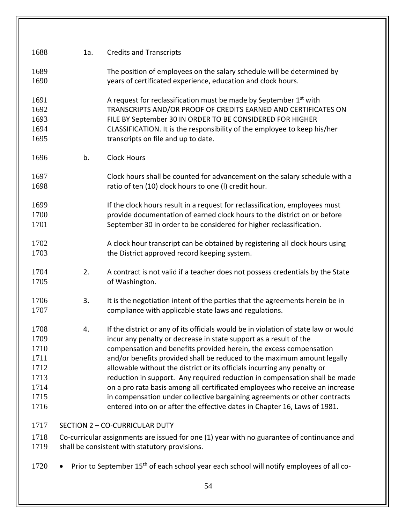| 1688 | 1a.                                                                                        | <b>Credits and Transcripts</b>                                                                       |  |  |
|------|--------------------------------------------------------------------------------------------|------------------------------------------------------------------------------------------------------|--|--|
| 1689 |                                                                                            | The position of employees on the salary schedule will be determined by                               |  |  |
| 1690 |                                                                                            | years of certificated experience, education and clock hours.                                         |  |  |
| 1691 |                                                                                            | A request for reclassification must be made by September 1 <sup>st</sup> with                        |  |  |
| 1692 |                                                                                            | TRANSCRIPTS AND/OR PROOF OF CREDITS EARNED AND CERTIFICATES ON                                       |  |  |
| 1693 |                                                                                            | FILE BY September 30 IN ORDER TO BE CONSIDERED FOR HIGHER                                            |  |  |
| 1694 |                                                                                            | CLASSIFICATION. It is the responsibility of the employee to keep his/her                             |  |  |
| 1695 |                                                                                            | transcripts on file and up to date.                                                                  |  |  |
| 1696 | b.                                                                                         | <b>Clock Hours</b>                                                                                   |  |  |
| 1697 |                                                                                            | Clock hours shall be counted for advancement on the salary schedule with a                           |  |  |
| 1698 |                                                                                            | ratio of ten (10) clock hours to one (I) credit hour.                                                |  |  |
| 1699 |                                                                                            | If the clock hours result in a request for reclassification, employees must                          |  |  |
| 1700 |                                                                                            | provide documentation of earned clock hours to the district on or before                             |  |  |
| 1701 |                                                                                            | September 30 in order to be considered for higher reclassification.                                  |  |  |
| 1702 |                                                                                            | A clock hour transcript can be obtained by registering all clock hours using                         |  |  |
| 1703 |                                                                                            | the District approved record keeping system.                                                         |  |  |
| 1704 | 2.                                                                                         | A contract is not valid if a teacher does not possess credentials by the State                       |  |  |
| 1705 |                                                                                            | of Washington.                                                                                       |  |  |
| 1706 | 3.                                                                                         | It is the negotiation intent of the parties that the agreements herein be in                         |  |  |
| 1707 |                                                                                            | compliance with applicable state laws and regulations.                                               |  |  |
| 1708 | 4.                                                                                         | If the district or any of its officials would be in violation of state law or would                  |  |  |
| 1709 |                                                                                            | incur any penalty or decrease in state support as a result of the                                    |  |  |
| 1710 |                                                                                            | compensation and benefits provided herein, the excess compensation                                   |  |  |
| 1711 |                                                                                            | and/or benefits provided shall be reduced to the maximum amount legally                              |  |  |
| 1712 |                                                                                            | allowable without the district or its officials incurring any penalty or                             |  |  |
| 1713 |                                                                                            | reduction in support. Any required reduction in compensation shall be made                           |  |  |
| 1714 |                                                                                            | on a pro rata basis among all certificated employees who receive an increase                         |  |  |
| 1715 |                                                                                            | in compensation under collective bargaining agreements or other contracts                            |  |  |
| 1716 |                                                                                            | entered into on or after the effective dates in Chapter 16, Laws of 1981.                            |  |  |
| 1717 |                                                                                            | SECTION 2 - CO-CURRICULAR DUTY                                                                       |  |  |
| 1718 | Co-curricular assignments are issued for one (1) year with no guarantee of continuance and |                                                                                                      |  |  |
| 1719 |                                                                                            | shall be consistent with statutory provisions.                                                       |  |  |
| 1720 |                                                                                            | Prior to September 15 <sup>th</sup> of each school year each school will notify employees of all co- |  |  |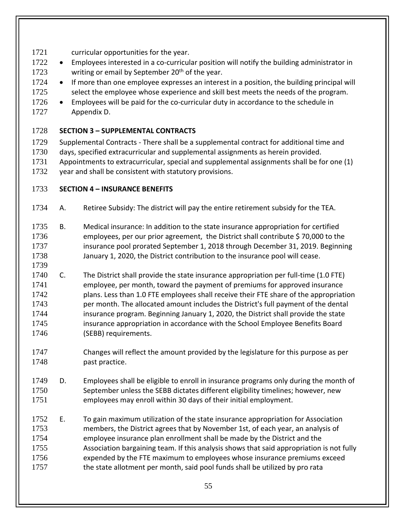- 1721 curricular opportunities for the year.
- 1722 Employees interested in a co-curricular position will notify the building administrator in 1723 writing or email by September  $20<sup>th</sup>$  of the year.
- 1724 If more than one employee expresses an interest in a position, the building principal will 1725 select the employee whose experience and skill best meets the needs of the program.
- 1726 Employees will be paid for the co-curricular duty in accordance to the schedule in Appendix D.

## **SECTION 3 – SUPPLEMENTAL CONTRACTS**

- Supplemental Contracts There shall be a supplemental contract for additional time and days, specified extracurricular and supplemental assignments as herein provided.
- Appointments to extracurricular, special and supplemental assignments shall be for one (1) year and shall be consistent with statutory provisions.

## **SECTION 4 – INSURANCE BENEFITS**

- A. Retiree Subsidy: The district will pay the entire retirement subsidy for the TEA.
- B. Medical insurance: In addition to the state insurance appropriation for certified employees, per our prior agreement, the District shall contribute \$ 70,000 to the insurance pool prorated September 1, 2018 through December 31, 2019. Beginning January 1, 2020, the District contribution to the insurance pool will cease.
- 
- C. The District shall provide the state insurance appropriation per full-time (1.0 FTE) employee, per month, toward the payment of premiums for approved insurance plans. Less than 1.0 FTE employees shall receive their FTE share of the appropriation per month. The allocated amount includes the District's full payment of the dental insurance program. Beginning January 1, 2020, the District shall provide the state insurance appropriation in accordance with the School Employee Benefits Board (SEBB) requirements.
- Changes will reflect the amount provided by the legislature for this purpose as per 1748 past practice.
- D. Employees shall be eligible to enroll in insurance programs only during the month of September unless the SEBB dictates different eligibility timelines; however, new employees may enroll within 30 days of their initial employment.
- E. To gain maximum utilization of the state insurance appropriation for Association members, the District agrees that by November 1st, of each year, an analysis of employee insurance plan enrollment shall be made by the District and the 1755 Association bargaining team. If this analysis shows that said appropriation is not fully expended by the FTE maximum to employees whose insurance premiums exceed 1757 the state allotment per month, said pool funds shall be utilized by pro rata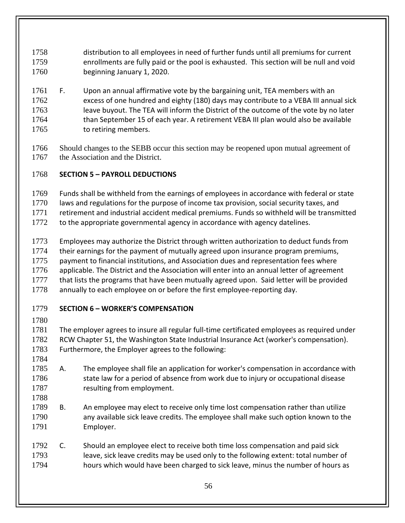distribution to all employees in need of further funds until all premiums for current enrollments are fully paid or the pool is exhausted. This section will be null and void beginning January 1, 2020.

- F. Upon an annual affirmative vote by the bargaining unit, TEA members with an excess of one hundred and eighty (180) days may contribute to a VEBA III annual sick 1763 leave buyout. The TEA will inform the District of the outcome of the vote by no later 1764 than September 15 of each year. A retirement VEBA III plan would also be available 1765 to retiring members.
- Should changes to the SEBB occur this section may be reopened upon mutual agreement of 1767 the Association and the District.

# **SECTION 5 – PAYROLL DEDUCTIONS**

Funds shall be withheld from the earnings of employees in accordance with federal or state

1770 laws and regulations for the purpose of income tax provision, social security taxes, and

retirement and industrial accident medical premiums. Funds so withheld will be transmitted

to the appropriate governmental agency in accordance with agency datelines.

 Employees may authorize the District through written authorization to deduct funds from their earnings for the payment of mutually agreed upon insurance program premiums, payment to financial institutions, and Association dues and representation fees where

1776 applicable. The District and the Association will enter into an annual letter of agreement that lists the programs that have been mutually agreed upon. Said letter will be provided

1778 annually to each employee on or before the first employee-reporting day.

# **SECTION 6 – WORKER'S COMPENSATION**

 The employer agrees to insure all regular full-time certificated employees as required under RCW Chapter 51, the Washington State Industrial Insurance Act (worker's compensation). Furthermore, the Employer agrees to the following:

- 
- A. The employee shall file an application for worker's compensation in accordance with 1786 state law for a period of absence from work due to injury or occupational disease 1787 resulting from employment.
- B. An employee may elect to receive only time lost compensation rather than utilize any available sick leave credits. The employee shall make such option known to the
- Employer.
- 1792 C. Should an employee elect to receive both time loss compensation and paid sick leave, sick leave credits may be used only to the following extent: total number of hours which would have been charged to sick leave, minus the number of hours as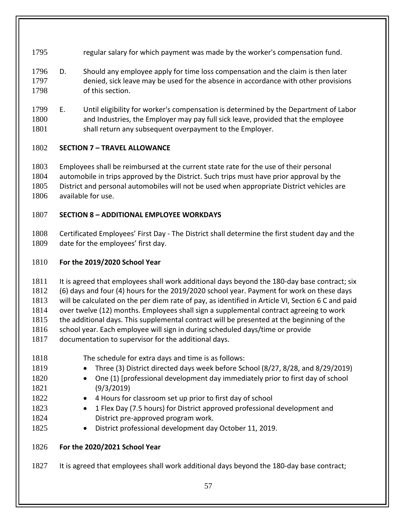- regular salary for which payment was made by the worker's compensation fund.
- D. Should any employee apply for time loss compensation and the claim is then later denied, sick leave may be used for the absence in accordance with other provisions of this section.
- E. Until eligibility for worker's compensation is determined by the Department of Labor and Industries, the Employer may pay full sick leave, provided that the employee 1801 shall return any subsequent overpayment to the Employer.

## **SECTION 7 – TRAVEL ALLOWANCE**

 Employees shall be reimbursed at the current state rate for the use of their personal automobile in trips approved by the District. Such trips must have prior approval by the District and personal automobiles will not be used when appropriate District vehicles are available for use.

## **SECTION 8 – ADDITIONAL EMPLOYEE WORKDAYS**

 Certificated Employees' First Day - The District shall determine the first student day and the date for the employees' first day.

## **For the 2019/2020 School Year**

1811 It is agreed that employees shall work additional days beyond the 180-day base contract; six

(6) days and four (4) hours for the 2019/2020 school year. Payment for work on these days

will be calculated on the per diem rate of pay, as identified in Article VI, Section 6 C and paid

over twelve (12) months. Employees shall sign a supplemental contract agreeing to work

1815 the additional days. This supplemental contract will be presented at the beginning of the

school year. Each employee will sign in during scheduled days/time or provide

- documentation to supervisor for the additional days.
- The schedule for extra days and time is as follows:
- 1819 Three (3) District directed days week before School (8/27, 8/28, and 8/29/2019)
- One (1) [professional development day immediately prior to first day of school (9/3/2019)
- 1822 4 Hours for classroom set up prior to first day of school
- 1 Flex Day (7.5 hours) for District approved professional development and District pre-approved program work.
- 1825 District professional development day October 11, 2019.

## **For the 2020/2021 School Year**

1827 It is agreed that employees shall work additional days beyond the 180-day base contract;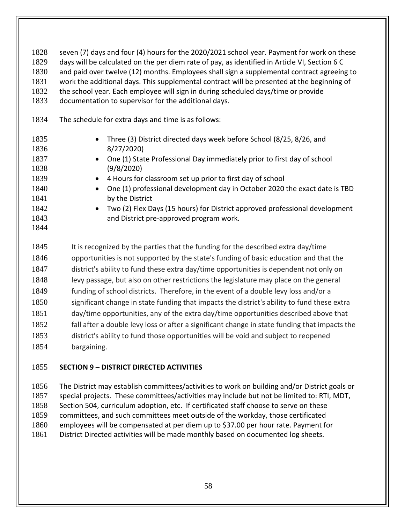1828 seven (7) days and four (4) hours for the 2020/2021 school year. Payment for work on these days will be calculated on the per diem rate of pay, as identified in Article VI, Section 6 C and paid over twelve (12) months. Employees shall sign a supplemental contract agreeing to work the additional days. This supplemental contract will be presented at the beginning of

- the school year. Each employee will sign in during scheduled days/time or provide
- documentation to supervisor for the additional days.
- The schedule for extra days and time is as follows:

| 1835 | • Three (3) District directed days week before School (8/25, 8/26, and                |
|------|---------------------------------------------------------------------------------------|
| 1836 | 8/27/2020                                                                             |
| 1837 | • One (1) State Professional Day immediately prior to first day of school             |
| 1838 | (9/8/2020)                                                                            |
| 1839 | • 4 Hours for classroom set up prior to first day of school                           |
| 1840 | One (1) professional development day in October 2020 the exact date is TBD            |
| 1841 | $\bullet$                                                                             |
| 1842 | by the District                                                                       |
| 1843 | • Two (2) Flex Days (15 hours) for District approved professional development         |
| 1844 | and District pre-approved program work.                                               |
| 1845 | It is recognized by the parties that the funding for the described extra day/time     |
| 1846 | opportunities is not supported by the state's funding of basic education and that the |

 district's ability to fund these extra day/time opportunities is dependent not only on levy passage, but also on other restrictions the legislature may place on the general

- 1849 funding of school districts. Therefore, in the event of a double levy loss and/or a
- 1850 significant change in state funding that impacts the district's ability to fund these extra
- day/time opportunities, any of the extra day/time opportunities described above that
- 1852 fall after a double levy loss or after a significant change in state funding that impacts the
- district's ability to fund those opportunities will be void and subject to reopened bargaining.

## **SECTION 9 – DISTRICT DIRECTED ACTIVITIES**

 The District may establish committees/activities to work on building and/or District goals or special projects. These committees/activities may include but not be limited to: RTI, MDT, 1858 Section 504, curriculum adoption, etc. If certificated staff choose to serve on these committees, and such committees meet outside of the workday, those certificated employees will be compensated at per diem up to \$37.00 per hour rate. Payment for District Directed activities will be made monthly based on documented log sheets.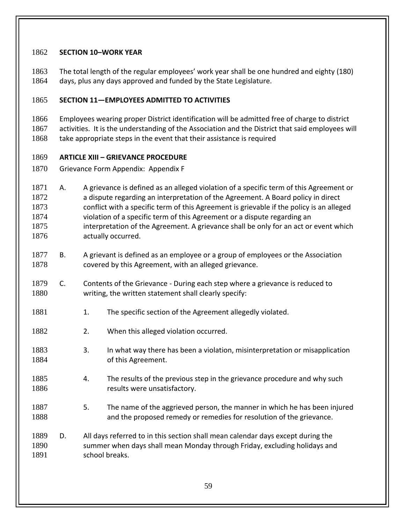#### **SECTION 10–WORK YEAR**

 The total length of the regular employees' work year shall be one hundred and eighty (180) days, plus any days approved and funded by the State Legislature.

#### **SECTION 11—EMPLOYEES ADMITTED TO ACTIVITIES**

 Employees wearing proper District identification will be admitted free of charge to district activities. It is the understanding of the Association and the District that said employees will

1868 take appropriate steps in the event that their assistance is required

#### **ARTICLE XIII – GRIEVANCE PROCEDURE**

Grievance Form Appendix: Appendix F

- 1871 A. A grievance is defined as an alleged violation of a specific term of this Agreement or a dispute regarding an interpretation of the Agreement. A Board policy in direct conflict with a specific term of this Agreement is grievable if the policy is an alleged violation of a specific term of this Agreement or a dispute regarding an interpretation of the Agreement. A grievance shall be only for an act or event which **actually occurred.**
- B. A grievant is defined as an employee or a group of employees or the Association covered by this Agreement, with an alleged grievance.
- C. Contents of the Grievance During each step where a grievance is reduced to writing, the written statement shall clearly specify:
- 1881 1. The specific section of the Agreement allegedly violated.
- 1882 2. When this alleged violation occurred.
- 3. In what way there has been a violation, misinterpretation or misapplication of this Agreement.
- 1885 4. The results of the previous step in the grievance procedure and why such 1886 results were unsatisfactory.
- 5. The name of the aggrieved person, the manner in which he has been injured and the proposed remedy or remedies for resolution of the grievance.
- D. All days referred to in this section shall mean calendar days except during the summer when days shall mean Monday through Friday, excluding holidays and 1891 school breaks.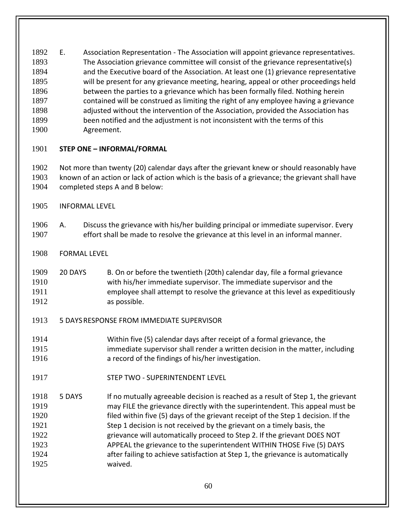E. Association Representation - The Association will appoint grievance representatives. The Association grievance committee will consist of the grievance representative(s) and the Executive board of the Association. At least one (1) grievance representative will be present for any grievance meeting, hearing, appeal or other proceedings held between the parties to a grievance which has been formally filed. Nothing herein contained will be construed as limiting the right of any employee having a grievance adjusted without the intervention of the Association, provided the Association has been notified and the adjustment is not inconsistent with the terms of this Agreement.

## **STEP ONE – INFORMAL/FORMAL**

 Not more than twenty (20) calendar days after the grievant knew or should reasonably have known of an action or lack of action which is the basis of a grievance; the grievant shall have completed steps A and B below:

- INFORMAL LEVEL
- A. Discuss the grievance with his/her building principal or immediate supervisor. Every effort shall be made to resolve the grievance at this level in an informal manner.
- FORMAL LEVEL
- 20 DAYS B. On or before the twentieth (20th) calendar day, file a formal grievance with his/her immediate supervisor. The immediate supervisor and the employee shall attempt to resolve the grievance at this level as expeditiously **as possible.**
- 5 DAYSRESPONSE FROM IMMEDIATE SUPERVISOR
- Within five (5) calendar days after receipt of a formal grievance, the immediate supervisor shall render a written decision in the matter, including a record of the findings of his/her investigation.
- STEP TWO SUPERINTENDENT LEVEL
- 5 DAYS If no mutually agreeable decision is reached as a result of Step 1, the grievant may FILE the grievance directly with the superintendent. This appeal must be filed within five (5) days of the grievant receipt of the Step 1 decision. If the Step 1 decision is not received by the grievant on a timely basis, the grievance will automatically proceed to Step 2. If the grievant DOES NOT APPEAL the grievance to the superintendent WITHIN THOSE Five (5) DAYS after failing to achieve satisfaction at Step 1, the grievance is automatically waived.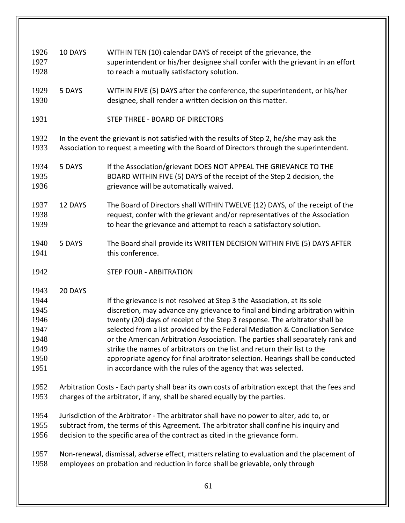| 1926 | 10 DAYS | WITHIN TEN (10) calendar DAYS of receipt of the grievance, the                                  |
|------|---------|-------------------------------------------------------------------------------------------------|
| 1927 |         | superintendent or his/her designee shall confer with the grievant in an effort                  |
| 1928 |         | to reach a mutually satisfactory solution.                                                      |
|      |         |                                                                                                 |
| 1929 | 5 DAYS  | WITHIN FIVE (5) DAYS after the conference, the superintendent, or his/her                       |
| 1930 |         | designee, shall render a written decision on this matter.                                       |
|      |         |                                                                                                 |
| 1931 |         | STEP THREE - BOARD OF DIRECTORS                                                                 |
|      |         |                                                                                                 |
| 1932 |         | In the event the grievant is not satisfied with the results of Step 2, he/she may ask the       |
| 1933 |         | Association to request a meeting with the Board of Directors through the superintendent.        |
|      |         |                                                                                                 |
| 1934 | 5 DAYS  | If the Association/grievant DOES NOT APPEAL THE GRIEVANCE TO THE                                |
| 1935 |         | BOARD WITHIN FIVE (5) DAYS of the receipt of the Step 2 decision, the                           |
| 1936 |         | grievance will be automatically waived.                                                         |
| 1937 | 12 DAYS | The Board of Directors shall WITHIN TWELVE (12) DAYS, of the receipt of the                     |
|      |         |                                                                                                 |
| 1938 |         | request, confer with the grievant and/or representatives of the Association                     |
| 1939 |         | to hear the grievance and attempt to reach a satisfactory solution.                             |
| 1940 | 5 DAYS  | The Board shall provide its WRITTEN DECISION WITHIN FIVE (5) DAYS AFTER                         |
| 1941 |         | this conference.                                                                                |
|      |         |                                                                                                 |
| 1942 |         | <b>STEP FOUR - ARBITRATION</b>                                                                  |
|      |         |                                                                                                 |
| 1943 | 20 DAYS |                                                                                                 |
| 1944 |         | If the grievance is not resolved at Step 3 the Association, at its sole                         |
| 1945 |         | discretion, may advance any grievance to final and binding arbitration within                   |
| 1946 |         | twenty (20) days of receipt of the Step 3 response. The arbitrator shall be                     |
| 1947 |         | selected from a list provided by the Federal Mediation & Conciliation Service                   |
| 1948 |         | or the American Arbitration Association. The parties shall separately rank and                  |
| 1949 |         | strike the names of arbitrators on the list and return their list to the                        |
| 1950 |         | appropriate agency for final arbitrator selection. Hearings shall be conducted                  |
| 1951 |         | in accordance with the rules of the agency that was selected.                                   |
|      |         |                                                                                                 |
| 1952 |         | Arbitration Costs - Each party shall bear its own costs of arbitration except that the fees and |
| 1953 |         | charges of the arbitrator, if any, shall be shared equally by the parties.                      |
|      |         |                                                                                                 |
| 1954 |         | Jurisdiction of the Arbitrator - The arbitrator shall have no power to alter, add to, or        |
| 1955 |         | subtract from, the terms of this Agreement. The arbitrator shall confine his inquiry and        |
| 1956 |         | decision to the specific area of the contract as cited in the grievance form.                   |
|      |         |                                                                                                 |
| 1957 |         | Non-renewal, dismissal, adverse effect, matters relating to evaluation and the placement of     |
| 1958 |         | employees on probation and reduction in force shall be grievable, only through                  |
|      |         |                                                                                                 |
|      |         | 61                                                                                              |
|      |         |                                                                                                 |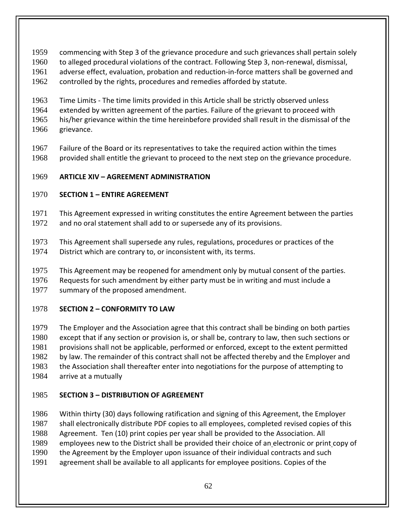commencing with Step 3 of the grievance procedure and such grievances shall pertain solely

- to alleged procedural violations of the contract. Following Step 3, non-renewal, dismissal,
- adverse effect, evaluation, probation and reduction-in-force matters shall be governed and
- controlled by the rights, procedures and remedies afforded by statute.

 Time Limits - The time limits provided in this Article shall be strictly observed unless extended by written agreement of the parties. Failure of the grievant to proceed with his/her grievance within the time hereinbefore provided shall result in the dismissal of the grievance.

 Failure of the Board or its representatives to take the required action within the times provided shall entitle the grievant to proceed to the next step on the grievance procedure.

## **ARTICLE XIV – AGREEMENT ADMINISTRATION**

## **SECTION 1 – ENTIRE AGREEMENT**

- This Agreement expressed in writing constitutes the entire Agreement between the parties and no oral statement shall add to or supersede any of its provisions.
- This Agreement shall supersede any rules, regulations, procedures or practices of the District which are contrary to, or inconsistent with, its terms.
- This Agreement may be reopened for amendment only by mutual consent of the parties.
- Requests for such amendment by either party must be in writing and must include a summary of the proposed amendment.

# **SECTION 2 – CONFORMITY TO LAW**

 The Employer and the Association agree that this contract shall be binding on both parties except that if any section or provision is, or shall be, contrary to law, then such sections or provisions shall not be applicable, performed or enforced, except to the extent permitted 1982 by law. The remainder of this contract shall not be affected thereby and the Employer and the Association shall thereafter enter into negotiations for the purpose of attempting to arrive at a mutually

# **SECTION 3 – DISTRIBUTION OF AGREEMENT**

 Within thirty (30) days following ratification and signing of this Agreement, the Employer shall electronically distribute PDF copies to all employees, completed revised copies of this Agreement. Ten (10) print copies per year shall be provided to the Association. All employees new to the District shall be provided their choice of an electronic or print copy of the Agreement by the Employer upon issuance of their individual contracts and such agreement shall be available to all applicants for employee positions. Copies of the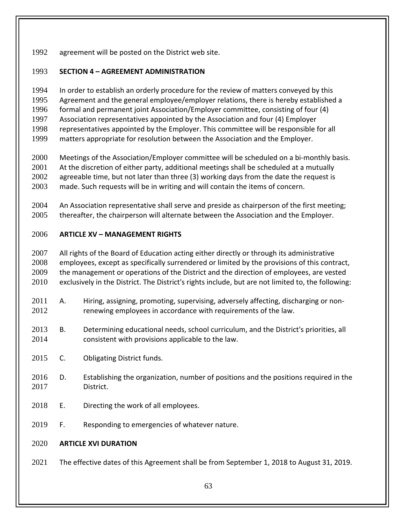agreement will be posted on the District web site.

## **SECTION 4 – AGREEMENT ADMINISTRATION**

 In order to establish an orderly procedure for the review of matters conveyed by this Agreement and the general employee/employer relations, there is hereby established a formal and permanent joint Association/Employer committee, consisting of four (4) Association representatives appointed by the Association and four (4) Employer representatives appointed by the Employer. This committee will be responsible for all matters appropriate for resolution between the Association and the Employer.

- Meetings of the Association/Employer committee will be scheduled on a bi-monthly basis. 2001 At the discretion of either party, additional meetings shall be scheduled at a mutually agreeable time, but not later than three (3) working days from the date the request is made. Such requests will be in writing and will contain the items of concern.
- An Association representative shall serve and preside as chairperson of the first meeting; thereafter, the chairperson will alternate between the Association and the Employer.

## **ARTICLE XV – MANAGEMENT RIGHTS**

2007 All rights of the Board of Education acting either directly or through its administrative employees, except as specifically surrendered or limited by the provisions of this contract, 2009 the management or operations of the District and the direction of employees, are vested exclusively in the District. The District's rights include, but are not limited to, the following:

- A. Hiring, assigning, promoting, supervising, adversely affecting, discharging or non-2012 renewing employees in accordance with requirements of the law.
- B. Determining educational needs, school curriculum, and the District's priorities, all consistent with provisions applicable to the law.
- C. Obligating District funds.
- D. Establishing the organization, number of positions and the positions required in the District.
- E. Directing the work of all employees.
- 2019 F. Responding to emergencies of whatever nature.

## **ARTICLE XVI DURATION**

The effective dates of this Agreement shall be from September 1, 2018 to August 31, 2019.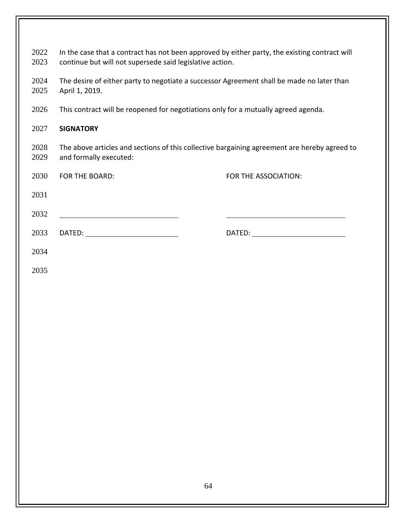2022 In the case that a contract has not been approved by either party, the existing contract will continue but will not supersede said legislative action.

2024 The desire of either party to negotiate a successor Agreement shall be made no later than April 1, 2019.

2026 This contract will be reopened for negotiations only for a mutually agreed agenda.

#### **SIGNATORY**

2028 The above articles and sections of this collective bargaining agreement are hereby agreed to and formally executed:

| 2030 | FOR THE BOARD: | FOR THE ASSOCIATION:                                                                                                                                                                                                           |
|------|----------------|--------------------------------------------------------------------------------------------------------------------------------------------------------------------------------------------------------------------------------|
| 2031 |                |                                                                                                                                                                                                                                |
| 2032 |                |                                                                                                                                                                                                                                |
| 2033 |                | DATED: the contract of the contract of the contract of the contract of the contract of the contract of the contract of the contract of the contract of the contract of the contract of the contract of the contract of the con |
| 2034 |                |                                                                                                                                                                                                                                |
|      |                |                                                                                                                                                                                                                                |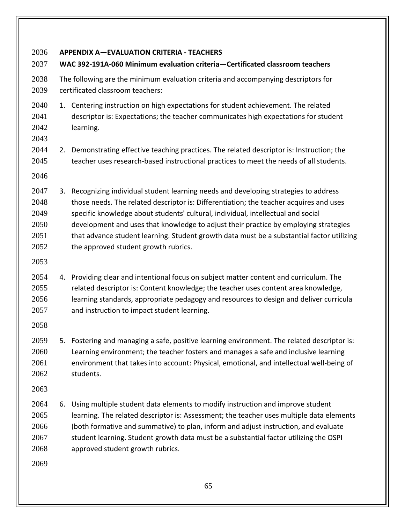**APPENDIX A—EVALUATION CRITERIA - TEACHERS WAC 392-191A-060 Minimum evaluation criteria—Certificated classroom teachers** The following are the minimum evaluation criteria and accompanying descriptors for certificated classroom teachers: 2040 1. Centering instruction on high expectations for student achievement. The related descriptor is: Expectations; the teacher communicates high expectations for student learning. 2. Demonstrating effective teaching practices. The related descriptor is: Instruction; the teacher uses research-based instructional practices to meet the needs of all students. 3. Recognizing individual student learning needs and developing strategies to address those needs. The related descriptor is: Differentiation; the teacher acquires and uses specific knowledge about students' cultural, individual, intellectual and social development and uses that knowledge to adjust their practice by employing strategies 2051 that advance student learning. Student growth data must be a substantial factor utilizing 2052 the approved student growth rubrics. 4. Providing clear and intentional focus on subject matter content and curriculum. The related descriptor is: Content knowledge; the teacher uses content area knowledge, learning standards, appropriate pedagogy and resources to design and deliver curricula 2057 and instruction to impact student learning. 5. Fostering and managing a safe, positive learning environment. The related descriptor is: Learning environment; the teacher fosters and manages a safe and inclusive learning environment that takes into account: Physical, emotional, and intellectual well-being of students. 6. Using multiple student data elements to modify instruction and improve student learning. The related descriptor is: Assessment; the teacher uses multiple data elements (both formative and summative) to plan, inform and adjust instruction, and evaluate student learning. Student growth data must be a substantial factor utilizing the OSPI approved student growth rubrics.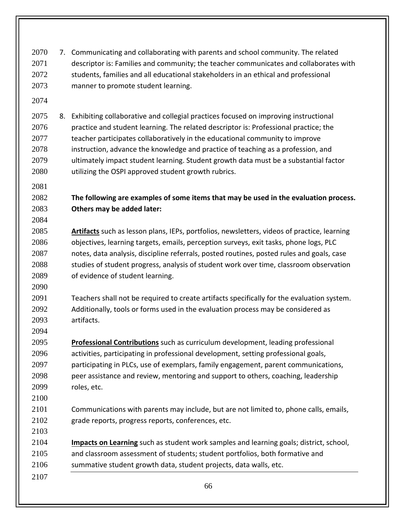7. Communicating and collaborating with parents and school community. The related descriptor is: Families and community; the teacher communicates and collaborates with students, families and all educational stakeholders in an ethical and professional manner to promote student learning.

 8. Exhibiting collaborative and collegial practices focused on improving instructional 2076 practice and student learning. The related descriptor is: Professional practice; the 2077 teacher participates collaboratively in the educational community to improve instruction, advance the knowledge and practice of teaching as a profession, and ultimately impact student learning. Student growth data must be a substantial factor utilizing the OSPI approved student growth rubrics.

## **The following are examples of some items that may be used in the evaluation process. Others may be added later:**

- 
- **Artifacts** such as lesson plans, IEPs, portfolios, newsletters, videos of practice, learning objectives, learning targets, emails, perception surveys, exit tasks, phone logs, PLC notes, data analysis, discipline referrals, posted routines, posted rules and goals, case 2088 studies of student progress, analysis of student work over time, classroom observation of evidence of student learning.
- 

 Teachers shall not be required to create artifacts specifically for the evaluation system. Additionally, tools or forms used in the evaluation process may be considered as artifacts.

 **Professional Contributions** such as curriculum development, leading professional activities, participating in professional development, setting professional goals, participating in PLCs, use of exemplars, family engagement, parent communications, peer assistance and review, mentoring and support to others, coaching, leadership roles, etc.

 Communications with parents may include, but are not limited to, phone calls, emails, grade reports, progress reports, conferences, etc.

 **Impacts on Learning** such as student work samples and learning goals; district, school, and classroom assessment of students; student portfolios, both formative and summative student growth data, student projects, data walls, etc.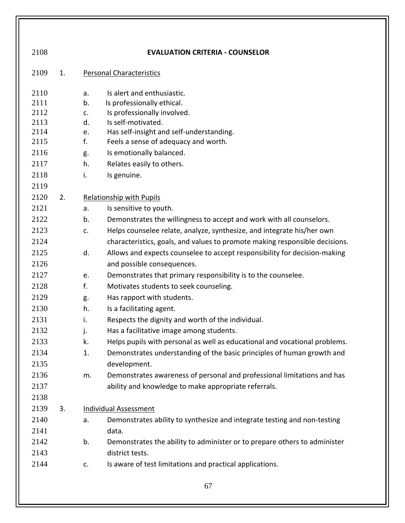| 2108 |    |    | <b>EVALUATION CRITERIA - COUNSELOR</b>                                      |
|------|----|----|-----------------------------------------------------------------------------|
| 2109 | 1. |    | <b>Personal Characteristics</b>                                             |
| 2110 |    | a. | Is alert and enthusiastic.                                                  |
| 2111 |    | b. | Is professionally ethical.                                                  |
| 2112 |    | c. | Is professionally involved.                                                 |
| 2113 |    | d. | Is self-motivated.                                                          |
| 2114 |    | e. | Has self-insight and self-understanding.                                    |
| 2115 |    | f. | Feels a sense of adequacy and worth.                                        |
| 2116 |    | g. | Is emotionally balanced.                                                    |
| 2117 |    | h. | Relates easily to others.                                                   |
| 2118 |    | i. | Is genuine.                                                                 |
| 2119 |    |    |                                                                             |
| 2120 | 2. |    | Relationship with Pupils                                                    |
| 2121 |    | a. | Is sensitive to youth.                                                      |
| 2122 |    | b. | Demonstrates the willingness to accept and work with all counselors.        |
| 2123 |    | c. | Helps counselee relate, analyze, synthesize, and integrate his/her own      |
| 2124 |    |    | characteristics, goals, and values to promote making responsible decisions. |
| 2125 |    | d. | Allows and expects counselee to accept responsibility for decision-making   |
| 2126 |    |    | and possible consequences.                                                  |
| 2127 |    | e. | Demonstrates that primary responsibility is to the counselee.               |
| 2128 |    | f. | Motivates students to seek counseling.                                      |
| 2129 |    | g. | Has rapport with students.                                                  |
| 2130 |    | h. | Is a facilitating agent.                                                    |
| 2131 |    | i. | Respects the dignity and worth of the individual.                           |
| 2132 |    | j. | Has a facilitative image among students.                                    |
| 2133 |    | k. | Helps pupils with personal as well as educational and vocational problems.  |
| 2134 |    | 1. | Demonstrates understanding of the basic principles of human growth and      |
| 2135 |    |    | development.                                                                |
| 2136 |    | m. | Demonstrates awareness of personal and professional limitations and has     |
| 2137 |    |    | ability and knowledge to make appropriate referrals.                        |
| 2138 |    |    |                                                                             |
| 2139 | 3. |    | <b>Individual Assessment</b>                                                |
| 2140 |    | a. | Demonstrates ability to synthesize and integrate testing and non-testing    |
| 2141 |    |    | data.                                                                       |
| 2142 |    | b. | Demonstrates the ability to administer or to prepare others to administer   |
| 2143 |    |    | district tests.                                                             |
| 2144 |    | c. | Is aware of test limitations and practical applications.                    |
|      |    |    | 67                                                                          |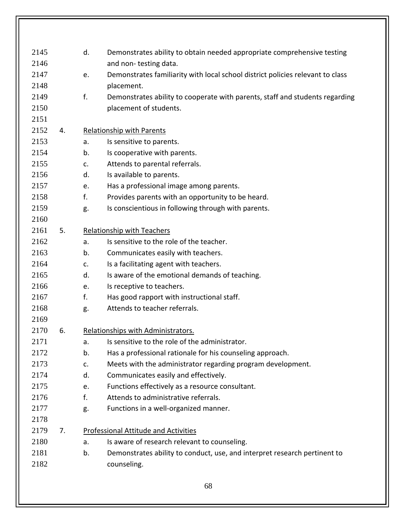| 2145 |    | d. | Demonstrates ability to obtain needed appropriate comprehensive testing        |
|------|----|----|--------------------------------------------------------------------------------|
| 2146 |    |    | and non-testing data.                                                          |
| 2147 |    | e. | Demonstrates familiarity with local school district policies relevant to class |
| 2148 |    |    | placement.                                                                     |
| 2149 |    | f. | Demonstrates ability to cooperate with parents, staff and students regarding   |
| 2150 |    |    | placement of students.                                                         |
| 2151 |    |    |                                                                                |
| 2152 | 4. |    | Relationship with Parents                                                      |
| 2153 |    | a. | Is sensitive to parents.                                                       |
| 2154 |    | b. | Is cooperative with parents.                                                   |
| 2155 |    | c. | Attends to parental referrals.                                                 |
| 2156 |    | d. | Is available to parents.                                                       |
| 2157 |    | e. | Has a professional image among parents.                                        |
| 2158 |    | f. | Provides parents with an opportunity to be heard.                              |
| 2159 |    | g. | Is conscientious in following through with parents.                            |
| 2160 |    |    |                                                                                |
| 2161 | 5. |    | <b>Relationship with Teachers</b>                                              |
| 2162 |    | a. | Is sensitive to the role of the teacher.                                       |
| 2163 |    | b. | Communicates easily with teachers.                                             |
| 2164 |    | c. | Is a facilitating agent with teachers.                                         |
| 2165 |    | d. | Is aware of the emotional demands of teaching.                                 |
| 2166 |    | e. | Is receptive to teachers.                                                      |
| 2167 |    | f. | Has good rapport with instructional staff.                                     |
| 2168 |    | g. | Attends to teacher referrals.                                                  |
| 2169 |    |    |                                                                                |
| 2170 | 6. |    | Relationships with Administrators.                                             |
| 2171 |    | a. | Is sensitive to the role of the administrator.                                 |
| 2172 |    | b. | Has a professional rationale for his counseling approach.                      |
| 2173 |    | c. | Meets with the administrator regarding program development.                    |
| 2174 |    | d. | Communicates easily and effectively.                                           |
| 2175 |    | e. | Functions effectively as a resource consultant.                                |
| 2176 |    | f. | Attends to administrative referrals.                                           |
| 2177 |    | g. | Functions in a well-organized manner.                                          |
| 2178 |    |    |                                                                                |
| 2179 | 7. |    | <b>Professional Attitude and Activities</b>                                    |
| 2180 |    | a. | Is aware of research relevant to counseling.                                   |
| 2181 |    | b. | Demonstrates ability to conduct, use, and interpret research pertinent to      |
| 2182 |    |    | counseling.                                                                    |
|      |    |    |                                                                                |
|      |    |    | 68                                                                             |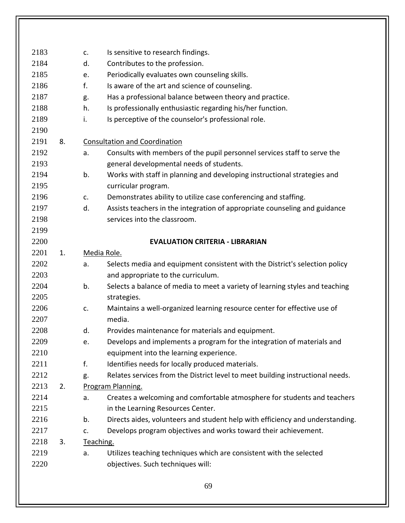| 2183 |    | c. | Is sensitive to research findings.                                             |
|------|----|----|--------------------------------------------------------------------------------|
| 2184 |    | d. | Contributes to the profession.                                                 |
| 2185 |    | e. | Periodically evaluates own counseling skills.                                  |
| 2186 |    | f. | Is aware of the art and science of counseling.                                 |
| 2187 |    | g. | Has a professional balance between theory and practice.                        |
| 2188 |    | h. | Is professionally enthusiastic regarding his/her function.                     |
| 2189 |    | i. | Is perceptive of the counselor's professional role.                            |
| 2190 |    |    |                                                                                |
| 2191 | 8. |    | <b>Consultation and Coordination</b>                                           |
| 2192 |    | a. | Consults with members of the pupil personnel services staff to serve the       |
| 2193 |    |    | general developmental needs of students.                                       |
| 2194 |    | b. | Works with staff in planning and developing instructional strategies and       |
| 2195 |    |    | curricular program.                                                            |
| 2196 |    | c. | Demonstrates ability to utilize case conferencing and staffing.                |
| 2197 |    | d. | Assists teachers in the integration of appropriate counseling and guidance     |
| 2198 |    |    | services into the classroom.                                                   |
| 2199 |    |    |                                                                                |
| 2200 |    |    | <b>EVALUATION CRITERIA - LIBRARIAN</b>                                         |
| 2201 | 1. |    | Media Role.                                                                    |
| 2202 |    | a. | Selects media and equipment consistent with the District's selection policy    |
| 2203 |    |    | and appropriate to the curriculum.                                             |
| 2204 |    | b. | Selects a balance of media to meet a variety of learning styles and teaching   |
| 2205 |    |    | strategies.                                                                    |
| 2206 |    | c. | Maintains a well-organized learning resource center for effective use of       |
| 2207 |    |    | media.                                                                         |
| 2208 |    | d. | Provides maintenance for materials and equipment.                              |
| 2209 |    | e. | Develops and implements a program for the integration of materials and         |
| 2210 |    |    | equipment into the learning experience.                                        |
| 2211 |    | f. | Identifies needs for locally produced materials.                               |
| 2212 |    | g. | Relates services from the District level to meet building instructional needs. |
| 2213 | 2. |    | Program Planning.                                                              |
| 2214 |    | a. | Creates a welcoming and comfortable atmosphere for students and teachers       |
| 2215 |    |    | in the Learning Resources Center.                                              |
| 2216 |    | b. | Directs aides, volunteers and student help with efficiency and understanding.  |
| 2217 |    | c. | Develops program objectives and works toward their achievement.                |
| 2218 | 3. |    | Teaching.                                                                      |
| 2219 |    | a. | Utilizes teaching techniques which are consistent with the selected            |
| 2220 |    |    | objectives. Such techniques will:                                              |
|      |    |    |                                                                                |
|      |    |    | 69                                                                             |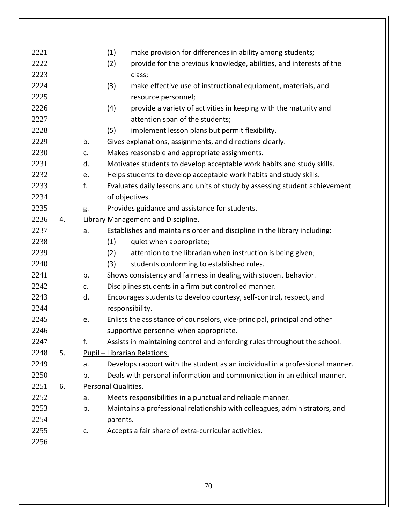| 2221 |    |    | (1)<br>make provision for differences in ability among students;             |
|------|----|----|------------------------------------------------------------------------------|
| 2222 |    |    | (2)<br>provide for the previous knowledge, abilities, and interests of the   |
| 2223 |    |    | class;                                                                       |
| 2224 |    |    | (3)<br>make effective use of instructional equipment, materials, and         |
| 2225 |    |    | resource personnel;                                                          |
| 2226 |    |    | (4)<br>provide a variety of activities in keeping with the maturity and      |
| 2227 |    |    | attention span of the students;                                              |
| 2228 |    |    | (5)<br>implement lesson plans but permit flexibility.                        |
| 2229 |    | b. | Gives explanations, assignments, and directions clearly.                     |
| 2230 |    | c. | Makes reasonable and appropriate assignments.                                |
| 2231 |    | d. | Motivates students to develop acceptable work habits and study skills.       |
| 2232 |    | e. | Helps students to develop acceptable work habits and study skills.           |
| 2233 |    | f. | Evaluates daily lessons and units of study by assessing student achievement  |
| 2234 |    |    | of objectives.                                                               |
| 2235 |    | g. | Provides guidance and assistance for students.                               |
| 2236 | 4. |    | Library Management and Discipline.                                           |
| 2237 |    | a. | Establishes and maintains order and discipline in the library including:     |
| 2238 |    |    | (1)<br>quiet when appropriate;                                               |
| 2239 |    |    | (2)<br>attention to the librarian when instruction is being given;           |
| 2240 |    |    | (3)<br>students conforming to established rules.                             |
| 2241 |    | b. | Shows consistency and fairness in dealing with student behavior.             |
| 2242 |    | c. | Disciplines students in a firm but controlled manner.                        |
| 2243 |    | d. | Encourages students to develop courtesy, self-control, respect, and          |
| 2244 |    |    | responsibility.                                                              |
| 2245 |    | e. | Enlists the assistance of counselors, vice-principal, principal and other    |
| 2246 |    |    | supportive personnel when appropriate.                                       |
| 2247 |    | f. | Assists in maintaining control and enforcing rules throughout the school.    |
| 2248 | 5. |    | Pupil - Librarian Relations.                                                 |
| 2249 |    | a. | Develops rapport with the student as an individual in a professional manner. |
| 2250 |    | b. | Deals with personal information and communication in an ethical manner.      |
| 2251 | 6. |    | Personal Qualities.                                                          |
| 2252 |    | a. | Meets responsibilities in a punctual and reliable manner.                    |
| 2253 |    | b. | Maintains a professional relationship with colleagues, administrators, and   |
| 2254 |    |    | parents.                                                                     |
| 2255 |    | c. | Accepts a fair share of extra-curricular activities.                         |
| 2256 |    |    |                                                                              |
|      |    |    |                                                                              |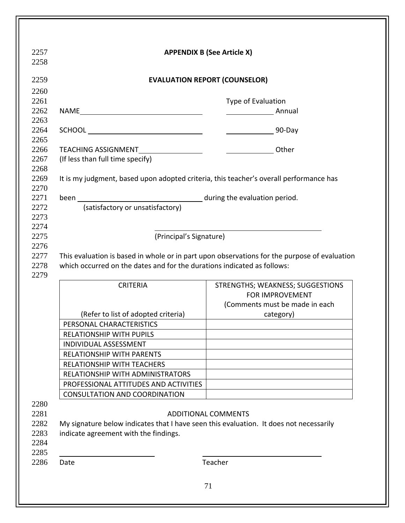|                                                                                                                  | <b>EVALUATION REPORT (COUNSELOR)</b>                                                                                 |
|------------------------------------------------------------------------------------------------------------------|----------------------------------------------------------------------------------------------------------------------|
|                                                                                                                  | Type of Evaluation                                                                                                   |
|                                                                                                                  | Annual                                                                                                               |
|                                                                                                                  |                                                                                                                      |
| TEACHING ASSIGNMENT____________________                                                                          | Other                                                                                                                |
| (If less than full time specify)                                                                                 |                                                                                                                      |
|                                                                                                                  | It is my judgment, based upon adopted criteria, this teacher's overall performance has                               |
|                                                                                                                  |                                                                                                                      |
| (satisfactory or unsatisfactory)                                                                                 |                                                                                                                      |
| (Principal's Signature)                                                                                          |                                                                                                                      |
|                                                                                                                  | This evaluation is based in whole or in part upon observations for the purpose of evaluation                         |
|                                                                                                                  |                                                                                                                      |
| <b>CRITERIA</b>                                                                                                  | STRENGTHS; WEAKNESS; SUGGESTIONS<br>FOR IMPROVEMENT                                                                  |
| (Refer to list of adopted criteria)                                                                              | (Comments must be made in each<br>category)                                                                          |
| PERSONAL CHARACTERISTICS                                                                                         |                                                                                                                      |
| <b>RELATIONSHIP WITH PUPILS</b>                                                                                  |                                                                                                                      |
| <b>INDIVIDUAL ASSESSMENT</b>                                                                                     |                                                                                                                      |
| <b>RELATIONSHIP WITH PARENTS</b>                                                                                 |                                                                                                                      |
| <b>RELATIONSHIP WITH TEACHERS</b>                                                                                |                                                                                                                      |
| RELATIONSHIP WITH ADMINISTRATORS                                                                                 |                                                                                                                      |
| PROFESSIONAL ATTITUDES AND ACTIVITIES                                                                            |                                                                                                                      |
| <b>CONSULTATION AND COORDINATION</b>                                                                             |                                                                                                                      |
| which occurred on the dates and for the durations indicated as follows:<br>indicate agreement with the findings. | <b>ADDITIONAL COMMENTS</b><br>My signature below indicates that I have seen this evaluation. It does not necessarily |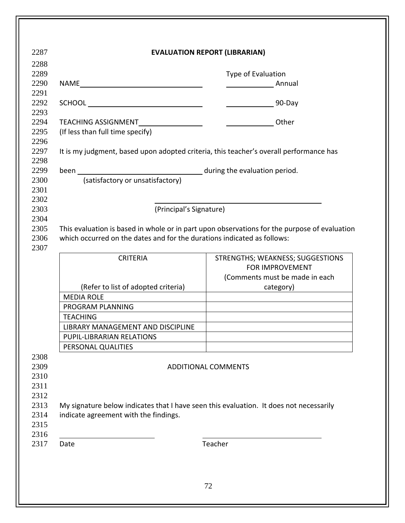|                                                                                              | Type of Evaluation               |
|----------------------------------------------------------------------------------------------|----------------------------------|
|                                                                                              | Annual                           |
|                                                                                              |                                  |
|                                                                                              |                                  |
| TEACHING ASSIGNMENT__________________                                                        | Other                            |
| (If less than full time specify)                                                             |                                  |
| It is my judgment, based upon adopted criteria, this teacher's overall performance has       |                                  |
|                                                                                              |                                  |
| (satisfactory or unsatisfactory)                                                             |                                  |
|                                                                                              |                                  |
|                                                                                              |                                  |
| (Principal's Signature)                                                                      |                                  |
| This evaluation is based in whole or in part upon observations for the purpose of evaluation |                                  |
| which occurred on the dates and for the durations indicated as follows:                      |                                  |
|                                                                                              |                                  |
| <b>CRITERIA</b>                                                                              | STRENGTHS; WEAKNESS; SUGGESTIONS |
|                                                                                              | FOR IMPROVEMENT                  |
|                                                                                              | (Comments must be made in each   |
| (Refer to list of adopted criteria)                                                          | category)                        |
| <b>MEDIA ROLE</b>                                                                            |                                  |
| PROGRAM PLANNING                                                                             |                                  |
| <b>TEACHING</b>                                                                              |                                  |
| <b>LIBRARY MANAGEMENT AND DISCIPLINE</b>                                                     |                                  |
| PUPIL-LIBRARIAN RELATIONS                                                                    |                                  |
| PERSONAL QUALITIES                                                                           |                                  |
|                                                                                              | <b>ADDITIONAL COMMENTS</b>       |
|                                                                                              |                                  |
|                                                                                              |                                  |
|                                                                                              |                                  |
| My signature below indicates that I have seen this evaluation. It does not necessarily       |                                  |
|                                                                                              |                                  |
| indicate agreement with the findings.                                                        |                                  |
|                                                                                              |                                  |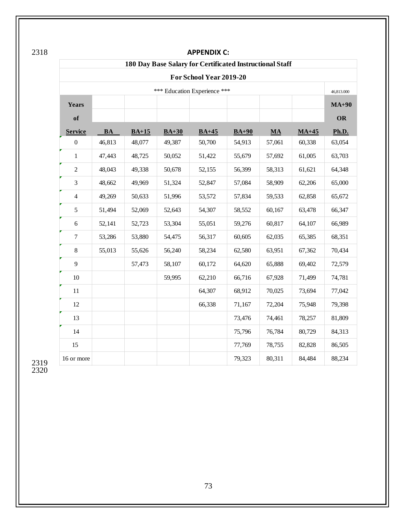|                |           |         |         | <b>APPENDIX C:</b>                                       |         |        |         |            |
|----------------|-----------|---------|---------|----------------------------------------------------------|---------|--------|---------|------------|
|                |           |         |         | 180 Day Base Salary for Certificated Instructional Staff |         |        |         |            |
|                |           |         |         | For School Year 2019-20                                  |         |        |         |            |
|                |           |         |         | *** Education Experience ***                             |         |        |         | 46,813.000 |
| Years          |           |         |         |                                                          |         |        |         | $MA+90$    |
| of             |           |         |         |                                                          |         |        |         | OR         |
| <b>Service</b> | <b>BA</b> | $BA+15$ | $BA+30$ | $BA+45$                                                  | $BA+90$ | MA     | $MA+45$ | Ph.D.      |
| $\mathbf{0}$   | 46,813    | 48,077  | 49,387  | 50,700                                                   | 54,913  | 57,061 | 60,338  | 63,054     |
| $\mathbf{1}$   | 47,443    | 48,725  | 50,052  | 51,422                                                   | 55,679  | 57,692 | 61,005  | 63,703     |
| $\sqrt{2}$     | 48,043    | 49,338  | 50,678  | 52,155                                                   | 56,399  | 58,313 | 61,621  | 64,348     |
| 3              | 48,662    | 49,969  | 51,324  | 52,847                                                   | 57,084  | 58,909 | 62,206  | 65,000     |
| $\overline{4}$ | 49,269    | 50,633  | 51,996  | 53,572                                                   | 57,834  | 59,533 | 62,858  | 65,672     |
| 5              | 51,494    | 52,069  | 52,643  | 54,307                                                   | 58,552  | 60,167 | 63,478  | 66,347     |
| 6              | 52,141    | 52,723  | 53,304  | 55,051                                                   | 59,276  | 60,817 | 64,107  | 66,989     |
| $\overline{7}$ | 53,286    | 53,880  | 54,475  | 56,317                                                   | 60,605  | 62,035 | 65,385  | 68,351     |
| $8\,$          | 55,013    | 55,626  | 56,240  | 58,234                                                   | 62,580  | 63,951 | 67,362  | 70,434     |
| 9              |           | 57,473  | 58,107  | 60,172                                                   | 64,620  | 65,888 | 69,402  | 72,579     |
| 10             |           |         | 59,995  | 62,210                                                   | 66,716  | 67,928 | 71,499  | 74,781     |
| 11             |           |         |         | 64,307                                                   | 68,912  | 70,025 | 73,694  | 77,042     |
| 12             |           |         |         | 66,338                                                   | 71,167  | 72,204 | 75,948  | 79,398     |
| 13             |           |         |         |                                                          | 73,476  | 74,461 | 78,257  | 81,809     |
| 14             |           |         |         |                                                          | 75,796  | 76,784 | 80,729  | 84,313     |
| 15             |           |         |         |                                                          | 77,769  | 78,755 | 82,828  | 86,505     |
| 16 or more     |           |         |         |                                                          | 79,323  | 80,311 | 84,484  | 88,234     |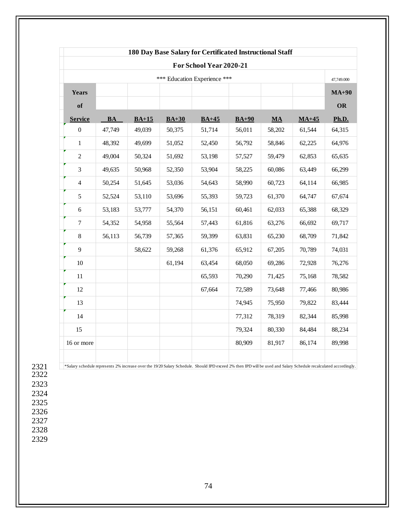|                |           |         |         | For School Year 2020-21      |         |           |         |            |
|----------------|-----------|---------|---------|------------------------------|---------|-----------|---------|------------|
|                |           |         |         | *** Education Experience *** |         |           |         | 47,749.000 |
| <b>Years</b>   |           |         |         |                              |         |           |         | $MA+90$    |
| of             |           |         |         |                              |         |           |         | OR         |
| <b>Service</b> | <b>BA</b> | $BA+15$ | $BA+30$ | $BA+45$                      | $BA+90$ | <b>MA</b> | $MA+45$ | Ph.D.      |
| $\mathbf{0}$   | 47.749    | 49.039  | 50,375  | 51,714                       | 56,011  | 58,202    | 61,544  | 64,315     |
| $\mathbf{1}$   | 48,392    | 49,699  | 51,052  | 52,450                       | 56,792  | 58,846    | 62,225  | 64,976     |
| $\overline{c}$ | 49.004    | 50,324  | 51,692  | 53,198                       | 57,527  | 59,479    | 62,853  | 65,635     |
| 3              | 49,635    | 50,968  | 52,350  | 53,904                       | 58,225  | 60,086    | 63,449  | 66,299     |
| $\overline{4}$ | 50,254    | 51,645  | 53,036  | 54,643                       | 58,990  | 60,723    | 64,114  | 66,985     |
| 5              | 52,524    | 53,110  | 53,696  | 55,393                       | 59,723  | 61,370    | 64,747  | 67,674     |
| 6              | 53,183    | 53,777  | 54,370  | 56,151                       | 60,461  | 62,033    | 65,388  | 68,329     |
| 7              | 54,352    | 54,958  | 55,564  | 57,443                       | 61,816  | 63,276    | 66,692  | 69,717     |
| 8              | 56,113    | 56,739  | 57,365  | 59,399                       | 63,831  | 65,230    | 68,709  | 71,842     |
| 9              |           | 58,622  | 59,268  | 61,376                       | 65,912  | 67,205    | 70,789  | 74,031     |
| 10             |           |         | 61,194  | 63,454                       | 68,050  | 69,286    | 72,928  | 76,276     |
| 11             |           |         |         | 65,593                       | 70,290  | 71,425    | 75,168  | 78,582     |
| 12             |           |         |         | 67,664                       | 72,589  | 73,648    | 77,466  | 80,986     |
| 13             |           |         |         |                              | 74,945  | 75,950    | 79,822  | 83,444     |
| 14             |           |         |         |                              | 77,312  | 78,319    | 82,344  | 85,998     |
| 15             |           |         |         |                              | 79,324  | 80,330    | 84,484  | 88,234     |
| 16 or more     |           |         |         |                              | 80,909  | 81,917    | 86,174  | 89,998     |
|                |           |         |         |                              |         |           |         |            |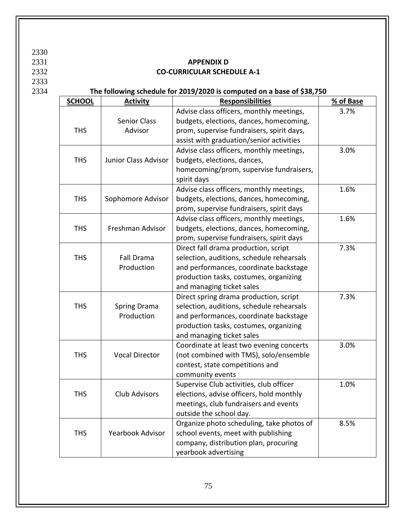2330

## 2333

## 2331 **APPENDIX D**<br>2332 **CO-CURRICULAR SCHEI** 2332 **CO-CURRICULAR SCHEDULE A-1**

## 2334 **The following schedule for 2019/2020 is computed on a base of \$38,750**

| <b>SCHOOL</b> | <b>Activity</b>       | <b>Responsibilities</b>                   | % of Base |
|---------------|-----------------------|-------------------------------------------|-----------|
|               |                       | Advise class officers, monthly meetings,  | 3.7%      |
|               | <b>Senior Class</b>   | budgets, elections, dances, homecoming,   |           |
| <b>THS</b>    | Advisor               | prom, supervise fundraisers, spirit days, |           |
|               |                       | assist with graduation/senior activities  |           |
|               |                       | Advise class officers, monthly meetings,  | 3.0%      |
| <b>THS</b>    | Junior Class Advisor  | budgets, elections, dances,               |           |
|               |                       | homecoming/prom, supervise fundraisers,   |           |
|               |                       | spirit days                               |           |
|               |                       | Advise class officers, monthly meetings,  | 1.6%      |
| <b>THS</b>    | Sophomore Advisor     | budgets, elections, dances, homecoming,   |           |
|               |                       | prom, supervise fundraisers, spirit days  |           |
|               |                       | Advise class officers, monthly meetings,  | 1.6%      |
| <b>THS</b>    | Freshman Advisor      | budgets, elections, dances, homecoming,   |           |
|               |                       | prom, supervise fundraisers, spirit days  |           |
|               |                       | Direct fall drama production, script      | 7.3%      |
| <b>THS</b>    | <b>Fall Drama</b>     | selection, auditions, schedule rehearsals |           |
|               | Production            | and performances, coordinate backstage    |           |
|               |                       | production tasks, costumes, organizing    |           |
|               |                       | and managing ticket sales                 |           |
|               |                       | Direct spring drama production, script    | 7.3%      |
| <b>THS</b>    | <b>Spring Drama</b>   | selection, auditions, schedule rehearsals |           |
|               | Production            | and performances, coordinate backstage    |           |
|               |                       | production tasks, costumes, organizing    |           |
|               |                       | and managing ticket sales                 |           |
|               |                       | Coordinate at least two evening concerts  | 3.0%      |
| <b>THS</b>    | <b>Vocal Director</b> | (not combined with TMS), solo/ensemble    |           |
|               |                       | contest, state competitions and           |           |
|               |                       | community events                          |           |
|               |                       | Supervise Club activities, club officer   | 1.0%      |
| <b>THS</b>    | Club Advisors         | elections, advise officers, hold monthly  |           |
|               |                       | meetings, club fundraisers and events     |           |
|               |                       | outside the school day.                   |           |
|               |                       | Organize photo scheduling, take photos of | 8.5%      |
| <b>THS</b>    | Yearbook Advisor      | school events, meet with publishing       |           |
|               |                       | company, distribution plan, procuring     |           |
|               |                       | yearbook advertising                      |           |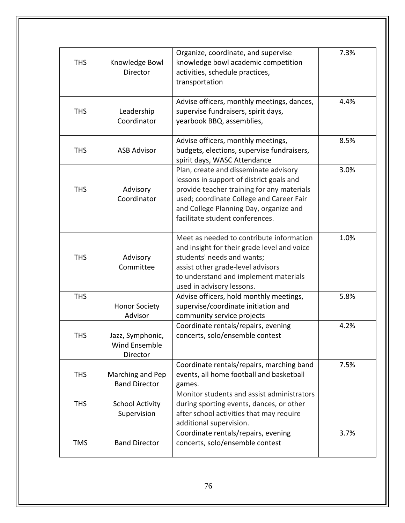| <b>THS</b> | Knowledge Bowl<br>Director                    | Organize, coordinate, and supervise<br>knowledge bowl academic competition<br>activities, schedule practices,<br>transportation                                                                                                                          | 7.3% |
|------------|-----------------------------------------------|----------------------------------------------------------------------------------------------------------------------------------------------------------------------------------------------------------------------------------------------------------|------|
| <b>THS</b> | Leadership<br>Coordinator                     | Advise officers, monthly meetings, dances,<br>supervise fundraisers, spirit days,<br>yearbook BBQ, assemblies,                                                                                                                                           | 4.4% |
| <b>THS</b> | <b>ASB Advisor</b>                            | Advise officers, monthly meetings,<br>budgets, elections, supervise fundraisers,<br>spirit days, WASC Attendance                                                                                                                                         | 8.5% |
| <b>THS</b> | Advisory<br>Coordinator                       | Plan, create and disseminate advisory<br>lessons in support of district goals and<br>provide teacher training for any materials<br>used; coordinate College and Career Fair<br>and College Planning Day, organize and<br>facilitate student conferences. | 3.0% |
| <b>THS</b> | Advisory<br>Committee                         | Meet as needed to contribute information<br>and insight for their grade level and voice<br>students' needs and wants;<br>assist other grade-level advisors<br>to understand and implement materials<br>used in advisory lessons.                         | 1.0% |
| <b>THS</b> | <b>Honor Society</b><br>Advisor               | Advise officers, hold monthly meetings,<br>supervise/coordinate initiation and<br>community service projects                                                                                                                                             | 5.8% |
| THS        | Jazz, Symphonic,<br>Wind Ensemble<br>Director | Coordinate rentals/repairs, evening<br>concerts, solo/ensemble contest                                                                                                                                                                                   | 4.2% |
| <b>THS</b> | Marching and Pep<br><b>Band Director</b>      | Coordinate rentals/repairs, marching band<br>events, all home football and basketball<br>games.                                                                                                                                                          | 7.5% |
| <b>THS</b> | <b>School Activity</b><br>Supervision         | Monitor students and assist administrators<br>during sporting events, dances, or other<br>after school activities that may require<br>additional supervision.                                                                                            |      |
| <b>TMS</b> | <b>Band Director</b>                          | Coordinate rentals/repairs, evening<br>concerts, solo/ensemble contest                                                                                                                                                                                   | 3.7% |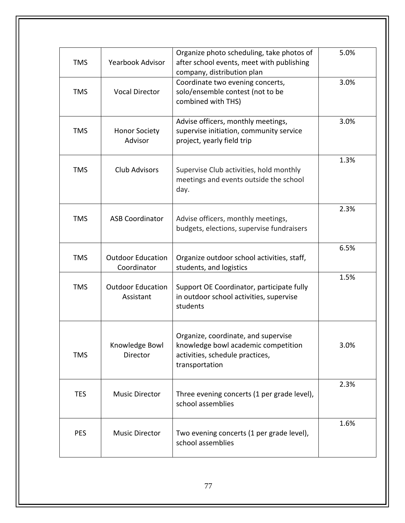| <b>TMS</b> | <b>Yearbook Advisor</b>                 | Organize photo scheduling, take photos of<br>after school events, meet with publishing<br>company, distribution plan            | 5.0% |
|------------|-----------------------------------------|---------------------------------------------------------------------------------------------------------------------------------|------|
| <b>TMS</b> | <b>Vocal Director</b>                   | Coordinate two evening concerts,<br>solo/ensemble contest (not to be<br>combined with THS)                                      | 3.0% |
| <b>TMS</b> | <b>Honor Society</b><br>Advisor         | Advise officers, monthly meetings,<br>supervise initiation, community service<br>project, yearly field trip                     | 3.0% |
| <b>TMS</b> | <b>Club Advisors</b>                    | Supervise Club activities, hold monthly<br>meetings and events outside the school<br>day.                                       | 1.3% |
| <b>TMS</b> | <b>ASB Coordinator</b>                  | Advise officers, monthly meetings,<br>budgets, elections, supervise fundraisers                                                 | 2.3% |
| <b>TMS</b> | <b>Outdoor Education</b><br>Coordinator | Organize outdoor school activities, staff,<br>students, and logistics                                                           | 6.5% |
| <b>TMS</b> | <b>Outdoor Education</b><br>Assistant   | Support OE Coordinator, participate fully<br>in outdoor school activities, supervise<br>students                                | 1.5% |
| <b>TMS</b> | Knowledge Bowl<br>Director              | Organize, coordinate, and supervise<br>knowledge bowl academic competition<br>activities, schedule practices,<br>transportation | 3.0% |
| <b>TES</b> | <b>Music Director</b>                   | Three evening concerts (1 per grade level),<br>school assemblies                                                                | 2.3% |
| <b>PES</b> | <b>Music Director</b>                   | Two evening concerts (1 per grade level),<br>school assemblies                                                                  | 1.6% |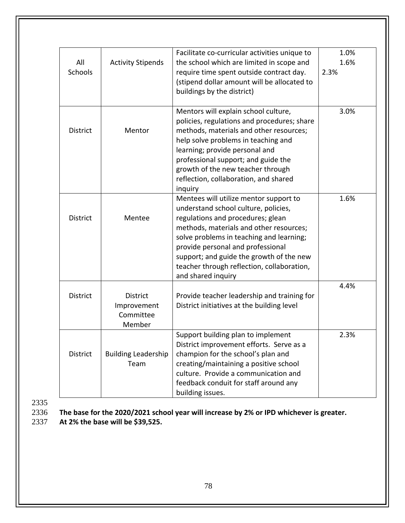|                       |                                                       | Facilitate co-curricular activities unique to                                                                                                                                                                                                                                                                                                                   | 1.0%         |
|-----------------------|-------------------------------------------------------|-----------------------------------------------------------------------------------------------------------------------------------------------------------------------------------------------------------------------------------------------------------------------------------------------------------------------------------------------------------------|--------------|
| All<br><b>Schools</b> | <b>Activity Stipends</b>                              | the school which are limited in scope and<br>require time spent outside contract day.<br>(stipend dollar amount will be allocated to<br>buildings by the district)                                                                                                                                                                                              | 1.6%<br>2.3% |
| <b>District</b>       | Mentor                                                | Mentors will explain school culture,<br>policies, regulations and procedures; share<br>methods, materials and other resources;<br>help solve problems in teaching and<br>learning; provide personal and<br>professional support; and guide the<br>growth of the new teacher through<br>reflection, collaboration, and shared<br>inquiry                         | 3.0%         |
| <b>District</b>       | Mentee                                                | Mentees will utilize mentor support to<br>understand school culture, policies,<br>regulations and procedures; glean<br>methods, materials and other resources;<br>solve problems in teaching and learning;<br>provide personal and professional<br>support; and guide the growth of the new<br>teacher through reflection, collaboration,<br>and shared inquiry | 1.6%         |
| <b>District</b>       | <b>District</b><br>Improvement<br>Committee<br>Member | Provide teacher leadership and training for<br>District initiatives at the building level                                                                                                                                                                                                                                                                       | 4.4%         |
| District              | <b>Building Leadership</b><br>Team                    | Support building plan to implement<br>District improvement efforts. Serve as a<br>champion for the school's plan and<br>creating/maintaining a positive school<br>culture. Provide a communication and<br>feedback conduit for staff around any<br>building issues.                                                                                             | 2.3%         |

2335<br>2336

2336 **The base for the 2020/2021 school year will increase by 2% or IPD whichever is greater.** 

2337 **At 2% the base will be \$39,525.**